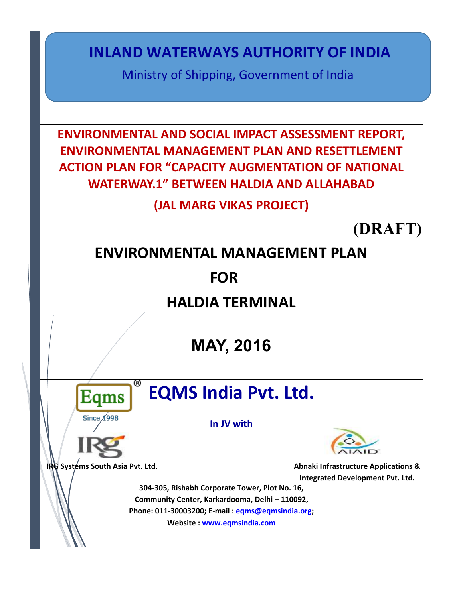**INLAND WATERWAYS AUTHORITY OF INDIA**

Ministry of Shipping, Government of India

# **ENVIRONMENTAL AND SOCIAL IMPACT ASSESSMENT REPORT, ENVIRONMENTAL MANAGEMENT PLAN AND RESETTLEMENT ACTION PLAN FOR "CAPACITY AUGMENTATION OF NATIONAL WATERWAY.1" BETWEEN HALDIA AND ALLAHABAD**

**(JAL MARG VIKAS PROJECT)**

# **(DRAFT)**

# **ENVIRONMENTAL MANAGEMENT PLAN**

**FOR**

**HALDIA TERMINAL** 

**MAY, 2016**



# **EQMS India Pvt. Ltd.**

**In JV with**



**IRG** Systems South Asia Pvt. Ltd. **Abnaki Infrastructure Applications & Integrated Development Pvt. Ltd.**

**304-305, Rishabh Corporate Tower, Plot No. 16, Community Center, Karkardooma, Delhi – 110092, Phone: 011-30003200; E-mail : [eqms@eqmsindia.org;](mailto:eqms@eqmsindia.org) Website : [www.eqmsindia.com](http://www.eqmsindia.com/)**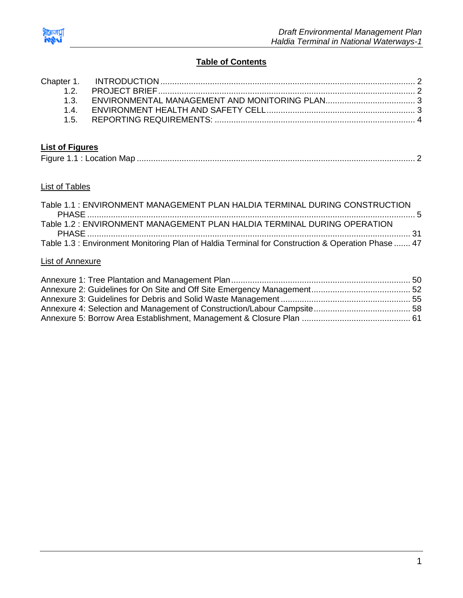

# **Table of Contents**

# **List of Figures**

|--|--|

## List of Tables

| Table 1.1: ENVIRONMENT MANAGEMENT PLAN HALDIA TERMINAL DURING CONSTRUCTION                       |  |
|--------------------------------------------------------------------------------------------------|--|
| Table 1.2: ENVIRONMENT MANAGEMENT PLAN HALDIA TERMINAL DURING OPERATION                          |  |
| Table 1.3: Environment Monitoring Plan of Haldia Terminal for Construction & Operation Phase  47 |  |

# List of Annexure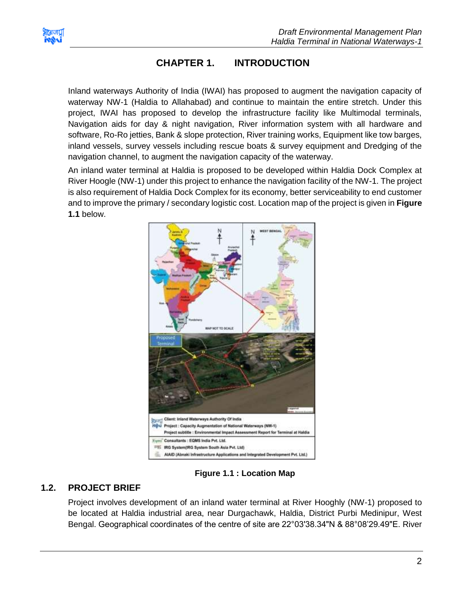<span id="page-2-0"></span>

# **CHAPTER 1. INTRODUCTION**

Inland waterways Authority of India (IWAI) has proposed to augment the navigation capacity of waterway NW-1 (Haldia to Allahabad) and continue to maintain the entire stretch. Under this project, IWAI has proposed to develop the infrastructure facility like Multimodal terminals, Navigation aids for day & night navigation, River information system with all hardware and software, Ro-Ro jetties, Bank & slope protection, River training works, Equipment like tow barges, inland vessels, survey vessels including rescue boats & survey equipment and Dredging of the navigation channel, to augment the navigation capacity of the waterway.

An inland water terminal at Haldia is proposed to be developed within Haldia Dock Complex at River Hoogle (NW-1) under this project to enhance the navigation facility of the NW-1. The project is also requirement of Haldia Dock Complex for its economy, better serviceability to end customer and to improve the primary / secondary logistic cost. Location map of the project is given in **Figure 1.1** below.



**Figure 1.1 : Location Map**

# <span id="page-2-2"></span><span id="page-2-1"></span>**1.2. PROJECT BRIEF**

Project involves development of an inland water terminal at River Hooghly (NW-1) proposed to be located at Haldia industrial area, near Durgachawk, Haldia, District Purbi Medinipur, West Bengal. Geographical coordinates of the centre of site are 22°03'38.34"N & 88°08'29.49"E. River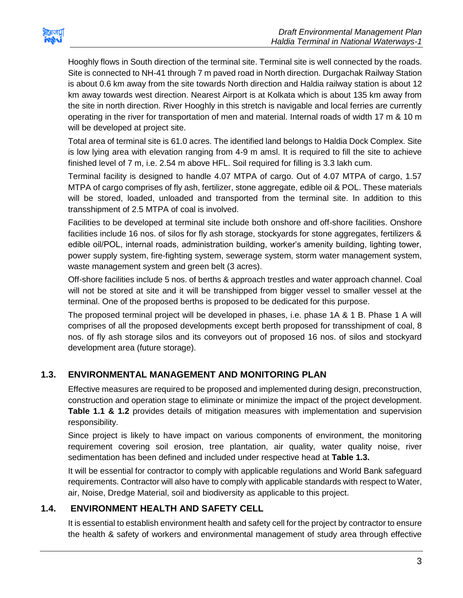

Hooghly flows in South direction of the terminal site. Terminal site is well connected by the roads. Site is connected to NH-41 through 7 m paved road in North direction. Durgachak Railway Station is about 0.6 km away from the site towards North direction and Haldia railway station is about 12 km away towards west direction. Nearest Airport is at Kolkata which is about 135 km away from the site in north direction. River Hooghly in this stretch is navigable and local ferries are currently operating in the river for transportation of men and material. Internal roads of width 17 m & 10 m will be developed at project site.

Total area of terminal site is 61.0 acres. The identified land belongs to Haldia Dock Complex. Site is low lying area with elevation ranging from 4-9 m amsl. It is required to fill the site to achieve finished level of 7 m, i.e. 2.54 m above HFL. Soil required for filling is 3.3 lakh cum.

Terminal facility is designed to handle 4.07 MTPA of cargo. Out of 4.07 MTPA of cargo, 1.57 MTPA of cargo comprises of fly ash, fertilizer, stone aggregate, edible oil & POL. These materials will be stored, loaded, unloaded and transported from the terminal site. In addition to this transshipment of 2.5 MTPA of coal is involved.

Facilities to be developed at terminal site include both onshore and off-shore facilities. Onshore facilities include 16 nos. of silos for fly ash storage, stockyards for stone aggregates, fertilizers & edible oil/POL, internal roads, administration building, worker's amenity building, lighting tower, power supply system, fire-fighting system, sewerage system, storm water management system, waste management system and green belt (3 acres).

Off-shore facilities include 5 nos. of berths & approach trestles and water approach channel. Coal will not be stored at site and it will be transhipped from bigger vessel to smaller vessel at the terminal. One of the proposed berths is proposed to be dedicated for this purpose.

The proposed terminal project will be developed in phases, i.e. phase 1A & 1 B. Phase 1 A will comprises of all the proposed developments except berth proposed for transshipment of coal, 8 nos. of fly ash storage silos and its conveyors out of proposed 16 nos. of silos and stockyard development area (future storage).

# <span id="page-3-0"></span>**1.3. ENVIRONMENTAL MANAGEMENT AND MONITORING PLAN**

Effective measures are required to be proposed and implemented during design, preconstruction, construction and operation stage to eliminate or minimize the impact of the project development. **Table 1.1 & 1.2** provides details of mitigation measures with implementation and supervision responsibility.

Since project is likely to have impact on various components of environment, the monitoring requirement covering soil erosion, tree plantation, air quality, water quality noise, river sedimentation has been defined and included under respective head at **Table 1.3.** 

It will be essential for contractor to comply with applicable regulations and World Bank safeguard requirements. Contractor will also have to comply with applicable standards with respect to Water, air, Noise, Dredge Material, soil and biodiversity as applicable to this project.

# **1.4. ENVIRONMENT HEALTH AND SAFETY CELL**

<span id="page-3-1"></span>It is essential to establish environment health and safety cell for the project by contractor to ensure the health & safety of workers and environmental management of study area through effective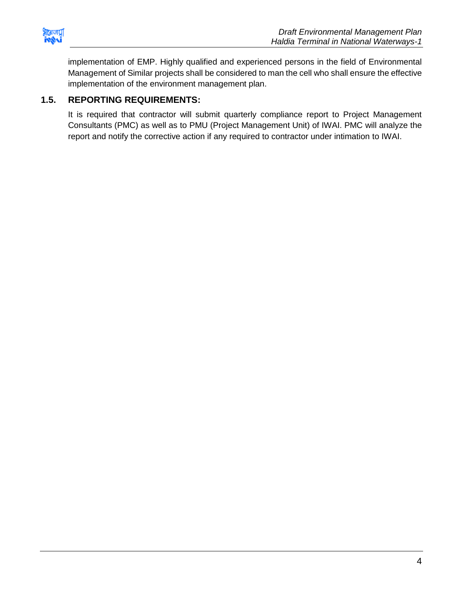

implementation of EMP. Highly qualified and experienced persons in the field of Environmental Management of Similar projects shall be considered to man the cell who shall ensure the effective implementation of the environment management plan.

# <span id="page-4-0"></span>**1.5. REPORTING REQUIREMENTS:**

It is required that contractor will submit quarterly compliance report to Project Management Consultants (PMC) as well as to PMU (Project Management Unit) of IWAI. PMC will analyze the report and notify the corrective action if any required to contractor under intimation to IWAI.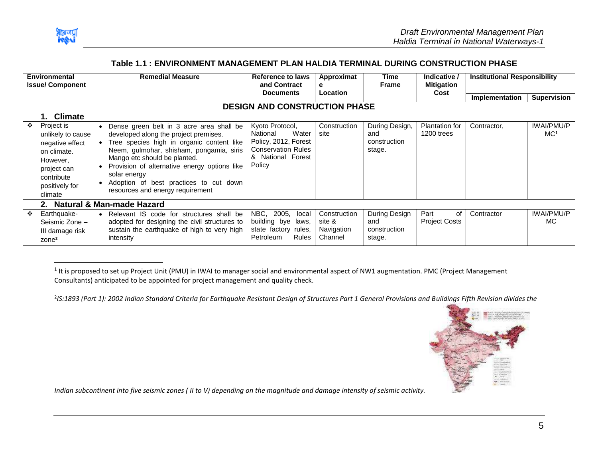

<span id="page-5-0"></span> $\overline{a}$ 

#### **Table 1.1 : ENVIRONMENT MANAGEMENT PLAN HALDIA TERMINAL DURING CONSTRUCTION PHASE**

| <b>Environmental</b><br><b>Issue/ Component</b> |                                                                                                                                         |                        | <b>Remedial Measure</b>                                                                                                                                                                                                                                                                                                                                  | <b>Reference to laws</b><br>and Contract<br><b>Documents</b>                                                             | Approximat<br>е<br>Location                     | Time<br><b>Frame</b>                            | Indicative /<br><b>Mitigation</b><br>Cost | <b>Institutional Responsibility</b> |                               |
|-------------------------------------------------|-----------------------------------------------------------------------------------------------------------------------------------------|------------------------|----------------------------------------------------------------------------------------------------------------------------------------------------------------------------------------------------------------------------------------------------------------------------------------------------------------------------------------------------------|--------------------------------------------------------------------------------------------------------------------------|-------------------------------------------------|-------------------------------------------------|-------------------------------------------|-------------------------------------|-------------------------------|
|                                                 |                                                                                                                                         |                        |                                                                                                                                                                                                                                                                                                                                                          |                                                                                                                          |                                                 |                                                 |                                           | Implementation                      | <b>Supervision</b>            |
|                                                 |                                                                                                                                         |                        |                                                                                                                                                                                                                                                                                                                                                          | <b>DESIGN AND CONSTRUCTION PHASE</b>                                                                                     |                                                 |                                                 |                                           |                                     |                               |
|                                                 | 1. Climate                                                                                                                              |                        |                                                                                                                                                                                                                                                                                                                                                          |                                                                                                                          |                                                 |                                                 |                                           |                                     |                               |
| ❖                                               | Project is<br>unlikely to cause<br>negative effect<br>on climate.<br>However,<br>project can<br>contribute<br>positively for<br>climate | $\bullet$<br>$\bullet$ | Dense green belt in 3 acre area shall be<br>developed along the project premises.<br>Tree species high in organic content like<br>Neem, gulmohar, shisham, pongamia, siris<br>Mango etc should be planted.<br>Provision of alternative energy options like<br>solar energy<br>Adoption of best practices to cut down<br>resources and energy requirement | Kyoto Protocol,<br>National<br>Water<br>Policy, 2012, Forest<br><b>Conservation Rules</b><br>& National Forest<br>Policy | Construction<br>site                            | During Design,<br>and<br>construction<br>stage. | <b>Plantation for</b><br>1200 trees       | Contractor,                         | IWAI/PMU/P<br>MC <sup>1</sup> |
|                                                 |                                                                                                                                         |                        | 2. Natural & Man-made Hazard                                                                                                                                                                                                                                                                                                                             |                                                                                                                          |                                                 |                                                 |                                           |                                     |                               |
| $\cdot$                                         | Earthquake-<br>Seismic Zone -<br>III damage risk<br>zone <sup>2</sup>                                                                   | $\bullet$              | Relevant IS code for structures shall be<br>adopted for designing the civil structures to<br>sustain the earthquake of high to very high<br>intensity                                                                                                                                                                                                    | NBC, 2005,<br>local<br>building bye<br>laws,<br>state factory rules,<br>Rules<br>Petroleum                               | Construction<br>site &<br>Navigation<br>Channel | During Design<br>and<br>construction<br>stage.  | Part<br>of<br><b>Project Costs</b>        | Contractor                          | <b>IWAI/PMU/P</b><br>MC.      |

<sup>&</sup>lt;sup>1</sup> It is proposed to set up Project Unit (PMU) in IWAI to manager social and environmental aspect of NW1 augmentation. PMC (Project Management Consultants) anticipated to be appointed for project management and quality check.

2 *IS:1893 (Part 1): 2002 Indian Standard Criteria for Earthquake Resistant Design of Structures Part 1 General Provisions and Buildings Fifth Revision divides the* 



*Indian subcontinent into five seismic zones ( II to V) depending on the magnitude and damage intensity of seismic activity.*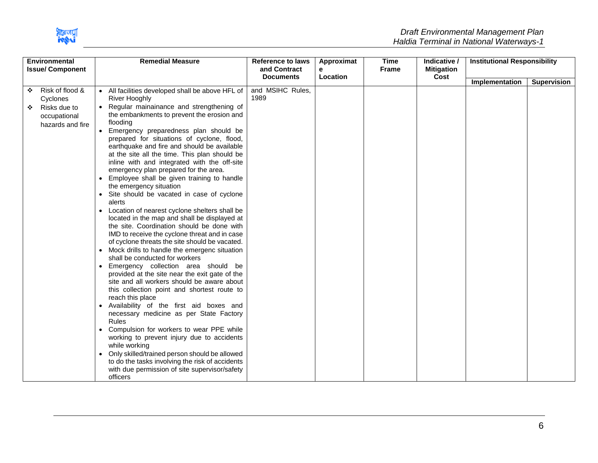

| <b>Environmental</b><br><b>Issue/Component</b>                                            | <b>Remedial Measure</b>                                                                                                                                                                                                                                                                                                                                                                                                                                                                                                                                                                                                                                                                                                                                                                                                                                                                                                                                                                                                                                                                                                                                                                                                                                                                                                                                                                                                                                                                                                                                         | <b>Reference to laws</b><br>and Contract | Approximat<br>е | <b>Time</b><br><b>Frame</b> | Indicative /<br><b>Mitigation</b> | <b>Institutional Responsibility</b> |                    |
|-------------------------------------------------------------------------------------------|-----------------------------------------------------------------------------------------------------------------------------------------------------------------------------------------------------------------------------------------------------------------------------------------------------------------------------------------------------------------------------------------------------------------------------------------------------------------------------------------------------------------------------------------------------------------------------------------------------------------------------------------------------------------------------------------------------------------------------------------------------------------------------------------------------------------------------------------------------------------------------------------------------------------------------------------------------------------------------------------------------------------------------------------------------------------------------------------------------------------------------------------------------------------------------------------------------------------------------------------------------------------------------------------------------------------------------------------------------------------------------------------------------------------------------------------------------------------------------------------------------------------------------------------------------------------|------------------------------------------|-----------------|-----------------------------|-----------------------------------|-------------------------------------|--------------------|
|                                                                                           |                                                                                                                                                                                                                                                                                                                                                                                                                                                                                                                                                                                                                                                                                                                                                                                                                                                                                                                                                                                                                                                                                                                                                                                                                                                                                                                                                                                                                                                                                                                                                                 | <b>Documents</b>                         | Location        |                             | Cost                              | Implementation                      | <b>Supervision</b> |
| Risk of flood &<br>❖<br>Cyclones<br>Risks due to<br>❖<br>occupational<br>hazards and fire | • All facilities developed shall be above HFL of<br>River Hooghly<br>• Regular mainainance and strengthening of<br>the embankments to prevent the erosion and<br>flooding<br>• Emergency preparedness plan should be<br>prepared for situations of cyclone, flood,<br>earthquake and fire and should be available<br>at the site all the time. This plan should be<br>inline with and integrated with the off-site<br>emergency plan prepared for the area.<br>• Employee shall be given training to handle<br>the emergency situation<br>Site should be vacated in case of cyclone<br>alerts<br>• Location of nearest cyclone shelters shall be<br>located in the map and shall be displayed at<br>the site. Coordination should be done with<br>IMD to receive the cyclone threat and in case<br>of cyclone threats the site should be vacated.<br>• Mock drills to handle the emergenc situation<br>shall be conducted for workers<br>• Emergency collection area should be<br>provided at the site near the exit gate of the<br>site and all workers should be aware about<br>this collection point and shortest route to<br>reach this place<br>• Availability of the first aid boxes and<br>necessary medicine as per State Factory<br><b>Rules</b><br>Compulsion for workers to wear PPE while<br>$\bullet$<br>working to prevent injury due to accidents<br>while working<br>Only skilled/trained person should be allowed<br>$\bullet$<br>to do the tasks involving the risk of accidents<br>with due permission of site supervisor/safety<br>officers | and MSIHC Rules,<br>1989                 |                 |                             |                                   |                                     |                    |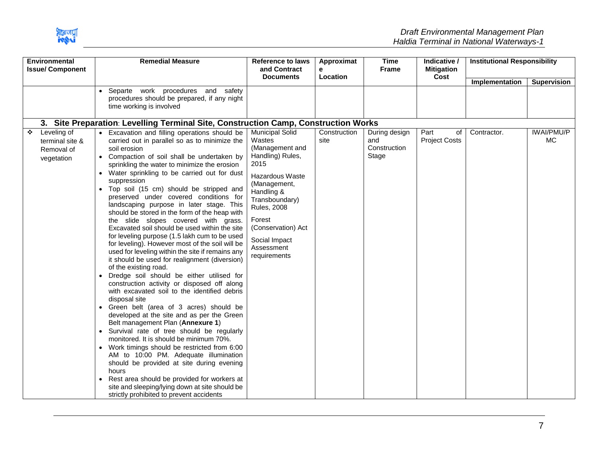

| <b>Remedial Measure</b>                                                                                                                                                                                                                                                                                                                                                                                                                                                                                                                                                                                                                                                                                                                                                                                                                                                                                                                                                                                                                                                                                                                                                                                                                                                                                                                                                                                              | <b>Reference to laws</b><br>and Contract                                                                                                                                                                                                                       | Approximat<br>е      | <b>Time</b><br><b>Frame</b>                   | Indicative /<br><b>Mitigation</b>                                                                                                     |                |                                     |
|----------------------------------------------------------------------------------------------------------------------------------------------------------------------------------------------------------------------------------------------------------------------------------------------------------------------------------------------------------------------------------------------------------------------------------------------------------------------------------------------------------------------------------------------------------------------------------------------------------------------------------------------------------------------------------------------------------------------------------------------------------------------------------------------------------------------------------------------------------------------------------------------------------------------------------------------------------------------------------------------------------------------------------------------------------------------------------------------------------------------------------------------------------------------------------------------------------------------------------------------------------------------------------------------------------------------------------------------------------------------------------------------------------------------|----------------------------------------------------------------------------------------------------------------------------------------------------------------------------------------------------------------------------------------------------------------|----------------------|-----------------------------------------------|---------------------------------------------------------------------------------------------------------------------------------------|----------------|-------------------------------------|
|                                                                                                                                                                                                                                                                                                                                                                                                                                                                                                                                                                                                                                                                                                                                                                                                                                                                                                                                                                                                                                                                                                                                                                                                                                                                                                                                                                                                                      |                                                                                                                                                                                                                                                                |                      |                                               |                                                                                                                                       | Implementation | <b>Supervision</b>                  |
| • Separte work procedures and safety<br>procedures should be prepared, if any night<br>time working is involved                                                                                                                                                                                                                                                                                                                                                                                                                                                                                                                                                                                                                                                                                                                                                                                                                                                                                                                                                                                                                                                                                                                                                                                                                                                                                                      |                                                                                                                                                                                                                                                                |                      |                                               |                                                                                                                                       |                |                                     |
|                                                                                                                                                                                                                                                                                                                                                                                                                                                                                                                                                                                                                                                                                                                                                                                                                                                                                                                                                                                                                                                                                                                                                                                                                                                                                                                                                                                                                      |                                                                                                                                                                                                                                                                |                      |                                               |                                                                                                                                       |                |                                     |
| • Excavation and filling operations should be<br>carried out in parallel so as to minimize the<br>soil erosion<br>• Compaction of soil shall be undertaken by<br>sprinkling the water to minimize the erosion<br>• Water sprinkling to be carried out for dust<br>suppression<br>Top soil (15 cm) should be stripped and<br>$\bullet$<br>preserved under covered conditions for<br>landscaping purpose in later stage. This<br>should be stored in the form of the heap with<br>the slide slopes covered with grass.<br>Excavated soil should be used within the site<br>for leveling purpose (1.5 lakh cum to be used<br>for leveling). However most of the soil will be<br>used for leveling within the site if remains any<br>it should be used for realignment (diversion)<br>of the existing road.<br>Dredge soil should be either utilised for<br>$\bullet$<br>construction activity or disposed off along<br>with excavated soil to the identified debris<br>disposal site<br>• Green belt (area of 3 acres) should be<br>developed at the site and as per the Green<br>Belt management Plan (Annexure 1)<br>Survival rate of tree should be regularly<br>monitored. It is should be minimum 70%.<br>• Work timings should be restricted from 6:00<br>AM to 10:00 PM. Adequate illumination<br>should be provided at site during evening<br>hours<br>Rest area should be provided for workers at<br>$\bullet$ | <b>Municipal Solid</b><br>Wastes<br>(Management and<br>Handling) Rules,<br>2015<br><b>Hazardous Waste</b><br>(Management,<br>Handling &<br>Transboundary)<br><b>Rules, 2008</b><br>Forest<br>(Conservation) Act<br>Social Impact<br>Assessment<br>requirements | Construction<br>site | During design<br>and<br>Construction<br>Stage | Part<br>οf<br><b>Project Costs</b>                                                                                                    | Contractor.    | <b>IWAI/PMU/P</b><br><b>MC</b>      |
|                                                                                                                                                                                                                                                                                                                                                                                                                                                                                                                                                                                                                                                                                                                                                                                                                                                                                                                                                                                                                                                                                                                                                                                                                                                                                                                                                                                                                      |                                                                                                                                                                                                                                                                | <b>Documents</b>     | Location                                      | 3. Site Preparation: Levelling Terminal Site, Construction Camp, Construction Works<br>site and sleeping/lying down at site should be | Cost           | <b>Institutional Responsibility</b> |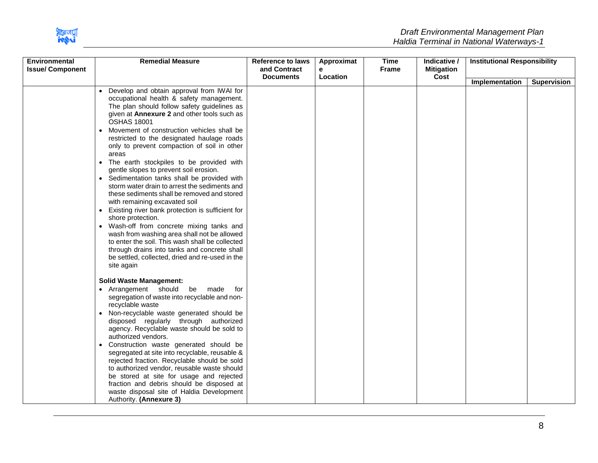

| Environmental<br><b>Issue/Component</b> | <b>Remedial Measure</b>                                                                                                                                                                                                                                                                                                                                                                                                                                                                                                                                                                                                                                                                                                                                                                                                                                                                                                                                                                                                                | <b>Reference to laws</b><br>and Contract | Approximat<br>е | <b>Time</b><br><b>Frame</b> | Indicative /<br><b>Mitigation</b> | <b>Institutional Responsibility</b> |                    |
|-----------------------------------------|----------------------------------------------------------------------------------------------------------------------------------------------------------------------------------------------------------------------------------------------------------------------------------------------------------------------------------------------------------------------------------------------------------------------------------------------------------------------------------------------------------------------------------------------------------------------------------------------------------------------------------------------------------------------------------------------------------------------------------------------------------------------------------------------------------------------------------------------------------------------------------------------------------------------------------------------------------------------------------------------------------------------------------------|------------------------------------------|-----------------|-----------------------------|-----------------------------------|-------------------------------------|--------------------|
|                                         |                                                                                                                                                                                                                                                                                                                                                                                                                                                                                                                                                                                                                                                                                                                                                                                                                                                                                                                                                                                                                                        | <b>Documents</b>                         | Location        |                             | Cost                              | Implementation                      | <b>Supervision</b> |
|                                         | Develop and obtain approval from IWAI for<br>occupational health & safety management.<br>The plan should follow safety guidelines as<br>given at <b>Annexure 2</b> and other tools such as<br><b>OSHAS 18001</b><br>Movement of construction vehicles shall be<br>$\bullet$<br>restricted to the designated haulage roads<br>only to prevent compaction of soil in other<br>areas<br>The earth stockpiles to be provided with<br>$\bullet$<br>gentle slopes to prevent soil erosion.<br>Sedimentation tanks shall be provided with<br>$\bullet$<br>storm water drain to arrest the sediments and<br>these sediments shall be removed and stored<br>with remaining excavated soil<br>• Existing river bank protection is sufficient for<br>shore protection.<br>Wash-off from concrete mixing tanks and<br>$\bullet$<br>wash from washing area shall not be allowed<br>to enter the soil. This wash shall be collected<br>through drains into tanks and concrete shall<br>be settled, collected, dried and re-used in the<br>site again |                                          |                 |                             |                                   |                                     |                    |
|                                         | <b>Solid Waste Management:</b><br>• Arrangement should be made<br>for<br>segregation of waste into recyclable and non-<br>recyclable waste<br>Non-recyclable waste generated should be<br>$\bullet$<br>disposed regularly through authorized<br>agency. Recyclable waste should be sold to<br>authorized vendors.<br>Construction waste generated should be<br>$\bullet$<br>segregated at site into recyclable, reusable &<br>rejected fraction. Recyclable should be sold<br>to authorized vendor, reusable waste should<br>be stored at site for usage and rejected<br>fraction and debris should be disposed at<br>waste disposal site of Haldia Development<br>Authority. (Annexure 3)                                                                                                                                                                                                                                                                                                                                             |                                          |                 |                             |                                   |                                     |                    |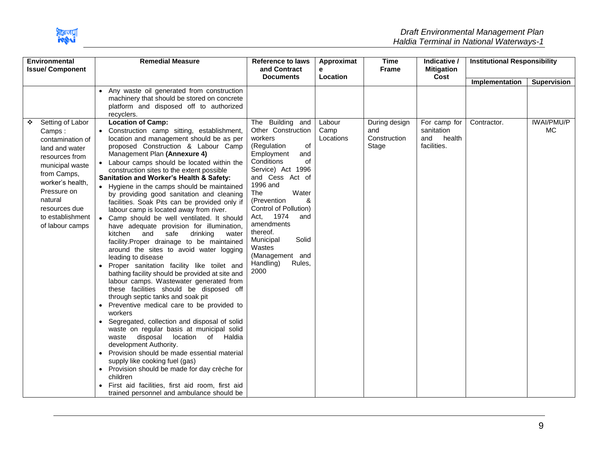

| <b>Environmental</b><br><b>Issue/Component</b>                                                                                                                                                         | <b>Remedial Measure</b>                                                                                                                                                                                                                                                                                                                                                                                                                                                                                                                                                                                                                                                                                                                                                                                                                                                                                                                                                                                                                                                                                                                                                                                                                                                                                                                                                                                                                                                              | <b>Reference to laws</b><br>and Contract                                                                                                                                                                                                                                                                                                        | Approximat<br>е   | <b>Time</b><br><b>Frame</b>  | Indicative /<br><b>Mitigation</b>          | <b>Institutional Responsibility</b> |                    |
|--------------------------------------------------------------------------------------------------------------------------------------------------------------------------------------------------------|--------------------------------------------------------------------------------------------------------------------------------------------------------------------------------------------------------------------------------------------------------------------------------------------------------------------------------------------------------------------------------------------------------------------------------------------------------------------------------------------------------------------------------------------------------------------------------------------------------------------------------------------------------------------------------------------------------------------------------------------------------------------------------------------------------------------------------------------------------------------------------------------------------------------------------------------------------------------------------------------------------------------------------------------------------------------------------------------------------------------------------------------------------------------------------------------------------------------------------------------------------------------------------------------------------------------------------------------------------------------------------------------------------------------------------------------------------------------------------------|-------------------------------------------------------------------------------------------------------------------------------------------------------------------------------------------------------------------------------------------------------------------------------------------------------------------------------------------------|-------------------|------------------------------|--------------------------------------------|-------------------------------------|--------------------|
|                                                                                                                                                                                                        |                                                                                                                                                                                                                                                                                                                                                                                                                                                                                                                                                                                                                                                                                                                                                                                                                                                                                                                                                                                                                                                                                                                                                                                                                                                                                                                                                                                                                                                                                      | <b>Documents</b>                                                                                                                                                                                                                                                                                                                                | Location          |                              | Cost                                       | Implementation                      | <b>Supervision</b> |
| Setting of Labor<br>❖                                                                                                                                                                                  | Any waste oil generated from construction<br>machinery that should be stored on concrete<br>platform and disposed off to authorized<br>recyclers.<br><b>Location of Camp:</b>                                                                                                                                                                                                                                                                                                                                                                                                                                                                                                                                                                                                                                                                                                                                                                                                                                                                                                                                                                                                                                                                                                                                                                                                                                                                                                        | The Building and                                                                                                                                                                                                                                                                                                                                | Labour            | During design                | For camp for                               | Contractor.                         | <b>IWAI/PMU/P</b>  |
| Camps:<br>contamination of<br>land and water<br>resources from<br>municipal waste<br>from Camps,<br>worker's health.<br>Pressure on<br>natural<br>resources due<br>to establishment<br>of labour camps | • Construction camp sitting, establishment,<br>location and management should be as per<br>proposed Construction & Labour Camp<br>Management Plan (Annexure 4)<br>• Labour camps should be located within the<br>construction sites to the extent possible<br>Sanitation and Worker's Health & Safety:<br>• Hygiene in the camps should be maintained<br>by providing good sanitation and cleaning<br>facilities. Soak Pits can be provided only if<br>labour camp is located away from river.<br>• Camp should be well ventilated. It should<br>have adequate provision for illumination,<br>safe<br>drinking<br>kitchen<br>and<br>water<br>facility. Proper drainage to be maintained<br>around the sites to avoid water logging<br>leading to disease<br>Proper sanitation facility like toilet and<br>bathing facility should be provided at site and<br>labour camps. Wastewater generated from<br>these facilities should be disposed off<br>through septic tanks and soak pit<br>Preventive medical care to be provided to<br>$\bullet$<br>workers<br>Segregated, collection and disposal of solid<br>waste on regular basis at municipal solid<br>disposal<br>location of Haldia<br>waste<br>development Authority.<br>Provision should be made essential material<br>supply like cooking fuel (gas)<br>Provision should be made for day crèche for<br>$\bullet$<br>children<br>First aid facilities, first aid room, first aid<br>trained personnel and ambulance should be | Other Construction<br>workers<br>(Regulation<br>of<br>Employment<br>and<br>Conditions<br>οf<br>Service) Act 1996<br>and Cess Act of<br>1996 and<br>The<br>Water<br>(Prevention<br>&<br>Control of Pollution)<br>1974<br>and<br>Act,<br>amendments<br>thereof.<br>Municipal<br>Solid<br>Wastes<br>(Management and<br>Handling)<br>Rules,<br>2000 | Camp<br>Locations | and<br>Construction<br>Stage | sanitation<br>and<br>health<br>facilities. |                                     | <b>MC</b>          |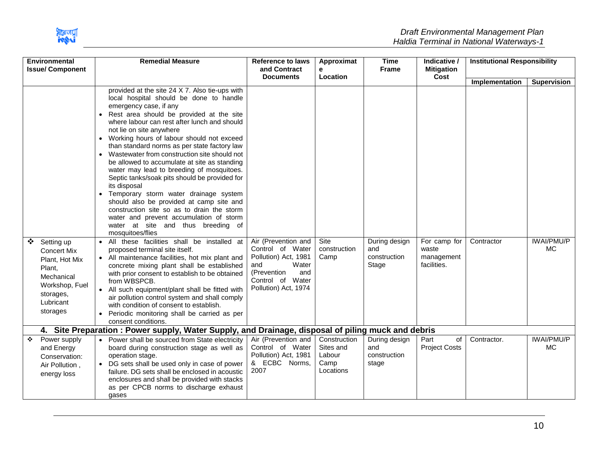

|   | Environmental<br><b>Issue/ Component</b>                                                       |                        | <b>Remedial Measure</b>                                                                                                                                                                                                                                                                                                                                                                                                                                                                                                                                                                                                                                                                                                                                                                                                                                                            | <b>Reference to laws</b><br>and Contract                                                               | Approximat<br>е                                          | <b>Time</b><br><b>Frame</b>                   | Indicative /<br><b>Mitigation</b>  | <b>Institutional Responsibility</b> |                                |
|---|------------------------------------------------------------------------------------------------|------------------------|------------------------------------------------------------------------------------------------------------------------------------------------------------------------------------------------------------------------------------------------------------------------------------------------------------------------------------------------------------------------------------------------------------------------------------------------------------------------------------------------------------------------------------------------------------------------------------------------------------------------------------------------------------------------------------------------------------------------------------------------------------------------------------------------------------------------------------------------------------------------------------|--------------------------------------------------------------------------------------------------------|----------------------------------------------------------|-----------------------------------------------|------------------------------------|-------------------------------------|--------------------------------|
|   |                                                                                                |                        |                                                                                                                                                                                                                                                                                                                                                                                                                                                                                                                                                                                                                                                                                                                                                                                                                                                                                    | <b>Documents</b>                                                                                       | Location                                                 |                                               | Cost                               | Implementation                      | <b>Supervision</b>             |
| ❖ | Setting up<br><b>Concert Mix</b>                                                               | $\bullet$<br>$\bullet$ | provided at the site 24 X 7. Also tie-ups with<br>local hospital should be done to handle<br>emergency case, if any<br>Rest area should be provided at the site<br>where labour can rest after lunch and should<br>not lie on site anywhere<br>• Working hours of labour should not exceed<br>than standard norms as per state factory law<br>Wastewater from construction site should not<br>be allowed to accumulate at site as standing<br>water may lead to breeding of mosquitoes.<br>Septic tanks/soak pits should be provided for<br>its disposal<br>Temporary storm water drainage system<br>should also be provided at camp site and<br>construction site so as to drain the storm<br>water and prevent accumulation of storm<br>water at site and thus breeding of<br>mosquitoes/flies<br>• All these facilities shall be installed at<br>proposed terminal site itself. | Air (Prevention and<br>Control of Water                                                                | Site<br>construction                                     | During design<br>and                          | For camp for<br>waste              | Contractor                          | <b>IWAI/PMU/P</b><br>MC.       |
|   | Plant, Hot Mix<br>Plant,<br>Mechanical<br>Workshop, Fuel<br>storages,<br>Lubricant<br>storages | $\bullet$              | • All maintenance facilities, hot mix plant and<br>concrete mixing plant shall be established<br>with prior consent to establish to be obtained<br>from WBSPCB.<br>All such equipment/plant shall be fitted with<br>air pollution control system and shall comply<br>with condition of consent to establish.<br>• Periodic monitoring shall be carried as per<br>consent conditions.                                                                                                                                                                                                                                                                                                                                                                                                                                                                                               | Pollution) Act, 1981<br>Water<br>and<br>(Prevention<br>and<br>Control of Water<br>Pollution) Act, 1974 | Camp                                                     | construction<br>Stage                         | management<br>facilities.          |                                     |                                |
|   |                                                                                                |                        | 4. Site Preparation: Power supply, Water Supply, and Drainage, disposal of piling muck and debris                                                                                                                                                                                                                                                                                                                                                                                                                                                                                                                                                                                                                                                                                                                                                                                  |                                                                                                        |                                                          |                                               |                                    |                                     |                                |
| ❖ | Power supply<br>and Energy<br>Conservation:<br>Air Pollution,<br>energy loss                   |                        | • Power shall be sourced from State electricity<br>board during construction stage as well as<br>operation stage.<br>• DG sets shall be used only in case of power<br>failure. DG sets shall be enclosed in acoustic<br>enclosures and shall be provided with stacks<br>as per CPCB norms to discharge exhaust<br>qases                                                                                                                                                                                                                                                                                                                                                                                                                                                                                                                                                            | Air (Prevention and<br>Control of Water<br>Pollution) Act, 1981<br>& ECBC Norms,<br>2007               | Construction<br>Sites and<br>Labour<br>Camp<br>Locations | During design<br>and<br>construction<br>stage | Part<br>of<br><b>Project Costs</b> | Contractor.                         | <b>IWAI/PMU/P</b><br><b>MC</b> |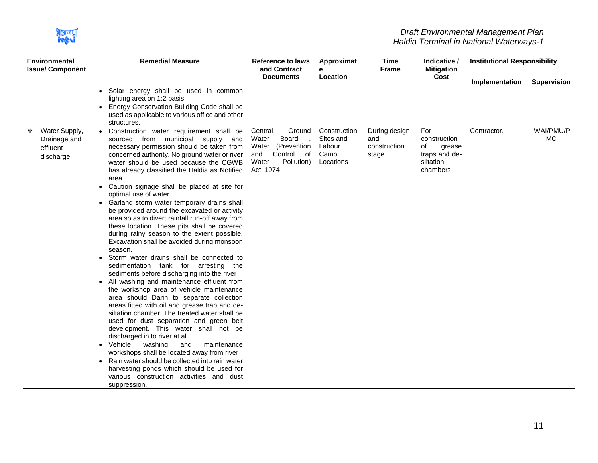

| Environmental<br><b>Issue/Component</b>                     | <b>Remedial Measure</b>                                                                                                                                                                                                                                                                                                                                                                                                                                                                                                                                                                                                                                                                                                                                                                                                                                                                                                                                                                                                                                                                                                                                                                                                                                                                                                                                                                                                             | <b>Reference to laws</b><br>and Contract                                                                                | Approximat<br>е                                          | <b>Time</b><br><b>Frame</b>                   | Indicative /<br><b>Mitigation</b>                                             | <b>Institutional Responsibility</b> |                                |
|-------------------------------------------------------------|-------------------------------------------------------------------------------------------------------------------------------------------------------------------------------------------------------------------------------------------------------------------------------------------------------------------------------------------------------------------------------------------------------------------------------------------------------------------------------------------------------------------------------------------------------------------------------------------------------------------------------------------------------------------------------------------------------------------------------------------------------------------------------------------------------------------------------------------------------------------------------------------------------------------------------------------------------------------------------------------------------------------------------------------------------------------------------------------------------------------------------------------------------------------------------------------------------------------------------------------------------------------------------------------------------------------------------------------------------------------------------------------------------------------------------------|-------------------------------------------------------------------------------------------------------------------------|----------------------------------------------------------|-----------------------------------------------|-------------------------------------------------------------------------------|-------------------------------------|--------------------------------|
|                                                             |                                                                                                                                                                                                                                                                                                                                                                                                                                                                                                                                                                                                                                                                                                                                                                                                                                                                                                                                                                                                                                                                                                                                                                                                                                                                                                                                                                                                                                     | <b>Documents</b>                                                                                                        | Location                                                 |                                               | Cost                                                                          | Implementation                      | <b>Supervision</b>             |
|                                                             | · Solar energy shall be used in common<br>lighting area on 1:2 basis.<br>• Energy Conservation Building Code shall be<br>used as applicable to various office and other<br>structures.                                                                                                                                                                                                                                                                                                                                                                                                                                                                                                                                                                                                                                                                                                                                                                                                                                                                                                                                                                                                                                                                                                                                                                                                                                              |                                                                                                                         |                                                          |                                               |                                                                               |                                     |                                |
| Water Supply,<br>❖<br>Drainage and<br>effluent<br>discharge | • Construction water requirement shall be<br>sourced from municipal supply and<br>necessary permission should be taken from<br>concerned authority. No ground water or river<br>water should be used because the CGWB<br>has already classified the Haldia as Notified<br>area.<br>Caution signage shall be placed at site for<br>$\bullet$<br>optimal use of water<br>• Garland storm water temporary drains shall<br>be provided around the excavated or activity<br>area so as to divert rainfall run-off away from<br>these location. These pits shall be covered<br>during rainy season to the extent possible.<br>Excavation shall be avoided during monsoon<br>season.<br>Storm water drains shall be connected to<br>sedimentation tank for arresting the<br>sediments before discharging into the river<br>All washing and maintenance effluent from<br>the workshop area of vehicle maintenance<br>area should Darin to separate collection<br>areas fitted with oil and grease trap and de-<br>siltation chamber. The treated water shall be<br>used for dust separation and green belt<br>development. This water shall not be<br>discharged in to river at all.<br>Vehicle<br>washing<br>and<br>maintenance<br>workshops shall be located away from river<br>• Rain water should be collected into rain water<br>harvesting ponds which should be used for<br>various construction activities and dust<br>suppression. | Ground<br>Central<br>Water<br>Board<br>Water<br>(Prevention<br>and<br>Control<br>of<br>Pollution)<br>Water<br>Act, 1974 | Construction<br>Sites and<br>Labour<br>Camp<br>Locations | During design<br>and<br>construction<br>stage | For<br>construction<br>of<br>grease<br>traps and de-<br>siltation<br>chambers | Contractor.                         | <b>IWAI/PMU/P</b><br><b>MC</b> |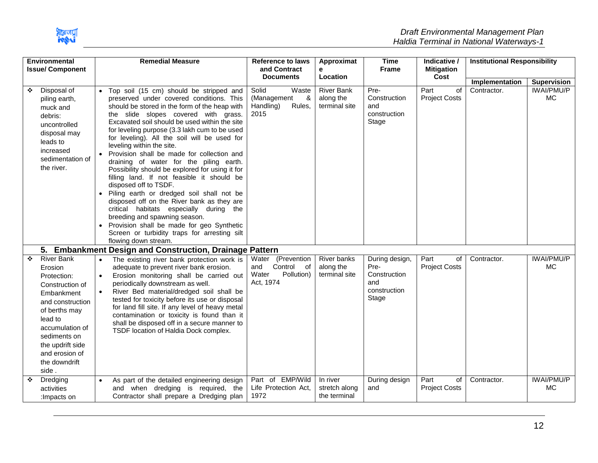| Environmental<br><b>Issue/Component</b>                                                                                                                                                                                              | <b>Remedial Measure</b>                                                                                                                                                                                                                                                                                                                                                                                                                                                                                                                                                                                                                                                                                                                                                                                                                                                                   | <b>Reference to laws</b><br>and Contract                                   | Approximat<br>е                                 | <b>Time</b><br><b>Frame</b>                                            | Indicative /<br><b>Mitigation</b>  | <b>Institutional Responsibility</b> |                                |
|--------------------------------------------------------------------------------------------------------------------------------------------------------------------------------------------------------------------------------------|-------------------------------------------------------------------------------------------------------------------------------------------------------------------------------------------------------------------------------------------------------------------------------------------------------------------------------------------------------------------------------------------------------------------------------------------------------------------------------------------------------------------------------------------------------------------------------------------------------------------------------------------------------------------------------------------------------------------------------------------------------------------------------------------------------------------------------------------------------------------------------------------|----------------------------------------------------------------------------|-------------------------------------------------|------------------------------------------------------------------------|------------------------------------|-------------------------------------|--------------------------------|
|                                                                                                                                                                                                                                      |                                                                                                                                                                                                                                                                                                                                                                                                                                                                                                                                                                                                                                                                                                                                                                                                                                                                                           | <b>Documents</b>                                                           | Location                                        |                                                                        | Cost                               | Implementation                      | <b>Supervision</b>             |
| Disposal of<br>❖<br>piling earth,<br>muck and<br>debris:<br>uncontrolled<br>disposal may<br>leads to<br>increased<br>sedimentation of<br>the river.                                                                                  | • Top soil (15 cm) should be stripped and<br>preserved under covered conditions. This<br>should be stored in the form of the heap with<br>the slide slopes covered with grass.<br>Excavated soil should be used within the site<br>for leveling purpose (3.3 lakh cum to be used<br>for leveling). All the soil will be used for<br>leveling within the site.<br>Provision shall be made for collection and<br>$\bullet$<br>draining of water for the piling earth.<br>Possibility should be explored for using it for<br>filling land. If not feasible it should be<br>disposed off to TSDF.<br>Piling earth or dredged soil shall not be<br>disposed off on the River bank as they are<br>critical habitats especially during the<br>breeding and spawning season.<br>Provision shall be made for geo Synthetic<br>Screen or turbidity traps for arresting silt<br>flowing down stream. | Solid<br>Waste<br>(Management<br>୍ଷ<br>Handling)<br>Rules,<br>2015         | <b>River Bank</b><br>along the<br>terminal site | Pre-<br>Construction<br>and<br>construction<br>Stage                   | Part<br>of<br><b>Project Costs</b> | Contractor.                         | <b>IWAI/PMU/P</b><br><b>MC</b> |
|                                                                                                                                                                                                                                      | 5. Embankment Design and Construction, Drainage Pattern                                                                                                                                                                                                                                                                                                                                                                                                                                                                                                                                                                                                                                                                                                                                                                                                                                   |                                                                            |                                                 |                                                                        |                                    |                                     |                                |
| <b>River Bank</b><br>❖<br>Erosion<br>Protection:<br>Construction of<br>Embankment<br>and construction<br>of berths may<br>lead to<br>accumulation of<br>sediments on<br>the updrift side<br>and erosion of<br>the downdrift<br>side. | The existing river bank protection work is<br>adequate to prevent river bank erosion.<br>Erosion monitoring shall be carried out<br>$\bullet$<br>periodically downstream as well.<br>River Bed material/dredged soil shall be<br>tested for toxicity before its use or disposal<br>for land fill site. If any level of heavy metal<br>contamination or toxicity is found than it<br>shall be disposed off in a secure manner to<br>TSDF location of Haldia Dock complex.                                                                                                                                                                                                                                                                                                                                                                                                                  | Water (Prevention<br>Control of<br>and<br>Water<br>Pollution)<br>Act, 1974 | River banks<br>along the<br>terminal site       | During design,<br>Pre-<br>Construction<br>and<br>construction<br>Stage | Part<br>of<br><b>Project Costs</b> | Contractor.                         | <b>IWAI/PMU/P</b><br>MC        |
| Dredging<br>❖<br>activities<br>: Impacts on                                                                                                                                                                                          | As part of the detailed engineering design<br>and when dredging is required, the<br>Contractor shall prepare a Dredging plan                                                                                                                                                                                                                                                                                                                                                                                                                                                                                                                                                                                                                                                                                                                                                              | Part of EMP/Wild<br>Life Protection Act,<br>1972                           | In river<br>stretch along<br>the terminal       | During design<br>and                                                   | Part<br>of<br><b>Project Costs</b> | Contractor.                         | <b>IWAI/PMU/P</b><br><b>MC</b> |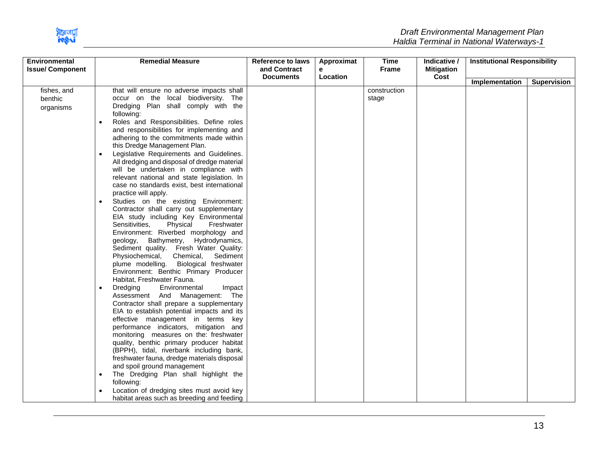

| <b>Environmental</b><br><b>Issue/Component</b> |                        | <b>Remedial Measure</b>                                                                                                                                                                                                                                                                                                                                                                                                                                                                                  | <b>Reference to laws</b><br>and Contract | Approximat<br>е | <b>Time</b><br><b>Frame</b> | Indicative /<br><b>Mitigation</b> | <b>Institutional Responsibility</b> |                    |
|------------------------------------------------|------------------------|----------------------------------------------------------------------------------------------------------------------------------------------------------------------------------------------------------------------------------------------------------------------------------------------------------------------------------------------------------------------------------------------------------------------------------------------------------------------------------------------------------|------------------------------------------|-----------------|-----------------------------|-----------------------------------|-------------------------------------|--------------------|
|                                                |                        |                                                                                                                                                                                                                                                                                                                                                                                                                                                                                                          | <b>Documents</b>                         | Location        |                             | Cost                              | Implementation                      | <b>Supervision</b> |
| fishes, and<br>benthic<br>organisms            |                        | that will ensure no adverse impacts shall<br>occur on the local biodiversity. The<br>Plan shall comply with the<br>Dredging<br>following:                                                                                                                                                                                                                                                                                                                                                                |                                          |                 | construction<br>stage       |                                   |                                     |                    |
|                                                | $\bullet$              | Roles and Responsibilities. Define roles<br>and responsibilities for implementing and<br>adhering to the commitments made within<br>this Dredge Management Plan.                                                                                                                                                                                                                                                                                                                                         |                                          |                 |                             |                                   |                                     |                    |
|                                                | $\bullet$              | Legislative Requirements and Guidelines.<br>All dredging and disposal of dredge material<br>will be undertaken in compliance with<br>relevant national and state legislation. In<br>case no standards exist, best international<br>practice will apply.                                                                                                                                                                                                                                                  |                                          |                 |                             |                                   |                                     |                    |
|                                                | $\bullet$              | Studies on the existing Environment:<br>Contractor shall carry out supplementary<br>EIA study including Key Environmental<br>Physical<br>Sensitivities,<br>Freshwater<br>Environment: Riverbed morphology and<br>geology, Bathymetry, Hydrodynamics,<br>Sediment quality. Fresh Water Quality:<br>Chemical,<br>Physiochemical,<br>Sediment<br>plume modelling. Biological freshwater<br>Environment: Benthic Primary Producer<br>Habitat, Freshwater Fauna.                                              |                                          |                 |                             |                                   |                                     |                    |
|                                                | $\bullet$<br>$\bullet$ | Dredging<br>Environmental<br>Impact<br>Assessment And Management: The<br>Contractor shall prepare a supplementary<br>EIA to establish potential impacts and its<br>effective management in terms key<br>performance indicators, mitigation and<br>monitoring measures on the: freshwater<br>quality, benthic primary producer habitat<br>(BPPH), tidal, riverbank including bank,<br>freshwater fauna, dredge materials disposal<br>and spoil ground management<br>The Dredging Plan shall highlight the |                                          |                 |                             |                                   |                                     |                    |
|                                                |                        | following:<br>Location of dredging sites must avoid key<br>habitat areas such as breeding and feeding                                                                                                                                                                                                                                                                                                                                                                                                    |                                          |                 |                             |                                   |                                     |                    |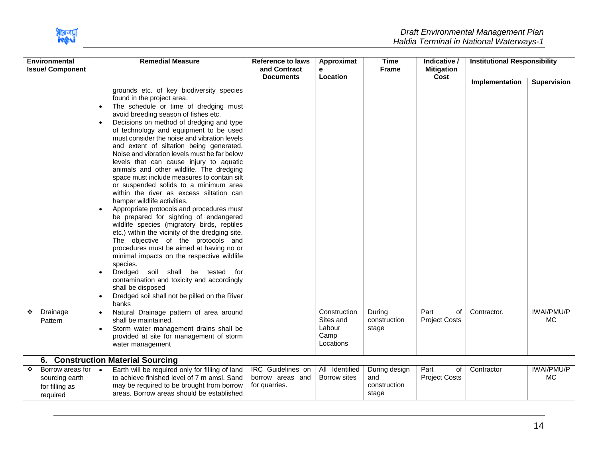

|   | <b>Environmental</b><br><b>Issue/Component</b>                   |                                                  | <b>Remedial Measure</b>                                                                                                                                                                                                                                                                                                                                                                                                                                                                                                                                                                                                                                                                                                                                                                                                                                                                                                                                                                                                                                                                                                                          | Reference to laws<br>and Contract                      | Approximat<br>e                                          | <b>Time</b><br>Frame                          | Indicative /<br><b>Mitigation</b>  | <b>Institutional Responsibility</b> |                                |
|---|------------------------------------------------------------------|--------------------------------------------------|--------------------------------------------------------------------------------------------------------------------------------------------------------------------------------------------------------------------------------------------------------------------------------------------------------------------------------------------------------------------------------------------------------------------------------------------------------------------------------------------------------------------------------------------------------------------------------------------------------------------------------------------------------------------------------------------------------------------------------------------------------------------------------------------------------------------------------------------------------------------------------------------------------------------------------------------------------------------------------------------------------------------------------------------------------------------------------------------------------------------------------------------------|--------------------------------------------------------|----------------------------------------------------------|-----------------------------------------------|------------------------------------|-------------------------------------|--------------------------------|
|   |                                                                  |                                                  |                                                                                                                                                                                                                                                                                                                                                                                                                                                                                                                                                                                                                                                                                                                                                                                                                                                                                                                                                                                                                                                                                                                                                  | <b>Documents</b>                                       | Location                                                 |                                               | Cost                               | Implementation                      | <b>Supervision</b>             |
|   |                                                                  | $\bullet$<br>$\bullet$<br>$\bullet$<br>$\bullet$ | grounds etc. of key biodiversity species<br>found in the project area.<br>The schedule or time of dredging must<br>avoid breeding season of fishes etc.<br>Decisions on method of dredging and type<br>of technology and equipment to be used<br>must consider the noise and vibration levels<br>and extent of siltation being generated.<br>Noise and vibration levels must be far below<br>levels that can cause injury to aquatic<br>animals and other wildlife. The dredging<br>space must include measures to contain silt<br>or suspended solids to a minimum area<br>within the river as excess siltation can<br>hamper wildlife activities.<br>Appropriate protocols and procedures must<br>be prepared for sighting of endangered<br>wildlife species (migratory birds, reptiles<br>etc.) within the vicinity of the dredging site.<br>The objective of the protocols and<br>procedures must be aimed at having no or<br>minimal impacts on the respective wildlife<br>species.<br>Dredged soil shall be tested for<br>contamination and toxicity and accordingly<br>shall be disposed<br>Dredged soil shall not be pilled on the River |                                                        |                                                          |                                               |                                    |                                     |                                |
| ❖ | Drainage<br>Pattern                                              | $\bullet$<br>$\bullet$                           | banks<br>Natural Drainage pattern of area around<br>shall be maintained.<br>Storm water management drains shall be<br>provided at site for management of storm<br>water management                                                                                                                                                                                                                                                                                                                                                                                                                                                                                                                                                                                                                                                                                                                                                                                                                                                                                                                                                               |                                                        | Construction<br>Sites and<br>Labour<br>Camp<br>Locations | During<br>construction<br>stage               | Part<br>of<br><b>Project Costs</b> | Contractor.                         | <b>IWAI/PMU/P</b><br><b>MC</b> |
|   |                                                                  |                                                  | 6. Construction Material Sourcing                                                                                                                                                                                                                                                                                                                                                                                                                                                                                                                                                                                                                                                                                                                                                                                                                                                                                                                                                                                                                                                                                                                |                                                        |                                                          |                                               |                                    |                                     |                                |
| ❖ | Borrow areas for<br>sourcing earth<br>for filling as<br>required |                                                  | Earth will be required only for filling of land<br>to achieve finished level of 7 m amsl. Sand<br>may be required to be brought from borrow<br>areas. Borrow areas should be established                                                                                                                                                                                                                                                                                                                                                                                                                                                                                                                                                                                                                                                                                                                                                                                                                                                                                                                                                         | IRC Guidelines on<br>borrow areas and<br>for quarries. | All Identified<br>Borrow sites                           | During design<br>and<br>construction<br>stage | Part<br>of<br><b>Project Costs</b> | Contractor                          | <b>IWAI/PMU/P</b><br><b>MC</b> |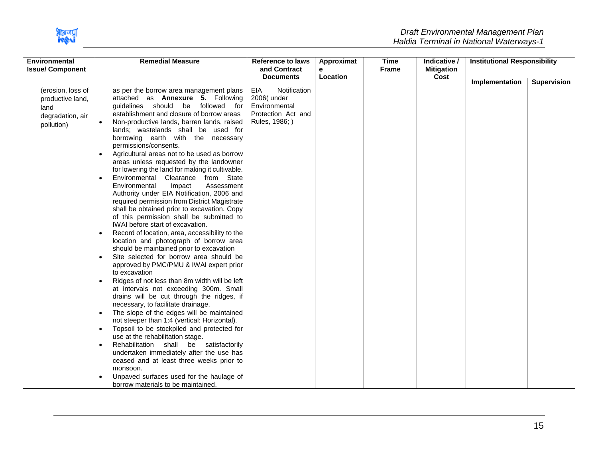| <b>Environmental</b><br><b>Issue/ Component</b>                                 | <b>Remedial Measure</b>                                                                                                                                                                                                                                                                                                                                                                                                                                                                                                                                                                                                                                                                                                                                                                                                                                                                                                                                                                                                                                                                                                                                                                                                                                                                                                                                                                                                                                  | <b>Reference to laws</b><br>and Contract                                                                       | Approximat<br>е | <b>Time</b><br><b>Frame</b> | Indicative /<br><b>Mitigation</b> | <b>Institutional Responsibility</b><br>Cost |             |
|---------------------------------------------------------------------------------|----------------------------------------------------------------------------------------------------------------------------------------------------------------------------------------------------------------------------------------------------------------------------------------------------------------------------------------------------------------------------------------------------------------------------------------------------------------------------------------------------------------------------------------------------------------------------------------------------------------------------------------------------------------------------------------------------------------------------------------------------------------------------------------------------------------------------------------------------------------------------------------------------------------------------------------------------------------------------------------------------------------------------------------------------------------------------------------------------------------------------------------------------------------------------------------------------------------------------------------------------------------------------------------------------------------------------------------------------------------------------------------------------------------------------------------------------------|----------------------------------------------------------------------------------------------------------------|-----------------|-----------------------------|-----------------------------------|---------------------------------------------|-------------|
|                                                                                 |                                                                                                                                                                                                                                                                                                                                                                                                                                                                                                                                                                                                                                                                                                                                                                                                                                                                                                                                                                                                                                                                                                                                                                                                                                                                                                                                                                                                                                                          |                                                                                                                |                 |                             |                                   |                                             |             |
| (erosion, loss of<br>productive land,<br>land<br>degradation, air<br>pollution) | as per the borrow area management plans<br>attached as <b>Annexure 5.</b> Following<br>guidelines should be followed for<br>establishment and closure of borrow areas<br>Non-productive lands, barren lands, raised<br>$\bullet$<br>lands; wastelands shall be used for<br>borrowing earth with the necessary<br>permissions/consents.<br>Agricultural areas not to be used as borrow<br>$\bullet$<br>areas unless requested by the landowner<br>for lowering the land for making it cultivable.<br>Environmental Clearance<br>from State<br>$\bullet$<br>Impact<br>Assessment<br>Environmental<br>Authority under EIA Notification, 2006 and<br>required permission from District Magistrate<br>shall be obtained prior to excavation. Copy<br>of this permission shall be submitted to<br>IWAI before start of excavation.<br>Record of location, area, accessibility to the<br>location and photograph of borrow area<br>should be maintained prior to excavation<br>Site selected for borrow area should be<br>$\bullet$<br>approved by PMC/PMU & IWAI expert prior<br>to excavation<br>Ridges of not less than 8m width will be left<br>$\bullet$<br>at intervals not exceeding 300m. Small<br>drains will be cut through the ridges, if<br>necessary, to facilitate drainage.<br>The slope of the edges will be maintained<br>$\bullet$<br>not steeper than 1:4 (vertical: Horizontal).<br>Topsoil to be stockpiled and protected for<br>$\bullet$ | <b>Documents</b><br>EIA<br>Notification<br>2006( under<br>Environmental<br>Protection Act and<br>Rules, 1986;) | Location        |                             |                                   | Implementation                              | Supervision |
|                                                                                 | use at the rehabilitation stage.<br>Rehabilitation shall be satisfactorily<br>$\bullet$<br>undertaken immediately after the use has<br>ceased and at least three weeks prior to<br>monsoon.<br>Unpaved surfaces used for the haulage of<br>borrow materials to be maintained.                                                                                                                                                                                                                                                                                                                                                                                                                                                                                                                                                                                                                                                                                                                                                                                                                                                                                                                                                                                                                                                                                                                                                                            |                                                                                                                |                 |                             |                                   |                                             |             |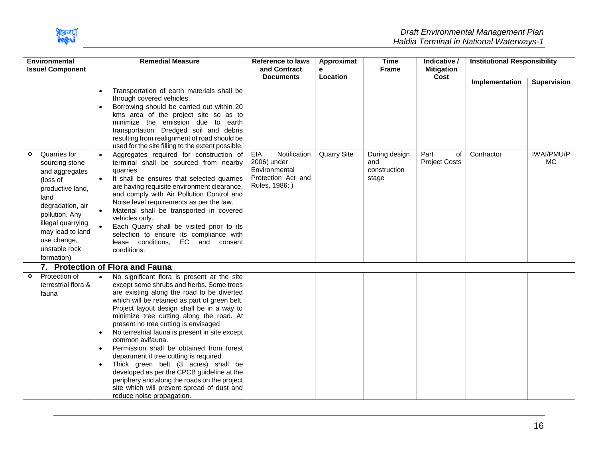

| <b>Environmental</b>                                                                                                                                                                                                       | <b>Remedial Measure</b>             |                                                                                                                                                                                                                                                                                                                                                                                                                                                                                                                                                                                                                                                                                                       | <b>Reference to laws</b>                                                                  | Approximat         | <b>Time</b>                                   | Indicative /                       | <b>Institutional Responsibility</b> |                                |
|----------------------------------------------------------------------------------------------------------------------------------------------------------------------------------------------------------------------------|-------------------------------------|-------------------------------------------------------------------------------------------------------------------------------------------------------------------------------------------------------------------------------------------------------------------------------------------------------------------------------------------------------------------------------------------------------------------------------------------------------------------------------------------------------------------------------------------------------------------------------------------------------------------------------------------------------------------------------------------------------|-------------------------------------------------------------------------------------------|--------------------|-----------------------------------------------|------------------------------------|-------------------------------------|--------------------------------|
| <b>Issue/Component</b>                                                                                                                                                                                                     |                                     |                                                                                                                                                                                                                                                                                                                                                                                                                                                                                                                                                                                                                                                                                                       | and Contract<br><b>Documents</b>                                                          | е<br>Location      | <b>Frame</b>                                  | <b>Mitigation</b><br>Cost          |                                     |                                |
|                                                                                                                                                                                                                            |                                     |                                                                                                                                                                                                                                                                                                                                                                                                                                                                                                                                                                                                                                                                                                       |                                                                                           |                    |                                               |                                    | Implementation                      | <b>Supervision</b>             |
|                                                                                                                                                                                                                            | $\bullet$<br>$\bullet$              | Transportation of earth materials shall be<br>through covered vehicles.<br>Borrowing should be carried out within 20<br>kms area of the project site so as to<br>minimize the emission due to earth<br>transportation. Dredged soil and debris<br>resulting from realignment of road should be<br>used for the site filling to the extent possible.                                                                                                                                                                                                                                                                                                                                                   |                                                                                           |                    |                                               |                                    |                                     |                                |
| Quarries for<br>❖<br>sourcing stone<br>and aggregates<br>(loss of<br>productive land,<br>land<br>degradation, air<br>pollution. Any<br>illegal quarrying<br>may lead to land<br>use change,<br>unstable rock<br>formation) | $\bullet$                           | Aggregates required for construction of<br>terminal shall be sourced from nearby<br>quarries<br>It shall be ensures that selected quarries<br>are having requisite environment clearance,<br>and comply with Air Pollution Control and<br>Noise level requirements as per the law.<br>Material shall be transported in covered<br>vehicles only.<br>Each Quarry shall be visited prior to its<br>selection to ensure its compliance with<br>lease conditions,<br>EC and consent<br>conditions.                                                                                                                                                                                                        | EIA<br>Notification<br>2006(under<br>Environmental<br>Protection Act and<br>Rules, 1986;) | <b>Quarry Site</b> | During design<br>and<br>construction<br>stage | Part<br>of<br><b>Project Costs</b> | Contractor                          | <b>IWAI/PMU/P</b><br><b>MC</b> |
|                                                                                                                                                                                                                            |                                     | 7. Protection of Flora and Fauna                                                                                                                                                                                                                                                                                                                                                                                                                                                                                                                                                                                                                                                                      |                                                                                           |                    |                                               |                                    |                                     |                                |
| Protection of<br>❖<br>terrestrial flora &<br>fauna                                                                                                                                                                         | $\bullet$<br>$\bullet$<br>$\bullet$ | No significant flora is present at the site<br>except some shrubs and herbs. Some trees<br>are existing along the road to be diverted<br>which will be retained as part of green belt.<br>Project layout design shall be in a way to<br>minimize tree cutting along the road. At<br>present no tree cutting is envisaged<br>No terrestrial fauna is present in site except<br>common avifauna.<br>Permission shall be obtained from forest<br>department if tree cutting is required.<br>Thick green belt (3 acres) shall be<br>developed as per the CPCB guideline at the<br>periphery and along the roads on the project<br>site which will prevent spread of dust and<br>reduce noise propagation. |                                                                                           |                    |                                               |                                    |                                     |                                |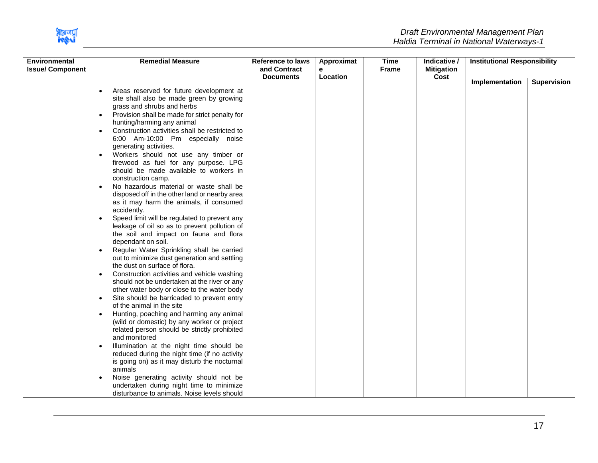

| <b>Environmental</b><br><b>Issue/Component</b> | <b>Remedial Measure</b>                                                                                                                                                           | <b>Reference to laws</b><br>and Contract | Approximat<br>е | <b>Time</b><br><b>Frame</b> | Indicative /<br><b>Mitigation</b> | <b>Institutional Responsibility</b> |                    |
|------------------------------------------------|-----------------------------------------------------------------------------------------------------------------------------------------------------------------------------------|------------------------------------------|-----------------|-----------------------------|-----------------------------------|-------------------------------------|--------------------|
|                                                |                                                                                                                                                                                   | <b>Documents</b>                         | Location        |                             | Cost                              | Implementation                      | <b>Supervision</b> |
|                                                | Areas reserved for future development at<br>site shall also be made green by growing<br>grass and shrubs and herbs<br>Provision shall be made for strict penalty for<br>$\bullet$ |                                          |                 |                             |                                   |                                     |                    |
|                                                | hunting/harming any animal                                                                                                                                                        |                                          |                 |                             |                                   |                                     |                    |
|                                                | Construction activities shall be restricted to<br>6:00 Am-10:00 Pm especially noise<br>generating activities.                                                                     |                                          |                 |                             |                                   |                                     |                    |
|                                                | Workers should not use any timber or<br>firewood as fuel for any purpose. LPG<br>should be made available to workers in<br>construction camp.                                     |                                          |                 |                             |                                   |                                     |                    |
|                                                | No hazardous material or waste shall be<br>$\bullet$<br>disposed off in the other land or nearby area<br>as it may harm the animals, if consumed<br>accidently.                   |                                          |                 |                             |                                   |                                     |                    |
|                                                | Speed limit will be regulated to prevent any<br>leakage of oil so as to prevent pollution of<br>the soil and impact on fauna and flora<br>dependant on soil.                      |                                          |                 |                             |                                   |                                     |                    |
|                                                | Regular Water Sprinkling shall be carried<br>$\bullet$<br>out to minimize dust generation and settling<br>the dust on surface of flora.                                           |                                          |                 |                             |                                   |                                     |                    |
|                                                | Construction activities and vehicle washing<br>should not be undertaken at the river or any<br>other water body or close to the water body                                        |                                          |                 |                             |                                   |                                     |                    |
|                                                | Site should be barricaded to prevent entry<br>$\bullet$<br>of the animal in the site                                                                                              |                                          |                 |                             |                                   |                                     |                    |
|                                                | Hunting, poaching and harming any animal<br>$\bullet$<br>(wild or domestic) by any worker or project<br>related person should be strictly prohibited<br>and monitored             |                                          |                 |                             |                                   |                                     |                    |
|                                                | Illumination at the night time should be<br>$\bullet$<br>reduced during the night time (if no activity<br>is going on) as it may disturb the nocturnal<br>animals                 |                                          |                 |                             |                                   |                                     |                    |
|                                                | Noise generating activity should not be<br>undertaken during night time to minimize<br>disturbance to animals. Noise levels should                                                |                                          |                 |                             |                                   |                                     |                    |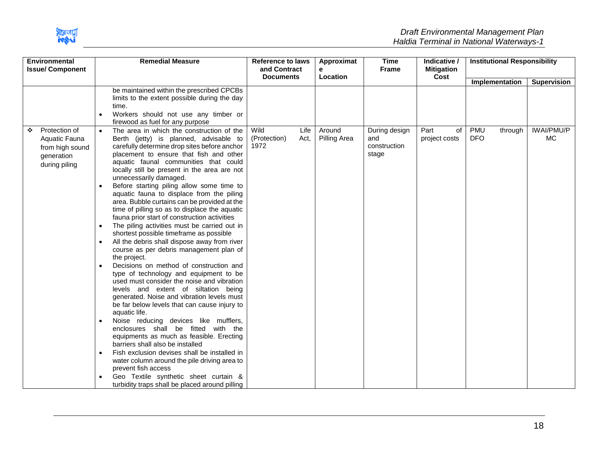

| <b>Environmental</b><br><b>Issue/ Component</b>                                       | <b>Remedial Measure</b>                                                    | <b>Reference to laws</b><br>and Contract                                                                                                                                                                                                                                                                                                                                                                                                                                                                                                                                                                                                                                                                                                                                                                                                                                                                                                                                                                                                                                                                                                                                                                                                                                                                                                                                                                                       | Approximat<br>е<br>Location                  | <b>Time</b><br><b>Frame</b> | Indicative /<br><b>Mitigation</b>             |                             | <b>Institutional Responsibility</b> |                |                                |
|---------------------------------------------------------------------------------------|----------------------------------------------------------------------------|--------------------------------------------------------------------------------------------------------------------------------------------------------------------------------------------------------------------------------------------------------------------------------------------------------------------------------------------------------------------------------------------------------------------------------------------------------------------------------------------------------------------------------------------------------------------------------------------------------------------------------------------------------------------------------------------------------------------------------------------------------------------------------------------------------------------------------------------------------------------------------------------------------------------------------------------------------------------------------------------------------------------------------------------------------------------------------------------------------------------------------------------------------------------------------------------------------------------------------------------------------------------------------------------------------------------------------------------------------------------------------------------------------------------------------|----------------------------------------------|-----------------------------|-----------------------------------------------|-----------------------------|-------------------------------------|----------------|--------------------------------|
|                                                                                       |                                                                            |                                                                                                                                                                                                                                                                                                                                                                                                                                                                                                                                                                                                                                                                                                                                                                                                                                                                                                                                                                                                                                                                                                                                                                                                                                                                                                                                                                                                                                | <b>Documents</b>                             |                             |                                               | Cost                        |                                     | Implementation | <b>Supervision</b>             |
|                                                                                       | time.<br>$\bullet$                                                         | be maintained within the prescribed CPCBs<br>limits to the extent possible during the day<br>Workers should not use any timber or<br>firewood as fuel for any purpose                                                                                                                                                                                                                                                                                                                                                                                                                                                                                                                                                                                                                                                                                                                                                                                                                                                                                                                                                                                                                                                                                                                                                                                                                                                          |                                              |                             |                                               |                             |                                     |                |                                |
| Protection of<br>❖<br>Aquatic Fauna<br>from high sound<br>generation<br>during piling | $\bullet$<br>$\bullet$<br>$\bullet$<br>$\bullet$<br>$\bullet$<br>$\bullet$ | The area in which the construction of the<br>Berth (jetty) is planned, advisable to<br>carefully determine drop sites before anchor<br>placement to ensure that fish and other<br>aquatic faunal communities that could<br>locally still be present in the area are not<br>unnecessarily damaged.<br>Before starting piling allow some time to<br>aquatic fauna to displace from the piling<br>area. Bubble curtains can be provided at the<br>time of pilling so as to displace the aquatic<br>fauna prior start of construction activities<br>The piling activities must be carried out in<br>shortest possible timeframe as possible<br>All the debris shall dispose away from river<br>course as per debris management plan of<br>the project.<br>Decisions on method of construction and<br>type of technology and equipment to be<br>used must consider the noise and vibration<br>levels and extent of siltation being<br>generated. Noise and vibration levels must<br>be far below levels that can cause injury to<br>aquatic life.<br>Noise reducing devices like mufflers,<br>enclosures shall be fitted with the<br>equipments as much as feasible. Erecting<br>barriers shall also be installed<br>Fish exclusion devises shall be installed in<br>water column around the pile driving area to<br>prevent fish access<br>Geo Textile synthetic sheet curtain &<br>turbidity traps shall be placed around pilling | Wild<br>Life<br>(Protection)<br>Act,<br>1972 | Around<br>Pilling Area      | During design<br>and<br>construction<br>stage | Part<br>of<br>project costs | <b>PMU</b><br><b>DFO</b>            | through        | <b>IWAI/PMU/P</b><br><b>MC</b> |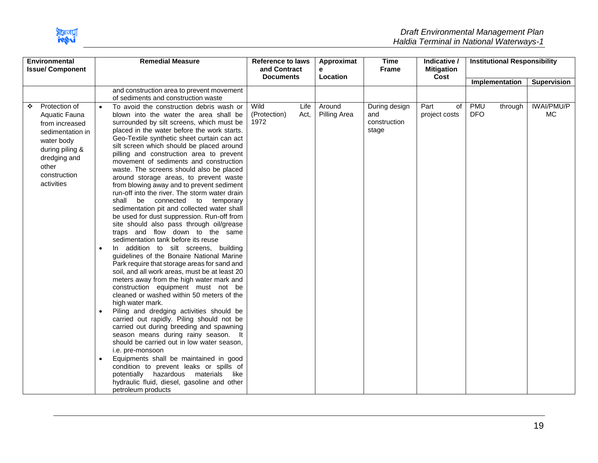

| <b>Environmental</b><br><b>Issue/Component</b>                                                                                                                    |                                     | <b>Remedial Measure</b>                                                                                                                                                                                                                                                                                                                                                                                                                                                                                                                                                                                                                                                                                                                                                                                                                                                                                                                                                                                                                                                                                                                                                                                                                                                                                                                                                                                                                                                                                                                                                                                        | <b>Reference to laws</b><br>and Contract |              | Approximat<br>е        | <b>Time</b><br><b>Frame</b>                   | Indicative /<br><b>Mitigation</b> |                   | <b>Institutional Responsibility</b> |                          |
|-------------------------------------------------------------------------------------------------------------------------------------------------------------------|-------------------------------------|----------------------------------------------------------------------------------------------------------------------------------------------------------------------------------------------------------------------------------------------------------------------------------------------------------------------------------------------------------------------------------------------------------------------------------------------------------------------------------------------------------------------------------------------------------------------------------------------------------------------------------------------------------------------------------------------------------------------------------------------------------------------------------------------------------------------------------------------------------------------------------------------------------------------------------------------------------------------------------------------------------------------------------------------------------------------------------------------------------------------------------------------------------------------------------------------------------------------------------------------------------------------------------------------------------------------------------------------------------------------------------------------------------------------------------------------------------------------------------------------------------------------------------------------------------------------------------------------------------------|------------------------------------------|--------------|------------------------|-----------------------------------------------|-----------------------------------|-------------------|-------------------------------------|--------------------------|
|                                                                                                                                                                   |                                     |                                                                                                                                                                                                                                                                                                                                                                                                                                                                                                                                                                                                                                                                                                                                                                                                                                                                                                                                                                                                                                                                                                                                                                                                                                                                                                                                                                                                                                                                                                                                                                                                                | <b>Documents</b>                         |              | Location               |                                               | Cost                              |                   | Implementation                      | <b>Supervision</b>       |
|                                                                                                                                                                   |                                     | and construction area to prevent movement<br>of sediments and construction waste                                                                                                                                                                                                                                                                                                                                                                                                                                                                                                                                                                                                                                                                                                                                                                                                                                                                                                                                                                                                                                                                                                                                                                                                                                                                                                                                                                                                                                                                                                                               |                                          |              |                        |                                               |                                   |                   |                                     |                          |
| Protection of<br>❖<br>Aquatic Fauna<br>from increased<br>sedimentation in<br>water body<br>during piling &<br>dredging and<br>other<br>construction<br>activities | $\bullet$<br>$\bullet$<br>$\bullet$ | To avoid the construction debris wash or<br>blown into the water the area shall be<br>surrounded by silt screens, which must be<br>placed in the water before the work starts.<br>Geo-Textile synthetic sheet curtain can act<br>silt screen which should be placed around<br>pilling and construction area to prevent<br>movement of sediments and construction<br>waste. The screens should also be placed<br>around storage areas, to prevent waste<br>from blowing away and to prevent sediment<br>run-off into the river. The storm water drain<br>shall<br>be connected to<br>temporary<br>sedimentation pit and collected water shall<br>be used for dust suppression. Run-off from<br>site should also pass through oil/grease<br>traps and flow down to the same<br>sedimentation tank before its reuse<br>In addition to silt screens, building<br>guidelines of the Bonaire National Marine<br>Park require that storage areas for sand and<br>soil, and all work areas, must be at least 20<br>meters away from the high water mark and<br>construction equipment must not be<br>cleaned or washed within 50 meters of the<br>high water mark.<br>Piling and dredging activities should be<br>carried out rapidly. Piling should not be<br>carried out during breeding and spawning<br>season means during rainy season. It<br>should be carried out in low water season,<br>i.e. pre-monsoon<br>Equipments shall be maintained in good<br>condition to prevent leaks or spills of<br>potentially hazardous materials<br>like<br>hydraulic fluid, diesel, gasoline and other<br>petroleum products | Wild<br>(Protection)<br>1972             | Life<br>Act, | Around<br>Pilling Area | During design<br>and<br>construction<br>stage | Part<br>of<br>project costs       | PMU<br><b>DFO</b> | through                             | <b>IWAI/PMU/P</b><br>MC. |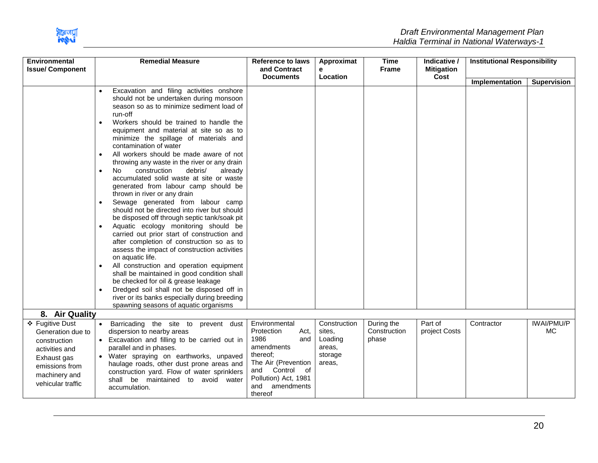

| <b>Environmental</b><br><b>Issue/ Component</b>                                                                                               |                                     | <b>Remedial Measure</b>                                                                                                                                                                                                                                                                                                                                                                                                                                                                   | <b>Reference to laws</b><br>and Contract<br><b>Documents</b>                                                                                                             | Approximat<br>е<br>Location                                      |                                     | <b>Time</b><br><b>Frame</b> | Indicative /<br><b>Mitigation</b><br>Cost | <b>Institutional Responsibility</b> |  |  |
|-----------------------------------------------------------------------------------------------------------------------------------------------|-------------------------------------|-------------------------------------------------------------------------------------------------------------------------------------------------------------------------------------------------------------------------------------------------------------------------------------------------------------------------------------------------------------------------------------------------------------------------------------------------------------------------------------------|--------------------------------------------------------------------------------------------------------------------------------------------------------------------------|------------------------------------------------------------------|-------------------------------------|-----------------------------|-------------------------------------------|-------------------------------------|--|--|
|                                                                                                                                               |                                     |                                                                                                                                                                                                                                                                                                                                                                                                                                                                                           |                                                                                                                                                                          |                                                                  |                                     |                             | Implementation                            | <b>Supervision</b>                  |  |  |
|                                                                                                                                               | $\bullet$<br>$\bullet$<br>$\bullet$ | Excavation and filing activities onshore<br>should not be undertaken during monsoon<br>season so as to minimize sediment load of<br>run-off<br>Workers should be trained to handle the<br>equipment and material at site so as to<br>minimize the spillage of materials and<br>contamination of water<br>All workers should be made aware of not<br>throwing any waste in the river or any drain<br>construction<br>debris/<br>already<br>No.<br>accumulated solid waste at site or waste |                                                                                                                                                                          |                                                                  |                                     |                             |                                           |                                     |  |  |
|                                                                                                                                               |                                     | generated from labour camp should be<br>thrown in river or any drain                                                                                                                                                                                                                                                                                                                                                                                                                      |                                                                                                                                                                          |                                                                  |                                     |                             |                                           |                                     |  |  |
|                                                                                                                                               | $\bullet$                           | Sewage generated from labour camp<br>should not be directed into river but should<br>be disposed off through septic tank/soak pit                                                                                                                                                                                                                                                                                                                                                         |                                                                                                                                                                          |                                                                  |                                     |                             |                                           |                                     |  |  |
|                                                                                                                                               |                                     | Aquatic ecology monitoring should be<br>carried out prior start of construction and<br>after completion of construction so as to<br>assess the impact of construction activities<br>on aquatic life.                                                                                                                                                                                                                                                                                      |                                                                                                                                                                          |                                                                  |                                     |                             |                                           |                                     |  |  |
|                                                                                                                                               | $\bullet$<br>$\bullet$              | All construction and operation equipment<br>shall be maintained in good condition shall<br>be checked for oil & grease leakage<br>Dredged soil shall not be disposed off in<br>river or its banks especially during breeding<br>spawning seasons of aquatic organisms                                                                                                                                                                                                                     |                                                                                                                                                                          |                                                                  |                                     |                             |                                           |                                     |  |  |
| 8. Air Quality                                                                                                                                |                                     |                                                                                                                                                                                                                                                                                                                                                                                                                                                                                           |                                                                                                                                                                          |                                                                  |                                     |                             |                                           |                                     |  |  |
| ❖ Fugitive Dust<br>Generation due to<br>construction<br>activities and<br>Exhaust gas<br>emissions from<br>machinery and<br>vehicular traffic | $\bullet$                           | Barricading the site to<br>prevent dust<br>dispersion to nearby areas<br>• Excavation and filling to be carried out in<br>parallel and in phases.<br>Water spraying on earthworks, unpaved<br>haulage roads, other dust prone areas and<br>construction yard. Flow of water sprinklers<br>shall be maintained to avoid water<br>accumulation.                                                                                                                                             | Environmental<br>Protection<br>Act,<br>1986<br>and<br>amendments<br>thereof:<br>The Air (Prevention<br>and<br>Control<br>of<br>Pollution) Act, 1981<br>amendments<br>and | Construction<br>sites.<br>Loading<br>areas,<br>storage<br>areas, | During the<br>Construction<br>phase | Part of<br>project Costs    | Contractor                                | <b>IWAI/PMU/P</b><br><b>MC</b>      |  |  |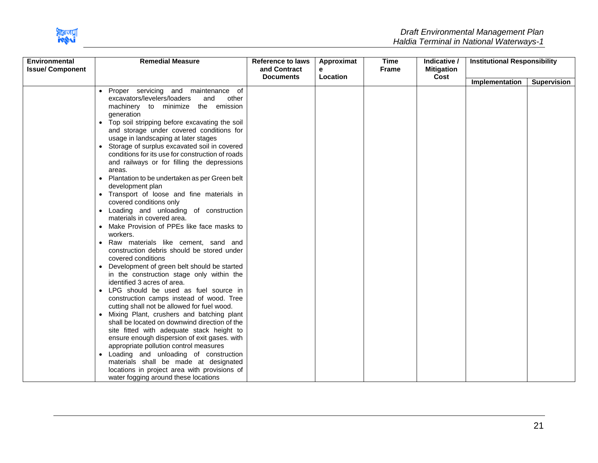

| <b>Environmental</b><br><b>Issue/Component</b> | <b>Remedial Measure</b>                                                                                                                                                                                          | Reference to laws<br>and Contract | Approximat<br>е | <b>Time</b><br><b>Frame</b> | Indicative /<br><b>Mitigation</b> | <b>Institutional Responsibility</b> |                    |
|------------------------------------------------|------------------------------------------------------------------------------------------------------------------------------------------------------------------------------------------------------------------|-----------------------------------|-----------------|-----------------------------|-----------------------------------|-------------------------------------|--------------------|
|                                                |                                                                                                                                                                                                                  | <b>Documents</b>                  | Location        |                             | Cost                              | Implementation                      | <b>Supervision</b> |
|                                                | • Proper servicing and maintenance of<br>excavators/levelers/loaders<br>and<br>other<br>machinery to minimize the emission<br>generation                                                                         |                                   |                 |                             |                                   |                                     |                    |
|                                                | Top soil stripping before excavating the soil<br>and storage under covered conditions for<br>usage in landscaping at later stages                                                                                |                                   |                 |                             |                                   |                                     |                    |
|                                                | Storage of surplus excavated soil in covered<br>conditions for its use for construction of roads<br>and railways or for filling the depressions<br>areas.                                                        |                                   |                 |                             |                                   |                                     |                    |
|                                                | • Plantation to be undertaken as per Green belt<br>development plan                                                                                                                                              |                                   |                 |                             |                                   |                                     |                    |
|                                                | Transport of loose and fine materials in<br>covered conditions only                                                                                                                                              |                                   |                 |                             |                                   |                                     |                    |
|                                                | • Loading and unloading of construction<br>materials in covered area.                                                                                                                                            |                                   |                 |                             |                                   |                                     |                    |
|                                                | • Make Provision of PPEs like face masks to<br>workers.                                                                                                                                                          |                                   |                 |                             |                                   |                                     |                    |
|                                                | Raw materials like cement, sand and<br>construction debris should be stored under<br>covered conditions                                                                                                          |                                   |                 |                             |                                   |                                     |                    |
|                                                | Development of green belt should be started<br>in the construction stage only within the<br>identified 3 acres of area.                                                                                          |                                   |                 |                             |                                   |                                     |                    |
|                                                | LPG should be used as fuel source in<br>construction camps instead of wood. Tree<br>cutting shall not be allowed for fuel wood.                                                                                  |                                   |                 |                             |                                   |                                     |                    |
|                                                | Mixing Plant, crushers and batching plant<br>shall be located on downwind direction of the<br>site fitted with adequate stack height to<br>ensure enough dispersion of exit gases. with                          |                                   |                 |                             |                                   |                                     |                    |
|                                                | appropriate pollution control measures<br>Loading and unloading of construction<br>materials shall be made at designated<br>locations in project area with provisions of<br>water fogging around these locations |                                   |                 |                             |                                   |                                     |                    |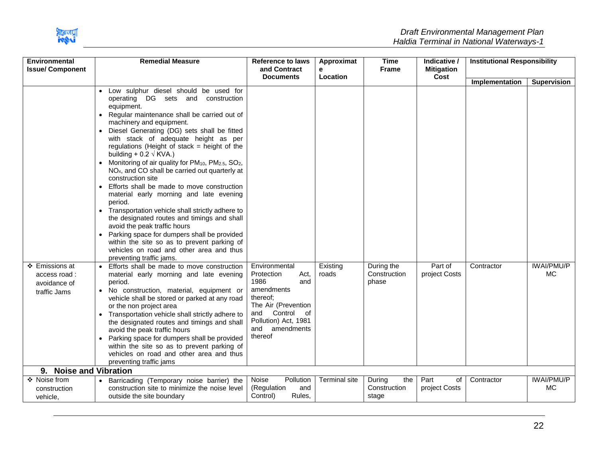

| Environmental<br><b>Issue/Component</b>                        | <b>Remedial Measure</b>                                                                                                                                                                                                                                                                                                                                                                                                                                                                                                                                                                                                                                                                                                                                                                                                                                                                                                                       | <b>Reference to laws</b><br>and Contract                                                                                                                                         | Approximat<br>е   | <b>Time</b><br><b>Frame</b>            | Indicative /<br><b>Mitigation</b> | <b>Institutional Responsibility</b> |                                |
|----------------------------------------------------------------|-----------------------------------------------------------------------------------------------------------------------------------------------------------------------------------------------------------------------------------------------------------------------------------------------------------------------------------------------------------------------------------------------------------------------------------------------------------------------------------------------------------------------------------------------------------------------------------------------------------------------------------------------------------------------------------------------------------------------------------------------------------------------------------------------------------------------------------------------------------------------------------------------------------------------------------------------|----------------------------------------------------------------------------------------------------------------------------------------------------------------------------------|-------------------|----------------------------------------|-----------------------------------|-------------------------------------|--------------------------------|
|                                                                |                                                                                                                                                                                                                                                                                                                                                                                                                                                                                                                                                                                                                                                                                                                                                                                                                                                                                                                                               | <b>Documents</b>                                                                                                                                                                 | Location          |                                        | Cost                              | Implementation                      | <b>Supervision</b>             |
|                                                                | · Low sulphur diesel should be used for<br>operating DG sets and construction<br>equipment.<br>Regular maintenance shall be carried out of<br>machinery and equipment.<br>Diesel Generating (DG) sets shall be fitted<br>with stack of adequate height as per<br>regulations (Height of stack = height of the<br>building + 0.2 $\sqrt{x}$ KVA.)<br>• Monitoring of air quality for PM <sub>10</sub> , PM <sub>2.5</sub> , SO <sub>2</sub> ,<br>NO <sub>x</sub> , and CO shall be carried out quarterly at<br>construction site<br>Efforts shall be made to move construction<br>material early morning and late evening<br>period.<br>• Transportation vehicle shall strictly adhere to<br>the designated routes and timings and shall<br>avoid the peak traffic hours<br>Parking space for dumpers shall be provided<br>within the site so as to prevent parking of<br>vehicles on road and other area and thus<br>preventing traffic jams. |                                                                                                                                                                                  |                   |                                        |                                   |                                     |                                |
| ❖ Emissions at<br>access road:<br>avoidance of<br>traffic Jams | Efforts shall be made to move construction<br>material early morning and late evening<br>period.<br>· No construction, material, equipment or<br>vehicle shall be stored or parked at any road<br>or the non project area<br>Transportation vehicle shall strictly adhere to<br>the designated routes and timings and shall<br>avoid the peak traffic hours<br>Parking space for dumpers shall be provided<br>within the site so as to prevent parking of<br>vehicles on road and other area and thus<br>preventing traffic jams                                                                                                                                                                                                                                                                                                                                                                                                              | Environmental<br>Protection<br>Act,<br>1986<br>and<br>amendments<br>thereof:<br>The Air (Prevention<br>Control<br>of<br>and<br>Pollution) Act, 1981<br>and amendments<br>thereof | Existing<br>roads | During the<br>Construction<br>phase    | Part of<br>project Costs          | Contractor                          | <b>IWAI/PMU/P</b><br><b>MC</b> |
| 9. Noise and Vibration                                         |                                                                                                                                                                                                                                                                                                                                                                                                                                                                                                                                                                                                                                                                                                                                                                                                                                                                                                                                               |                                                                                                                                                                                  |                   |                                        |                                   |                                     |                                |
| ❖ Noise from<br>construction<br>vehicle,                       | • Barricading (Temporary noise barrier) the<br>construction site to minimize the noise level<br>outside the site boundary                                                                                                                                                                                                                                                                                                                                                                                                                                                                                                                                                                                                                                                                                                                                                                                                                     | Pollution<br>Noise<br>(Regulation<br>and<br>Control)<br>Rules,                                                                                                                   | Terminal site     | During<br>the<br>Construction<br>stage | Part<br>οf<br>project Costs       | Contractor                          | <b>IWAI/PMU/P</b><br><b>MC</b> |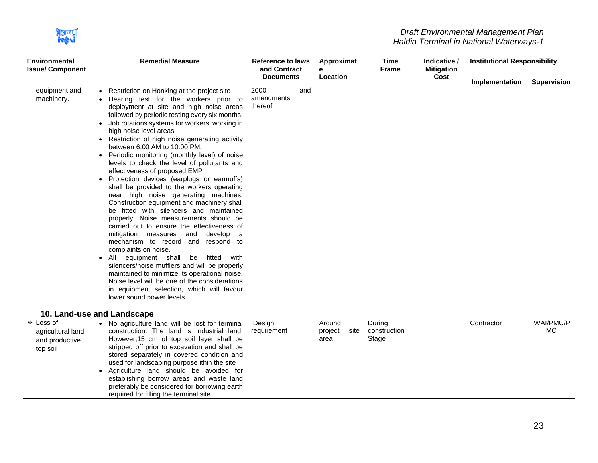

| <b>Environmental</b><br><b>Issue/Component</b>               | <b>Remedial Measure</b>                                                                                                                                                                                                                                                                                                                                                                                                                                                                                                                                                                                                                                                                                                                                                                                                                                                                                                                                                                                                                                                                                                                                                                                    | <b>Reference to laws</b><br>and Contract | Approximat<br>е                   | <b>Time</b><br><b>Frame</b>     | Indicative /<br><b>Mitigation</b> | <b>Institutional Responsibility</b> |                         |
|--------------------------------------------------------------|------------------------------------------------------------------------------------------------------------------------------------------------------------------------------------------------------------------------------------------------------------------------------------------------------------------------------------------------------------------------------------------------------------------------------------------------------------------------------------------------------------------------------------------------------------------------------------------------------------------------------------------------------------------------------------------------------------------------------------------------------------------------------------------------------------------------------------------------------------------------------------------------------------------------------------------------------------------------------------------------------------------------------------------------------------------------------------------------------------------------------------------------------------------------------------------------------------|------------------------------------------|-----------------------------------|---------------------------------|-----------------------------------|-------------------------------------|-------------------------|
|                                                              |                                                                                                                                                                                                                                                                                                                                                                                                                                                                                                                                                                                                                                                                                                                                                                                                                                                                                                                                                                                                                                                                                                                                                                                                            | <b>Documents</b>                         | Location                          |                                 | Cost                              | Implementation                      | <b>Supervision</b>      |
| equipment and<br>machinery.                                  | • Restriction on Honking at the project site<br>Hearing test for the workers prior to<br>deployment at site and high noise areas<br>followed by periodic testing every six months.<br>Job rotations systems for workers, working in<br>high noise level areas<br>• Restriction of high noise generating activity<br>between 6:00 AM to 10:00 PM.<br>Periodic monitoring (monthly level) of noise<br>levels to check the level of pollutants and<br>effectiveness of proposed EMP<br>Protection devices (earplugs or earmuffs)<br>shall be provided to the workers operating<br>near high noise generating machines.<br>Construction equipment and machinery shall<br>be fitted with silencers and maintained<br>properly. Noise measurements should be<br>carried out to ensure the effectiveness of<br>mitigation measures<br>and<br>develop<br><sub>a</sub><br>mechanism to record and respond to<br>complaints on noise.<br>equipment shall be fitted with<br>$\bullet$ All<br>silencers/noise mufflers and will be properly<br>maintained to minimize its operational noise.<br>Noise level will be one of the considerations<br>in equipment selection, which will favour<br>lower sound power levels | 2000<br>and<br>amendments<br>thereof     |                                   |                                 |                                   |                                     |                         |
|                                                              | 10. Land-use and Landscape                                                                                                                                                                                                                                                                                                                                                                                                                                                                                                                                                                                                                                                                                                                                                                                                                                                                                                                                                                                                                                                                                                                                                                                 |                                          |                                   |                                 |                                   |                                     |                         |
| ❖ Loss of<br>agricultural land<br>and productive<br>top soil | • No agriculture land will be lost for terminal<br>construction. The land is industrial land.<br>However, 15 cm of top soil layer shall be<br>stripped off prior to excavation and shall be<br>stored separately in covered condition and<br>used for landscaping purpose ithin the site<br>Agriculture land should be avoided for<br>establishing borrow areas and waste land<br>preferably be considered for borrowing earth<br>required for filling the terminal site                                                                                                                                                                                                                                                                                                                                                                                                                                                                                                                                                                                                                                                                                                                                   | Design<br>requirement                    | Around<br>project<br>site<br>area | Durina<br>construction<br>Stage |                                   | Contractor                          | <b>IWAI/PMU/P</b><br>МC |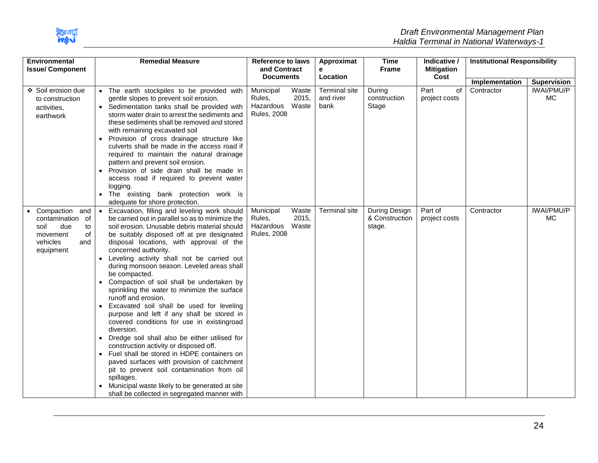

| <b>Environmental</b><br><b>Issue/Component</b>                                                              | <b>Remedial Measure</b> |                                                                                                                                                                                                                                                                                                                                                                                                                                                                                                                                                                                                                                                                                                                                                                                                                                                                                                                                                                                                                        | <b>Reference to laws</b><br>and Contract               |                         | Approximat<br>e                    | <b>Time</b><br><b>Frame</b>               | Indicative /<br><b>Mitigation</b> | <b>Institutional Responsibility</b> |                                |
|-------------------------------------------------------------------------------------------------------------|-------------------------|------------------------------------------------------------------------------------------------------------------------------------------------------------------------------------------------------------------------------------------------------------------------------------------------------------------------------------------------------------------------------------------------------------------------------------------------------------------------------------------------------------------------------------------------------------------------------------------------------------------------------------------------------------------------------------------------------------------------------------------------------------------------------------------------------------------------------------------------------------------------------------------------------------------------------------------------------------------------------------------------------------------------|--------------------------------------------------------|-------------------------|------------------------------------|-------------------------------------------|-----------------------------------|-------------------------------------|--------------------------------|
|                                                                                                             |                         |                                                                                                                                                                                                                                                                                                                                                                                                                                                                                                                                                                                                                                                                                                                                                                                                                                                                                                                                                                                                                        | <b>Documents</b>                                       |                         | Location                           |                                           | Cost                              | Implementation                      | <b>Supervision</b>             |
| ❖ Soil erosion due<br>to construction<br>activities,<br>earthwork                                           |                         | • The earth stockpiles to be provided with<br>gentle slopes to prevent soil erosion.<br>• Sedimentation tanks shall be provided with<br>storm water drain to arrest the sediments and<br>these sediments shall be removed and stored<br>with remaining excavated soil<br>• Provision of cross drainage structure like<br>culverts shall be made in the access road if<br>required to maintain the natural drainage<br>pattern and prevent soil erosion.<br>Provision of side drain shall be made in<br>access road if required to prevent water<br>logging.<br>• The existing bank protection work is<br>adequate for shore protection.                                                                                                                                                                                                                                                                                                                                                                                | Municipal<br>Rules,<br>Hazardous<br><b>Rules, 2008</b> | Waste<br>2015,<br>Waste | Terminal site<br>and river<br>bank | During<br>construction<br>Stage           | Part<br>of<br>project costs       | Contractor                          | <b>IWAI/PMU/P</b><br><b>MC</b> |
| • Compaction and<br>contamination of<br>soil<br>due<br>to<br>of<br>movement<br>vehicles<br>and<br>equipment |                         | Excavation, filling and leveling work should<br>be carried out in parallel so as to minimize the<br>soil erosion. Unusable debris material should<br>be suitably disposed off at pre designated<br>disposal locations, with approval of the<br>concerned authority.<br>• Leveling activity shall not be carried out<br>during monsoon season. Leveled areas shall<br>be compacted.<br>• Compaction of soil shall be undertaken by<br>sprinkling the water to minimize the surface<br>runoff and erosion.<br>Excavated soil shall be used for leveling<br>purpose and left if any shall be stored in<br>covered conditions for use in existingroad<br>diversion.<br>• Dredge soil shall also be either utilised for<br>construction activity or disposed off.<br>Fuel shall be stored in HDPE containers on<br>paved surfaces with provision of catchment<br>pit to prevent soil contamination from oil<br>spillages.<br>Municipal waste likely to be generated at site<br>shall be collected in segregated manner with | Municipal<br>Rules,<br>Hazardous<br><b>Rules, 2008</b> | Waste<br>2015,<br>Waste | <b>Terminal site</b>               | During Design<br>& Construction<br>stage. | Part of<br>project costs          | Contractor                          | <b>IWAI/PMU/P</b><br><b>MC</b> |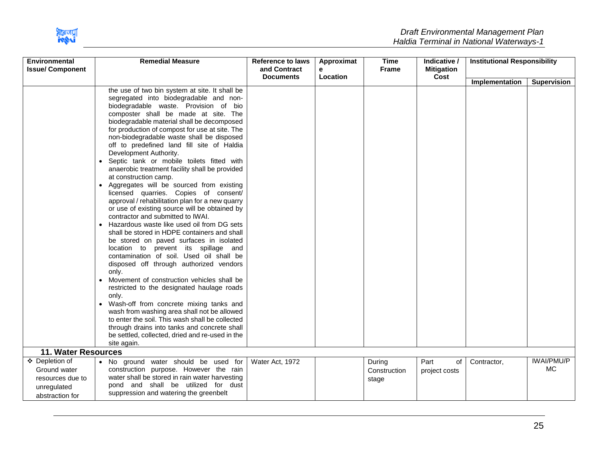

| <b>Environmental</b><br><b>Issue/ Component</b>                                      | <b>Remedial Measure</b>                                                                                                                                                                                                                                                                                                                                                                                                                                                                                                                                                                                                                                                                                                                                                                                                                                                                                                                                                                                                                                                                                                                                                                                                                                                                                                                                                                                                               | <b>Reference to laws</b><br>and Contract | Approximat<br>е | <b>Time</b><br><b>Frame</b>     | Indicative /<br><b>Mitigation</b> | <b>Institutional Responsibility</b> |                                |
|--------------------------------------------------------------------------------------|---------------------------------------------------------------------------------------------------------------------------------------------------------------------------------------------------------------------------------------------------------------------------------------------------------------------------------------------------------------------------------------------------------------------------------------------------------------------------------------------------------------------------------------------------------------------------------------------------------------------------------------------------------------------------------------------------------------------------------------------------------------------------------------------------------------------------------------------------------------------------------------------------------------------------------------------------------------------------------------------------------------------------------------------------------------------------------------------------------------------------------------------------------------------------------------------------------------------------------------------------------------------------------------------------------------------------------------------------------------------------------------------------------------------------------------|------------------------------------------|-----------------|---------------------------------|-----------------------------------|-------------------------------------|--------------------------------|
|                                                                                      |                                                                                                                                                                                                                                                                                                                                                                                                                                                                                                                                                                                                                                                                                                                                                                                                                                                                                                                                                                                                                                                                                                                                                                                                                                                                                                                                                                                                                                       | <b>Documents</b>                         | Location        |                                 | Cost                              | Implementation                      | <b>Supervision</b>             |
|                                                                                      | the use of two bin system at site. It shall be<br>segregated into biodegradable and non-<br>biodegradable waste. Provision of bio<br>composter shall be made at site. The<br>biodegradable material shall be decomposed<br>for production of compost for use at site. The<br>non-biodegradable waste shall be disposed<br>off to predefined land fill site of Haldia<br>Development Authority.<br>Septic tank or mobile toilets fitted with<br>anaerobic treatment facility shall be provided<br>at construction camp.<br>• Aggregates will be sourced from existing<br>licensed quarries. Copies of consent/<br>approval / rehabilitation plan for a new quarry<br>or use of existing source will be obtained by<br>contractor and submitted to IWAI.<br>Hazardous waste like used oil from DG sets<br>$\bullet$<br>shall be stored in HDPE containers and shall<br>be stored on paved surfaces in isolated<br>location to prevent its spillage and<br>contamination of soil. Used oil shall be<br>disposed off through authorized vendors<br>only.<br>Movement of construction vehicles shall be<br>$\bullet$<br>restricted to the designated haulage roads<br>only.<br>Wash-off from concrete mixing tanks and<br>wash from washing area shall not be allowed<br>to enter the soil. This wash shall be collected<br>through drains into tanks and concrete shall<br>be settled, collected, dried and re-used in the<br>site again. |                                          |                 |                                 |                                   |                                     |                                |
| <b>11. Water Resources</b>                                                           |                                                                                                                                                                                                                                                                                                                                                                                                                                                                                                                                                                                                                                                                                                                                                                                                                                                                                                                                                                                                                                                                                                                                                                                                                                                                                                                                                                                                                                       |                                          |                 |                                 |                                   |                                     |                                |
| ❖ Depletion of<br>Ground water<br>resources due to<br>unregulated<br>abstraction for | . No ground water should be used for<br>construction purpose. However the rain<br>water shall be stored in rain water harvesting<br>pond and shall be utilized for dust<br>suppression and watering the greenbelt                                                                                                                                                                                                                                                                                                                                                                                                                                                                                                                                                                                                                                                                                                                                                                                                                                                                                                                                                                                                                                                                                                                                                                                                                     | Water Act, 1972                          |                 | During<br>Construction<br>stage | Part<br>of<br>project costs       | Contractor,                         | <b>IWAI/PMU/P</b><br><b>MC</b> |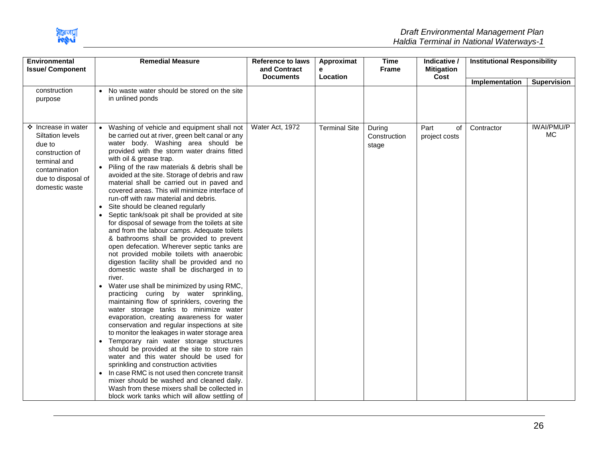

| Environmental<br><b>Issue/Component</b>                                                                                                              | <b>Remedial Measure</b>                                                                                                                                                                                                                                                                                                                                                                                                                                                                                                                                                                                                                                                                                                                                                                                                                                                                                                                                                                                                                                                                                                                                                                                                                                                                                                                                                                                                                                                                                                                                                                                         | <b>Reference to laws</b><br>and Contract | Approximat<br>е      | <b>Time</b><br><b>Frame</b>     | Indicative /<br><b>Mitigation</b> | <b>Institutional Responsibility</b> |                          |
|------------------------------------------------------------------------------------------------------------------------------------------------------|-----------------------------------------------------------------------------------------------------------------------------------------------------------------------------------------------------------------------------------------------------------------------------------------------------------------------------------------------------------------------------------------------------------------------------------------------------------------------------------------------------------------------------------------------------------------------------------------------------------------------------------------------------------------------------------------------------------------------------------------------------------------------------------------------------------------------------------------------------------------------------------------------------------------------------------------------------------------------------------------------------------------------------------------------------------------------------------------------------------------------------------------------------------------------------------------------------------------------------------------------------------------------------------------------------------------------------------------------------------------------------------------------------------------------------------------------------------------------------------------------------------------------------------------------------------------------------------------------------------------|------------------------------------------|----------------------|---------------------------------|-----------------------------------|-------------------------------------|--------------------------|
|                                                                                                                                                      |                                                                                                                                                                                                                                                                                                                                                                                                                                                                                                                                                                                                                                                                                                                                                                                                                                                                                                                                                                                                                                                                                                                                                                                                                                                                                                                                                                                                                                                                                                                                                                                                                 | <b>Documents</b>                         | Location             |                                 | Cost                              | Implementation                      | <b>Supervision</b>       |
| construction<br>purpose                                                                                                                              | No waste water should be stored on the site<br>in unlined ponds                                                                                                                                                                                                                                                                                                                                                                                                                                                                                                                                                                                                                                                                                                                                                                                                                                                                                                                                                                                                                                                                                                                                                                                                                                                                                                                                                                                                                                                                                                                                                 |                                          |                      |                                 |                                   |                                     |                          |
| ❖ Increase in water<br><b>Siltation levels</b><br>due to<br>construction of<br>terminal and<br>contamination<br>due to disposal of<br>domestic waste | • Washing of vehicle and equipment shall not<br>be carried out at river, green belt canal or any<br>water body. Washing area should be<br>provided with the storm water drains fitted<br>with oil & grease trap.<br>Piling of the raw materials & debris shall be<br>avoided at the site. Storage of debris and raw<br>material shall be carried out in paved and<br>covered areas. This will minimize interface of<br>run-off with raw material and debris.<br>Site should be cleaned regularly<br>Septic tank/soak pit shall be provided at site<br>for disposal of sewage from the toilets at site<br>and from the labour camps. Adequate toilets<br>& bathrooms shall be provided to prevent<br>open defecation. Wherever septic tanks are<br>not provided mobile toilets with anaerobic<br>digestion facility shall be provided and no<br>domestic waste shall be discharged in to<br>river.<br>Water use shall be minimized by using RMC,<br>practicing curing by water sprinkling,<br>maintaining flow of sprinklers, covering the<br>water storage tanks to minimize water<br>evaporation, creating awareness for water<br>conservation and regular inspections at site<br>to monitor the leakages in water storage area<br>Temporary rain water storage structures<br>should be provided at the site to store rain<br>water and this water should be used for<br>sprinkling and construction activities<br>In case RMC is not used then concrete transit<br>mixer should be washed and cleaned daily.<br>Wash from these mixers shall be collected in<br>block work tanks which will allow settling of | Water Act, 1972                          | <b>Terminal Site</b> | During<br>Construction<br>stage | Part<br>of<br>project costs       | Contractor                          | <b>IWAI/PMU/P</b><br>MC. |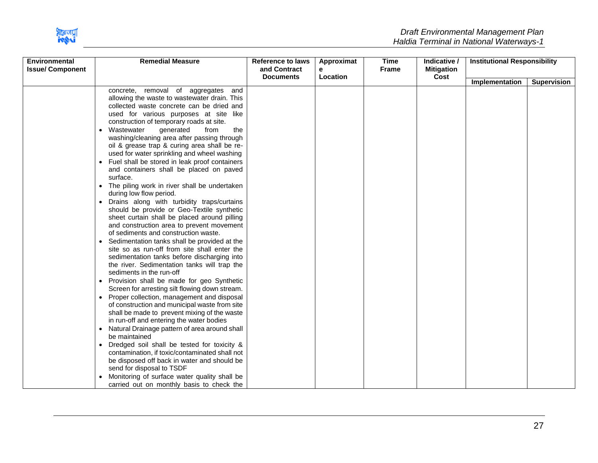

| <b>Environmental</b><br><b>Issue/ Component</b> | <b>Remedial Measure</b>                                                                                                                                                                                                                                                                                                                                                                                                                                                                                                                                                                                                                                                                                                                                                                                                                                      | <b>Reference to laws</b><br>and Contract | Approximat<br>е | <b>Time</b><br><b>Frame</b> | Indicative /<br><b>Mitigation</b> | <b>Institutional Responsibility</b> |             |
|-------------------------------------------------|--------------------------------------------------------------------------------------------------------------------------------------------------------------------------------------------------------------------------------------------------------------------------------------------------------------------------------------------------------------------------------------------------------------------------------------------------------------------------------------------------------------------------------------------------------------------------------------------------------------------------------------------------------------------------------------------------------------------------------------------------------------------------------------------------------------------------------------------------------------|------------------------------------------|-----------------|-----------------------------|-----------------------------------|-------------------------------------|-------------|
|                                                 |                                                                                                                                                                                                                                                                                                                                                                                                                                                                                                                                                                                                                                                                                                                                                                                                                                                              |                                          |                 |                             |                                   | Implementation                      | Supervision |
|                                                 | removal of aggregates<br>concrete,<br>and<br>allowing the waste to wastewater drain. This<br>collected waste concrete can be dried and<br>used for various purposes at site like<br>construction of temporary roads at site.<br>Wastewater<br>generated<br>from<br>the<br>washing/cleaning area after passing through<br>oil & grease trap & curing area shall be re-<br>used for water sprinkling and wheel washing<br>Fuel shall be stored in leak proof containers<br>and containers shall be placed on paved<br>surface.<br>• The piling work in river shall be undertaken<br>during low flow period.<br>Drains along with turbidity traps/curtains<br>should be provide or Geo-Textile synthetic<br>sheet curtain shall be placed around pilling<br>and construction area to prevent movement                                                           | <b>Documents</b>                         | Location        |                             | Cost                              |                                     |             |
|                                                 | of sediments and construction waste.<br>Sedimentation tanks shall be provided at the<br>site so as run-off from site shall enter the<br>sedimentation tanks before discharging into<br>the river. Sedimentation tanks will trap the<br>sediments in the run-off<br>Provision shall be made for geo Synthetic<br>$\bullet$<br>Screen for arresting silt flowing down stream.<br>Proper collection, management and disposal<br>$\bullet$<br>of construction and municipal waste from site<br>shall be made to prevent mixing of the waste<br>in run-off and entering the water bodies<br>Natural Drainage pattern of area around shall<br>$\bullet$<br>be maintained<br>Dredged soil shall be tested for toxicity &<br>$\bullet$<br>contamination, if toxic/contaminated shall not<br>be disposed off back in water and should be<br>send for disposal to TSDF |                                          |                 |                             |                                   |                                     |             |
|                                                 | Monitoring of surface water quality shall be<br>carried out on monthly basis to check the                                                                                                                                                                                                                                                                                                                                                                                                                                                                                                                                                                                                                                                                                                                                                                    |                                          |                 |                             |                                   |                                     |             |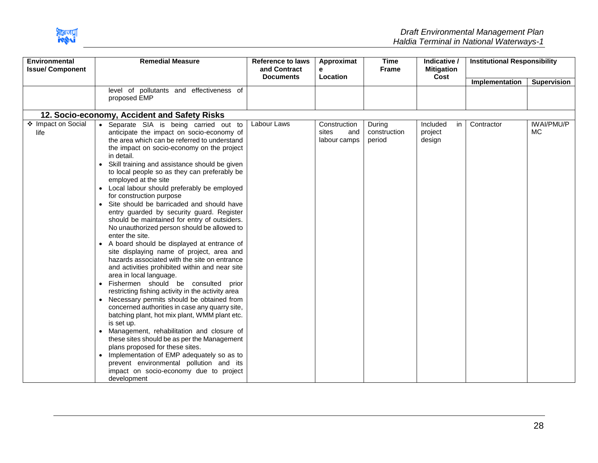

| <b>Environmental</b><br><b>Issue/ Component</b> | <b>Remedial Measure</b>                                                                                                                                                                                                                                                                                                                                                                                                                                                                                                                                                                                                                                                                                                                                                                                                                                                                                                                                                                                                                                                                                                                                                                                                                                                                                                                                                            | <b>Reference to laws</b><br>and Contract | Approximat<br>е<br>Location                  | <b>Time</b><br><b>Frame</b>      | Indicative /<br><b>Mitigation</b><br>Cost | <b>Institutional Responsibility</b> |                                |
|-------------------------------------------------|------------------------------------------------------------------------------------------------------------------------------------------------------------------------------------------------------------------------------------------------------------------------------------------------------------------------------------------------------------------------------------------------------------------------------------------------------------------------------------------------------------------------------------------------------------------------------------------------------------------------------------------------------------------------------------------------------------------------------------------------------------------------------------------------------------------------------------------------------------------------------------------------------------------------------------------------------------------------------------------------------------------------------------------------------------------------------------------------------------------------------------------------------------------------------------------------------------------------------------------------------------------------------------------------------------------------------------------------------------------------------------|------------------------------------------|----------------------------------------------|----------------------------------|-------------------------------------------|-------------------------------------|--------------------------------|
|                                                 |                                                                                                                                                                                                                                                                                                                                                                                                                                                                                                                                                                                                                                                                                                                                                                                                                                                                                                                                                                                                                                                                                                                                                                                                                                                                                                                                                                                    | <b>Documents</b>                         |                                              |                                  |                                           | <b>Implementation</b>               | <b>Supervision</b>             |
|                                                 | level of pollutants and effectiveness of<br>proposed EMP                                                                                                                                                                                                                                                                                                                                                                                                                                                                                                                                                                                                                                                                                                                                                                                                                                                                                                                                                                                                                                                                                                                                                                                                                                                                                                                           |                                          |                                              |                                  |                                           |                                     |                                |
|                                                 | 12. Socio-economy, Accident and Safety Risks                                                                                                                                                                                                                                                                                                                                                                                                                                                                                                                                                                                                                                                                                                                                                                                                                                                                                                                                                                                                                                                                                                                                                                                                                                                                                                                                       |                                          |                                              |                                  |                                           |                                     |                                |
| ❖ Impact on Social<br>life                      | • Separate SIA is being carried out to<br>anticipate the impact on socio-economy of<br>the area which can be referred to understand<br>the impact on socio-economy on the project<br>in detail.<br>Skill training and assistance should be given<br>to local people so as they can preferably be<br>employed at the site<br>• Local labour should preferably be employed<br>for construction purpose<br>Site should be barricaded and should have<br>entry guarded by security guard. Register<br>should be maintained for entry of outsiders.<br>No unauthorized person should be allowed to<br>enter the site.<br>A board should be displayed at entrance of<br>site displaying name of project, area and<br>hazards associated with the site on entrance<br>and activities prohibited within and near site<br>area in local language.<br>Fishermen should be consulted prior<br>restricting fishing activity in the activity area<br>• Necessary permits should be obtained from<br>concerned authorities in case any quarry site,<br>batching plant, hot mix plant, WMM plant etc.<br>is set up.<br>Management, rehabilitation and closure of<br>these sites should be as per the Management<br>plans proposed for these sites.<br>Implementation of EMP adequately so as to<br>$\bullet$<br>prevent environmental pollution and its<br>impact on socio-economy due to project | Labour Laws                              | Construction<br>sites<br>and<br>labour camps | During<br>construction<br>period | Included<br>in.<br>project<br>design      | Contractor                          | <b>IWAI/PMU/P</b><br><b>MC</b> |
|                                                 | development                                                                                                                                                                                                                                                                                                                                                                                                                                                                                                                                                                                                                                                                                                                                                                                                                                                                                                                                                                                                                                                                                                                                                                                                                                                                                                                                                                        |                                          |                                              |                                  |                                           |                                     |                                |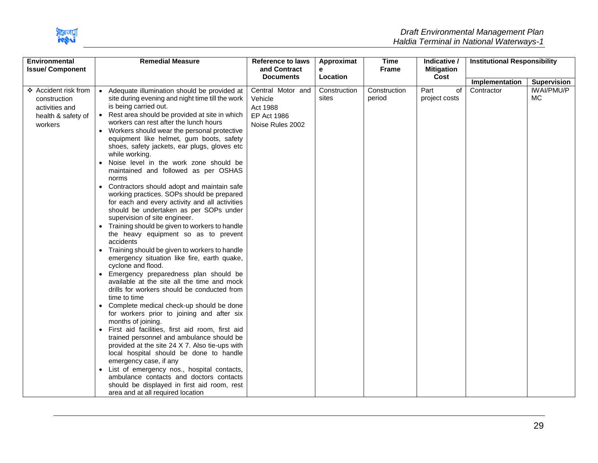| Environmental<br><b>Issue/Component</b>                                                 | <b>Remedial Measure</b>                                                                                                                                                                                                                                                                                                                                                                                                                                                                                                                                                                                                                                                                                                                                                                                                                                                                                                                                                                                                                                                                                                                                                                                                                                                                                                                                                                                                                                                                                                                                                                                               | <b>Reference to laws</b><br>and Contract<br>е                               | Approximat<br>Location | <b>Time</b><br><b>Frame</b> | Indicative /<br><b>Mitigation</b> | <b>Institutional Responsibility</b> |                         |  |
|-----------------------------------------------------------------------------------------|-----------------------------------------------------------------------------------------------------------------------------------------------------------------------------------------------------------------------------------------------------------------------------------------------------------------------------------------------------------------------------------------------------------------------------------------------------------------------------------------------------------------------------------------------------------------------------------------------------------------------------------------------------------------------------------------------------------------------------------------------------------------------------------------------------------------------------------------------------------------------------------------------------------------------------------------------------------------------------------------------------------------------------------------------------------------------------------------------------------------------------------------------------------------------------------------------------------------------------------------------------------------------------------------------------------------------------------------------------------------------------------------------------------------------------------------------------------------------------------------------------------------------------------------------------------------------------------------------------------------------|-----------------------------------------------------------------------------|------------------------|-----------------------------|-----------------------------------|-------------------------------------|-------------------------|--|
|                                                                                         |                                                                                                                                                                                                                                                                                                                                                                                                                                                                                                                                                                                                                                                                                                                                                                                                                                                                                                                                                                                                                                                                                                                                                                                                                                                                                                                                                                                                                                                                                                                                                                                                                       | <b>Documents</b>                                                            |                        |                             | Cost                              | Implementation                      | <b>Supervision</b>      |  |
| ❖ Accident risk from<br>construction<br>activities and<br>health & safety of<br>workers | • Adequate illumination should be provided at<br>site during evening and night time till the work<br>is being carried out.<br>• Rest area should be provided at site in which<br>workers can rest after the lunch hours<br>• Workers should wear the personal protective<br>equipment like helmet, gum boots, safety<br>shoes, safety jackets, ear plugs, gloves etc<br>while working.<br>Noise level in the work zone should be<br>maintained and followed as per OSHAS<br>norms<br>Contractors should adopt and maintain safe<br>working practices. SOPs should be prepared<br>for each and every activity and all activities<br>should be undertaken as per SOPs under<br>supervision of site engineer.<br>Training should be given to workers to handle<br>the heavy equipment so as to prevent<br>accidents<br>Training should be given to workers to handle<br>emergency situation like fire, earth quake,<br>cyclone and flood.<br>• Emergency preparedness plan should be<br>available at the site all the time and mock<br>drills for workers should be conducted from<br>time to time<br>Complete medical check-up should be done<br>for workers prior to joining and after six<br>months of joining.<br>· First aid facilities, first aid room, first aid<br>trained personnel and ambulance should be<br>provided at the site 24 X 7. Also tie-ups with<br>local hospital should be done to handle<br>emergency case, if any<br>List of emergency nos., hospital contacts,<br>ambulance contacts and doctors contacts<br>should be displayed in first aid room, rest<br>area and at all required location | Central Motor and<br>Vehicle<br>Act 1988<br>EP Act 1986<br>Noise Rules 2002 | Construction<br>sites  | Construction<br>period      | Part<br>of<br>project costs       | Contractor                          | <b>IWAI/PMU/P</b><br>МC |  |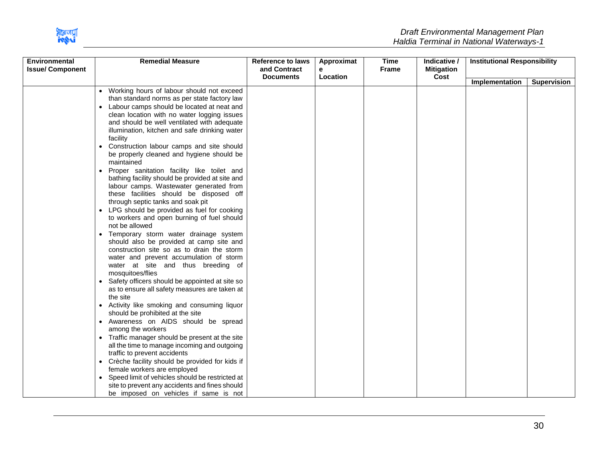

| <b>Environmental</b><br><b>Issue/Component</b> | <b>Remedial Measure</b>                                                                                                                                                                                                                                                                                                                                                                                                                                                                                                                                                                                                                                                                                                                                                                                                                                                                                                                                                                                                                                                                                                                                                                                                                                | <b>Reference to laws</b><br>and Contract | Approximat<br>е | <b>Time</b><br><b>Frame</b> | Indicative /<br><b>Mitigation</b> | <b>Institutional Responsibility</b> |                    |
|------------------------------------------------|--------------------------------------------------------------------------------------------------------------------------------------------------------------------------------------------------------------------------------------------------------------------------------------------------------------------------------------------------------------------------------------------------------------------------------------------------------------------------------------------------------------------------------------------------------------------------------------------------------------------------------------------------------------------------------------------------------------------------------------------------------------------------------------------------------------------------------------------------------------------------------------------------------------------------------------------------------------------------------------------------------------------------------------------------------------------------------------------------------------------------------------------------------------------------------------------------------------------------------------------------------|------------------------------------------|-----------------|-----------------------------|-----------------------------------|-------------------------------------|--------------------|
|                                                |                                                                                                                                                                                                                                                                                                                                                                                                                                                                                                                                                                                                                                                                                                                                                                                                                                                                                                                                                                                                                                                                                                                                                                                                                                                        |                                          |                 |                             |                                   | Implementation                      | <b>Supervision</b> |
|                                                | • Working hours of labour should not exceed<br>than standard norms as per state factory law<br>Labour camps should be located at neat and<br>clean location with no water logging issues<br>and should be well ventilated with adequate<br>illumination, kitchen and safe drinking water<br>facility<br>Construction labour camps and site should<br>be properly cleaned and hygiene should be<br>maintained<br>Proper sanitation facility like toilet and<br>$\bullet$<br>bathing facility should be provided at site and<br>labour camps. Wastewater generated from<br>these facilities should be disposed off<br>through septic tanks and soak pit<br>LPG should be provided as fuel for cooking<br>to workers and open burning of fuel should<br>not be allowed<br>• Temporary storm water drainage system<br>should also be provided at camp site and<br>construction site so as to drain the storm<br>water and prevent accumulation of storm<br>water at site and thus breeding of<br>mosquitoes/flies<br>Safety officers should be appointed at site so<br>as to ensure all safety measures are taken at<br>the site<br>Activity like smoking and consuming liquor<br>should be prohibited at the site<br>• Awareness on AIDS should be spread | <b>Documents</b>                         | Location        |                             | Cost                              |                                     |                    |
|                                                | among the workers<br>Traffic manager should be present at the site<br>all the time to manage incoming and outgoing<br>traffic to prevent accidents<br>• Crèche facility should be provided for kids if                                                                                                                                                                                                                                                                                                                                                                                                                                                                                                                                                                                                                                                                                                                                                                                                                                                                                                                                                                                                                                                 |                                          |                 |                             |                                   |                                     |                    |
|                                                | female workers are employed<br>Speed limit of vehicles should be restricted at<br>site to prevent any accidents and fines should<br>be imposed on vehicles if same is not                                                                                                                                                                                                                                                                                                                                                                                                                                                                                                                                                                                                                                                                                                                                                                                                                                                                                                                                                                                                                                                                              |                                          |                 |                             |                                   |                                     |                    |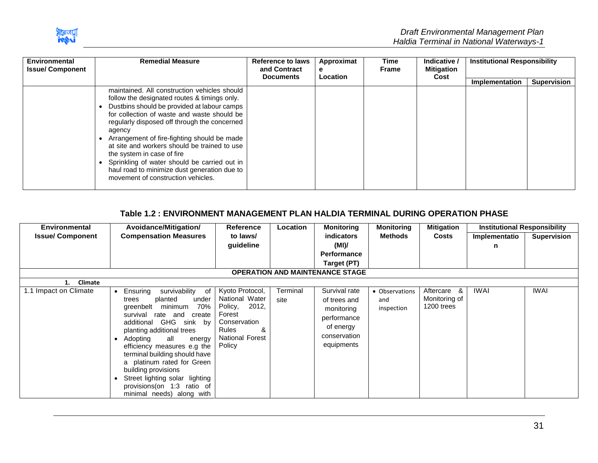

| Environmental<br><b>Issue/Component</b> | <b>Remedial Measure</b>                                                                                                                                                                                                                                                                                                                                                                                                                                                                                                 | <b>Reference to laws</b><br>and Contract<br><b>Documents</b> | Approximat<br>е         | Time<br><b>Frame</b> | Indicative /<br><b>Mitigation</b> | <b>Institutional Responsibility</b> |                    |
|-----------------------------------------|-------------------------------------------------------------------------------------------------------------------------------------------------------------------------------------------------------------------------------------------------------------------------------------------------------------------------------------------------------------------------------------------------------------------------------------------------------------------------------------------------------------------------|--------------------------------------------------------------|-------------------------|----------------------|-----------------------------------|-------------------------------------|--------------------|
|                                         |                                                                                                                                                                                                                                                                                                                                                                                                                                                                                                                         |                                                              | <b>Location</b><br>Cost |                      |                                   | Implementation                      | <b>Supervision</b> |
|                                         | maintained. All construction vehicles should<br>follow the designated routes & timings only.<br>Dustbins should be provided at labour camps<br>for collection of waste and waste should be<br>regularly disposed off through the concerned<br>agency<br>Arrangement of fire-fighting should be made<br>at site and workers should be trained to use<br>the system in case of fire<br>Sprinkling of water should be carried out in<br>haul road to minimize dust generation due to<br>movement of construction vehicles. |                                                              |                         |                      |                                   |                                     |                    |

## **Table 1.2 : ENVIRONMENT MANAGEMENT PLAN HALDIA TERMINAL DURING OPERATION PHASE**

<span id="page-31-0"></span>

| <b>Environmental</b>    | Avoidance/Mitigation/                                                                                                                                                                                                                                                                                                                                                                                                      | <b>Reference</b>                                                                                                                  | Location         | <b>Monitoring</b>                                                                                     | <b>Monitoring</b>                   | <b>Mitigation</b>                             | <b>Institutional Responsibility</b> |                    |
|-------------------------|----------------------------------------------------------------------------------------------------------------------------------------------------------------------------------------------------------------------------------------------------------------------------------------------------------------------------------------------------------------------------------------------------------------------------|-----------------------------------------------------------------------------------------------------------------------------------|------------------|-------------------------------------------------------------------------------------------------------|-------------------------------------|-----------------------------------------------|-------------------------------------|--------------------|
| <b>Issue/ Component</b> | <b>Compensation Measures</b>                                                                                                                                                                                                                                                                                                                                                                                               | to laws/                                                                                                                          |                  | <b>indicators</b>                                                                                     | <b>Methods</b>                      | Costs                                         | Implementatio                       | <b>Supervision</b> |
|                         |                                                                                                                                                                                                                                                                                                                                                                                                                            | guideline                                                                                                                         |                  | (MI)/                                                                                                 |                                     |                                               | n                                   |                    |
|                         |                                                                                                                                                                                                                                                                                                                                                                                                                            |                                                                                                                                   |                  | <b>Performance</b>                                                                                    |                                     |                                               |                                     |                    |
|                         |                                                                                                                                                                                                                                                                                                                                                                                                                            |                                                                                                                                   |                  | Target (PT)                                                                                           |                                     |                                               |                                     |                    |
|                         |                                                                                                                                                                                                                                                                                                                                                                                                                            |                                                                                                                                   |                  | <b>OPERATION AND MAINTENANCE STAGE</b>                                                                |                                     |                                               |                                     |                    |
| Climate                 |                                                                                                                                                                                                                                                                                                                                                                                                                            |                                                                                                                                   |                  |                                                                                                       |                                     |                                               |                                     |                    |
| 1.1 Impact on Climate   | survivability of<br>Ensuring<br>planted<br>under<br>trees<br>70%<br>greenbelt<br>minimum<br>survival rate and create<br>additional GHG sink by<br>planting additional trees<br>Adopting<br>all<br>energy<br>efficiency measures e.g the<br>terminal building should have<br>a platinum rated for Green<br>building provisions<br>Street lighting solar lighting<br>provisions(on 1:3 ratio of<br>minimal needs) along with | Kyoto Protocol,<br>National Water<br>2012,<br>Policy,<br>Forest<br>Conservation<br><b>Rules</b><br>&<br>National Forest<br>Policy | Terminal<br>site | Survival rate<br>of trees and<br>monitoring<br>performance<br>of energy<br>conservation<br>equipments | • Observations<br>and<br>inspection | Aftercare<br>&<br>Monitoring of<br>1200 trees | <b>IWAI</b>                         | <b>IWAI</b>        |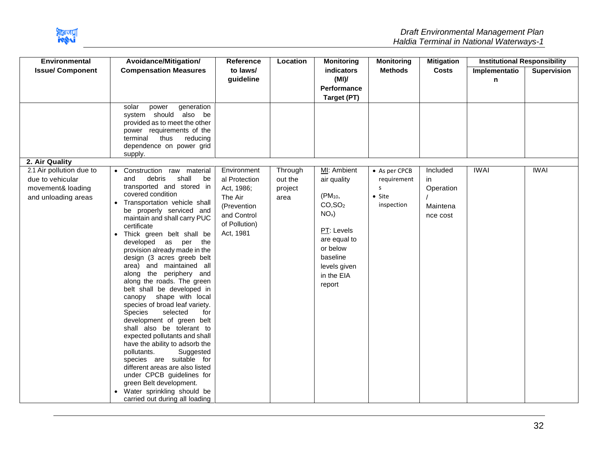

| <b>Environmental</b>                                                                     | Avoidance/Mitigation/                                                                                                                                                                                                                                                                                                                                                                                                                                                                                                                                                                                                                                                                                                                                                                                                                                                                                                           | <b>Reference</b>                                                                                                  | Location                              | <b>Monitoring</b>                                                                                                                                                         | <b>Monitoring</b>                                                 | <b>Mitigation</b>                                    | <b>Institutional Responsibility</b> |                    |
|------------------------------------------------------------------------------------------|---------------------------------------------------------------------------------------------------------------------------------------------------------------------------------------------------------------------------------------------------------------------------------------------------------------------------------------------------------------------------------------------------------------------------------------------------------------------------------------------------------------------------------------------------------------------------------------------------------------------------------------------------------------------------------------------------------------------------------------------------------------------------------------------------------------------------------------------------------------------------------------------------------------------------------|-------------------------------------------------------------------------------------------------------------------|---------------------------------------|---------------------------------------------------------------------------------------------------------------------------------------------------------------------------|-------------------------------------------------------------------|------------------------------------------------------|-------------------------------------|--------------------|
| <b>Issue/ Component</b>                                                                  | <b>Compensation Measures</b>                                                                                                                                                                                                                                                                                                                                                                                                                                                                                                                                                                                                                                                                                                                                                                                                                                                                                                    | to laws/<br>guideline                                                                                             |                                       | <b>indicators</b><br>(MI)<br>Performance<br>Target (PT)                                                                                                                   | <b>Methods</b>                                                    | <b>Costs</b>                                         | Implementatio<br>n                  | <b>Supervision</b> |
|                                                                                          | power<br>generation<br>solar<br>system should also be<br>provided as to meet the other<br>power requirements of the<br>thus<br>terminal<br>reducing<br>dependence on power grid<br>supply.                                                                                                                                                                                                                                                                                                                                                                                                                                                                                                                                                                                                                                                                                                                                      |                                                                                                                   |                                       |                                                                                                                                                                           |                                                                   |                                                      |                                     |                    |
| 2. Air Quality                                                                           |                                                                                                                                                                                                                                                                                                                                                                                                                                                                                                                                                                                                                                                                                                                                                                                                                                                                                                                                 |                                                                                                                   |                                       |                                                                                                                                                                           |                                                                   |                                                      |                                     |                    |
| 2.1 Air pollution due to<br>due to vehicular<br>movement& loading<br>and unloading areas | Construction raw material<br>shall<br>debris<br>and<br>be<br>transported and stored in<br>covered condition<br>Transportation vehicle shall<br>be properly serviced and<br>maintain and shall carry PUC<br>certificate<br>Thick green belt shall be<br>$\bullet$<br>developed as per<br>the<br>provision already made in the<br>design (3 acres greeb belt<br>area) and maintained all<br>along the periphery and<br>along the roads. The green<br>belt shall be developed in<br>canopy shape with local<br>species of broad leaf variety.<br><b>Species</b><br>selected<br>for<br>development of green belt<br>shall also be tolerant to<br>expected pollutants and shall<br>have the ability to adsorb the<br>pollutants.<br>Suggested<br>species are suitable for<br>different areas are also listed<br>under CPCB guidelines for<br>green Belt development.<br>Water sprinkling should be<br>carried out during all loading | Environment<br>al Protection<br>Act, 1986;<br>The Air<br>(Prevention<br>and Control<br>of Pollution)<br>Act, 1981 | Through<br>out the<br>project<br>area | MI: Ambient<br>air quality<br>$(PM_{10},$<br>CO, SO <sub>2</sub><br>$NOx$ )<br>PT: Levels<br>are equal to<br>or below<br>baseline<br>levels given<br>in the EIA<br>report | • As per CPCB<br>requirement<br>s<br>$\bullet$ Site<br>inspection | Included<br>in.<br>Operation<br>Maintena<br>nce cost | <b>IWAI</b>                         | <b>IWAI</b>        |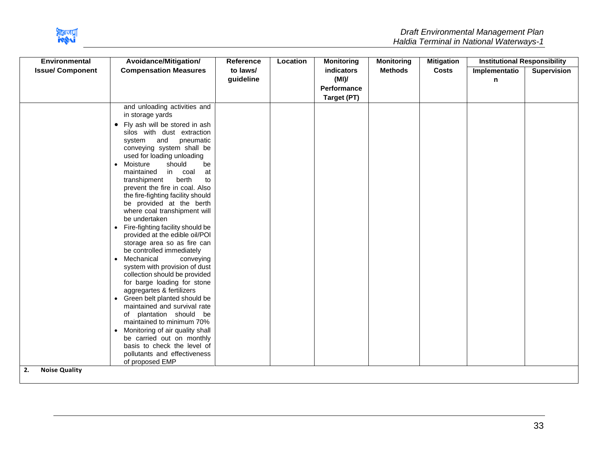

| <b>Environmental</b>       | Avoidance/Mitigation/                                                                                                                                                                                                                                                                                                                                                                                                                                                                                                                                                                                                                                                                                                                                                                                                                                                                                                                                                                                                | <b>Reference</b>      | Location | <b>Monitoring</b>                                       | <b>Monitoring</b> | <b>Mitigation</b> | <b>Institutional Responsibility</b> |                    |
|----------------------------|----------------------------------------------------------------------------------------------------------------------------------------------------------------------------------------------------------------------------------------------------------------------------------------------------------------------------------------------------------------------------------------------------------------------------------------------------------------------------------------------------------------------------------------------------------------------------------------------------------------------------------------------------------------------------------------------------------------------------------------------------------------------------------------------------------------------------------------------------------------------------------------------------------------------------------------------------------------------------------------------------------------------|-----------------------|----------|---------------------------------------------------------|-------------------|-------------------|-------------------------------------|--------------------|
| <b>Issue/ Component</b>    | <b>Compensation Measures</b>                                                                                                                                                                                                                                                                                                                                                                                                                                                                                                                                                                                                                                                                                                                                                                                                                                                                                                                                                                                         | to laws/<br>guideline |          | indicators<br>(MI)<br><b>Performance</b><br>Target (PT) | <b>Methods</b>    | <b>Costs</b>      | Implementatio<br>n                  | <b>Supervision</b> |
|                            | and unloading activities and<br>in storage yards<br>• Fly ash will be stored in ash<br>silos with dust extraction<br>and<br>pneumatic<br>system<br>conveying system shall be<br>used for loading unloading<br>• Moisture<br>should<br>be<br>maintained<br>in coal<br>at<br>berth<br>transhipment<br>to<br>prevent the fire in coal. Also<br>the fire-fighting facility should<br>be provided at the berth<br>where coal transhipment will<br>be undertaken<br>• Fire-fighting facility should be<br>provided at the edible oil/POI<br>storage area so as fire can<br>be controlled immediately<br>• Mechanical<br>conveying<br>system with provision of dust<br>collection should be provided<br>for barge loading for stone<br>aggregartes & fertilizers<br>• Green belt planted should be<br>maintained and survival rate<br>of plantation should be<br>maintained to minimum 70%<br>• Monitoring of air quality shall<br>be carried out on monthly<br>basis to check the level of<br>pollutants and effectiveness |                       |          |                                                         |                   |                   |                                     |                    |
| 2.<br><b>Noise Quality</b> | of proposed EMP                                                                                                                                                                                                                                                                                                                                                                                                                                                                                                                                                                                                                                                                                                                                                                                                                                                                                                                                                                                                      |                       |          |                                                         |                   |                   |                                     |                    |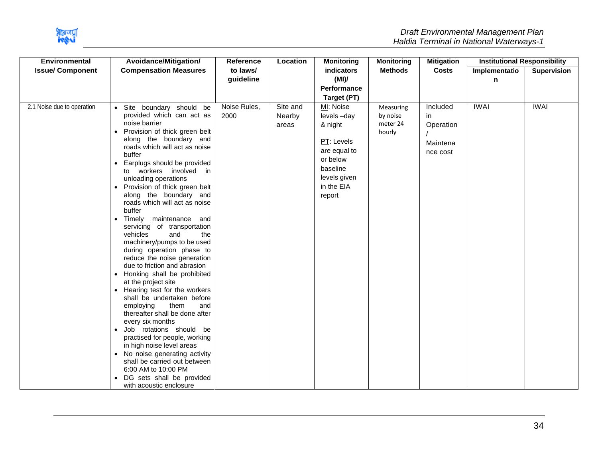

| <b>Compensation Measures</b><br><b>Issue/ Component</b><br>to laws/<br>indicators<br><b>Methods</b><br><b>Costs</b><br>Implementatio<br><b>Supervision</b><br>(MI)<br>guideline<br>n<br><b>Performance</b><br>Target (PT)<br><b>IWAI</b><br><b>IWAI</b><br>Noise Rules,<br>Site and<br>Included<br>2.1 Noise due to operation<br>· Site boundary should be<br>MI: Noise<br>Measuring<br>provided which can act as<br>2000<br>levels-day<br>by noise<br>in<br>Nearby<br>noise barrier<br>meter 24<br>& night<br>Operation<br>areas<br>• Provision of thick green belt<br>hourly<br>along the boundary and<br>PT: Levels<br>Maintena<br>roads which will act as noise<br>are equal to<br>nce cost<br>buffer<br>or below<br>Earplugs should be provided<br>baseline<br>workers involved in<br>to<br>levels given<br>unloading operations<br>in the EIA<br>• Provision of thick green belt<br>along the boundary and<br>report<br>roads which will act as noise<br>buffer<br>Timely maintenance and<br>$\bullet$<br>servicing of transportation<br>vehicles<br>the<br>and<br>machinery/pumps to be used<br>during operation phase to<br>reduce the noise generation<br>due to friction and abrasion<br>• Honking shall be prohibited<br>at the project site<br>• Hearing test for the workers<br>shall be undertaken before<br>them<br>employing<br>and<br>thereafter shall be done after<br>every six months<br>Job rotations should be<br>practised for people, working<br>in high noise level areas<br>• No noise generating activity<br>shall be carried out between<br>6:00 AM to 10:00 PM<br>• DG sets shall be provided | <b>Environmental</b> | Avoidance/Mitigation/ | Reference | Location | <b>Monitoring</b> | <b>Monitoring</b> | <b>Mitigation</b> | <b>Institutional Responsibility</b> |  |
|----------------------------------------------------------------------------------------------------------------------------------------------------------------------------------------------------------------------------------------------------------------------------------------------------------------------------------------------------------------------------------------------------------------------------------------------------------------------------------------------------------------------------------------------------------------------------------------------------------------------------------------------------------------------------------------------------------------------------------------------------------------------------------------------------------------------------------------------------------------------------------------------------------------------------------------------------------------------------------------------------------------------------------------------------------------------------------------------------------------------------------------------------------------------------------------------------------------------------------------------------------------------------------------------------------------------------------------------------------------------------------------------------------------------------------------------------------------------------------------------------------------------------------------------------------------------------------------------------------------------------|----------------------|-----------------------|-----------|----------|-------------------|-------------------|-------------------|-------------------------------------|--|
|                                                                                                                                                                                                                                                                                                                                                                                                                                                                                                                                                                                                                                                                                                                                                                                                                                                                                                                                                                                                                                                                                                                                                                                                                                                                                                                                                                                                                                                                                                                                                                                                                            |                      |                       |           |          |                   |                   |                   |                                     |  |
|                                                                                                                                                                                                                                                                                                                                                                                                                                                                                                                                                                                                                                                                                                                                                                                                                                                                                                                                                                                                                                                                                                                                                                                                                                                                                                                                                                                                                                                                                                                                                                                                                            |                      |                       |           |          |                   |                   |                   |                                     |  |
|                                                                                                                                                                                                                                                                                                                                                                                                                                                                                                                                                                                                                                                                                                                                                                                                                                                                                                                                                                                                                                                                                                                                                                                                                                                                                                                                                                                                                                                                                                                                                                                                                            |                      |                       |           |          |                   |                   |                   |                                     |  |
|                                                                                                                                                                                                                                                                                                                                                                                                                                                                                                                                                                                                                                                                                                                                                                                                                                                                                                                                                                                                                                                                                                                                                                                                                                                                                                                                                                                                                                                                                                                                                                                                                            |                      |                       |           |          |                   |                   |                   |                                     |  |
|                                                                                                                                                                                                                                                                                                                                                                                                                                                                                                                                                                                                                                                                                                                                                                                                                                                                                                                                                                                                                                                                                                                                                                                                                                                                                                                                                                                                                                                                                                                                                                                                                            |                      |                       |           |          |                   |                   |                   |                                     |  |
|                                                                                                                                                                                                                                                                                                                                                                                                                                                                                                                                                                                                                                                                                                                                                                                                                                                                                                                                                                                                                                                                                                                                                                                                                                                                                                                                                                                                                                                                                                                                                                                                                            |                      |                       |           |          |                   |                   |                   |                                     |  |
|                                                                                                                                                                                                                                                                                                                                                                                                                                                                                                                                                                                                                                                                                                                                                                                                                                                                                                                                                                                                                                                                                                                                                                                                                                                                                                                                                                                                                                                                                                                                                                                                                            |                      |                       |           |          |                   |                   |                   |                                     |  |
|                                                                                                                                                                                                                                                                                                                                                                                                                                                                                                                                                                                                                                                                                                                                                                                                                                                                                                                                                                                                                                                                                                                                                                                                                                                                                                                                                                                                                                                                                                                                                                                                                            |                      |                       |           |          |                   |                   |                   |                                     |  |
|                                                                                                                                                                                                                                                                                                                                                                                                                                                                                                                                                                                                                                                                                                                                                                                                                                                                                                                                                                                                                                                                                                                                                                                                                                                                                                                                                                                                                                                                                                                                                                                                                            |                      |                       |           |          |                   |                   |                   |                                     |  |
|                                                                                                                                                                                                                                                                                                                                                                                                                                                                                                                                                                                                                                                                                                                                                                                                                                                                                                                                                                                                                                                                                                                                                                                                                                                                                                                                                                                                                                                                                                                                                                                                                            |                      |                       |           |          |                   |                   |                   |                                     |  |
|                                                                                                                                                                                                                                                                                                                                                                                                                                                                                                                                                                                                                                                                                                                                                                                                                                                                                                                                                                                                                                                                                                                                                                                                                                                                                                                                                                                                                                                                                                                                                                                                                            |                      |                       |           |          |                   |                   |                   |                                     |  |
|                                                                                                                                                                                                                                                                                                                                                                                                                                                                                                                                                                                                                                                                                                                                                                                                                                                                                                                                                                                                                                                                                                                                                                                                                                                                                                                                                                                                                                                                                                                                                                                                                            |                      |                       |           |          |                   |                   |                   |                                     |  |
|                                                                                                                                                                                                                                                                                                                                                                                                                                                                                                                                                                                                                                                                                                                                                                                                                                                                                                                                                                                                                                                                                                                                                                                                                                                                                                                                                                                                                                                                                                                                                                                                                            |                      |                       |           |          |                   |                   |                   |                                     |  |
|                                                                                                                                                                                                                                                                                                                                                                                                                                                                                                                                                                                                                                                                                                                                                                                                                                                                                                                                                                                                                                                                                                                                                                                                                                                                                                                                                                                                                                                                                                                                                                                                                            |                      |                       |           |          |                   |                   |                   |                                     |  |
|                                                                                                                                                                                                                                                                                                                                                                                                                                                                                                                                                                                                                                                                                                                                                                                                                                                                                                                                                                                                                                                                                                                                                                                                                                                                                                                                                                                                                                                                                                                                                                                                                            |                      |                       |           |          |                   |                   |                   |                                     |  |
|                                                                                                                                                                                                                                                                                                                                                                                                                                                                                                                                                                                                                                                                                                                                                                                                                                                                                                                                                                                                                                                                                                                                                                                                                                                                                                                                                                                                                                                                                                                                                                                                                            |                      |                       |           |          |                   |                   |                   |                                     |  |
|                                                                                                                                                                                                                                                                                                                                                                                                                                                                                                                                                                                                                                                                                                                                                                                                                                                                                                                                                                                                                                                                                                                                                                                                                                                                                                                                                                                                                                                                                                                                                                                                                            |                      |                       |           |          |                   |                   |                   |                                     |  |
|                                                                                                                                                                                                                                                                                                                                                                                                                                                                                                                                                                                                                                                                                                                                                                                                                                                                                                                                                                                                                                                                                                                                                                                                                                                                                                                                                                                                                                                                                                                                                                                                                            |                      |                       |           |          |                   |                   |                   |                                     |  |
|                                                                                                                                                                                                                                                                                                                                                                                                                                                                                                                                                                                                                                                                                                                                                                                                                                                                                                                                                                                                                                                                                                                                                                                                                                                                                                                                                                                                                                                                                                                                                                                                                            |                      |                       |           |          |                   |                   |                   |                                     |  |
|                                                                                                                                                                                                                                                                                                                                                                                                                                                                                                                                                                                                                                                                                                                                                                                                                                                                                                                                                                                                                                                                                                                                                                                                                                                                                                                                                                                                                                                                                                                                                                                                                            |                      |                       |           |          |                   |                   |                   |                                     |  |
|                                                                                                                                                                                                                                                                                                                                                                                                                                                                                                                                                                                                                                                                                                                                                                                                                                                                                                                                                                                                                                                                                                                                                                                                                                                                                                                                                                                                                                                                                                                                                                                                                            |                      |                       |           |          |                   |                   |                   |                                     |  |
|                                                                                                                                                                                                                                                                                                                                                                                                                                                                                                                                                                                                                                                                                                                                                                                                                                                                                                                                                                                                                                                                                                                                                                                                                                                                                                                                                                                                                                                                                                                                                                                                                            |                      |                       |           |          |                   |                   |                   |                                     |  |
|                                                                                                                                                                                                                                                                                                                                                                                                                                                                                                                                                                                                                                                                                                                                                                                                                                                                                                                                                                                                                                                                                                                                                                                                                                                                                                                                                                                                                                                                                                                                                                                                                            |                      |                       |           |          |                   |                   |                   |                                     |  |
|                                                                                                                                                                                                                                                                                                                                                                                                                                                                                                                                                                                                                                                                                                                                                                                                                                                                                                                                                                                                                                                                                                                                                                                                                                                                                                                                                                                                                                                                                                                                                                                                                            |                      |                       |           |          |                   |                   |                   |                                     |  |
|                                                                                                                                                                                                                                                                                                                                                                                                                                                                                                                                                                                                                                                                                                                                                                                                                                                                                                                                                                                                                                                                                                                                                                                                                                                                                                                                                                                                                                                                                                                                                                                                                            |                      |                       |           |          |                   |                   |                   |                                     |  |
|                                                                                                                                                                                                                                                                                                                                                                                                                                                                                                                                                                                                                                                                                                                                                                                                                                                                                                                                                                                                                                                                                                                                                                                                                                                                                                                                                                                                                                                                                                                                                                                                                            |                      |                       |           |          |                   |                   |                   |                                     |  |
|                                                                                                                                                                                                                                                                                                                                                                                                                                                                                                                                                                                                                                                                                                                                                                                                                                                                                                                                                                                                                                                                                                                                                                                                                                                                                                                                                                                                                                                                                                                                                                                                                            |                      |                       |           |          |                   |                   |                   |                                     |  |
|                                                                                                                                                                                                                                                                                                                                                                                                                                                                                                                                                                                                                                                                                                                                                                                                                                                                                                                                                                                                                                                                                                                                                                                                                                                                                                                                                                                                                                                                                                                                                                                                                            |                      |                       |           |          |                   |                   |                   |                                     |  |
|                                                                                                                                                                                                                                                                                                                                                                                                                                                                                                                                                                                                                                                                                                                                                                                                                                                                                                                                                                                                                                                                                                                                                                                                                                                                                                                                                                                                                                                                                                                                                                                                                            |                      |                       |           |          |                   |                   |                   |                                     |  |
|                                                                                                                                                                                                                                                                                                                                                                                                                                                                                                                                                                                                                                                                                                                                                                                                                                                                                                                                                                                                                                                                                                                                                                                                                                                                                                                                                                                                                                                                                                                                                                                                                            |                      |                       |           |          |                   |                   |                   |                                     |  |
|                                                                                                                                                                                                                                                                                                                                                                                                                                                                                                                                                                                                                                                                                                                                                                                                                                                                                                                                                                                                                                                                                                                                                                                                                                                                                                                                                                                                                                                                                                                                                                                                                            |                      |                       |           |          |                   |                   |                   |                                     |  |
|                                                                                                                                                                                                                                                                                                                                                                                                                                                                                                                                                                                                                                                                                                                                                                                                                                                                                                                                                                                                                                                                                                                                                                                                                                                                                                                                                                                                                                                                                                                                                                                                                            |                      |                       |           |          |                   |                   |                   |                                     |  |
|                                                                                                                                                                                                                                                                                                                                                                                                                                                                                                                                                                                                                                                                                                                                                                                                                                                                                                                                                                                                                                                                                                                                                                                                                                                                                                                                                                                                                                                                                                                                                                                                                            |                      |                       |           |          |                   |                   |                   |                                     |  |
|                                                                                                                                                                                                                                                                                                                                                                                                                                                                                                                                                                                                                                                                                                                                                                                                                                                                                                                                                                                                                                                                                                                                                                                                                                                                                                                                                                                                                                                                                                                                                                                                                            |                      |                       |           |          |                   |                   |                   |                                     |  |
|                                                                                                                                                                                                                                                                                                                                                                                                                                                                                                                                                                                                                                                                                                                                                                                                                                                                                                                                                                                                                                                                                                                                                                                                                                                                                                                                                                                                                                                                                                                                                                                                                            |                      |                       |           |          |                   |                   |                   |                                     |  |
| with acoustic enclosure                                                                                                                                                                                                                                                                                                                                                                                                                                                                                                                                                                                                                                                                                                                                                                                                                                                                                                                                                                                                                                                                                                                                                                                                                                                                                                                                                                                                                                                                                                                                                                                                    |                      |                       |           |          |                   |                   |                   |                                     |  |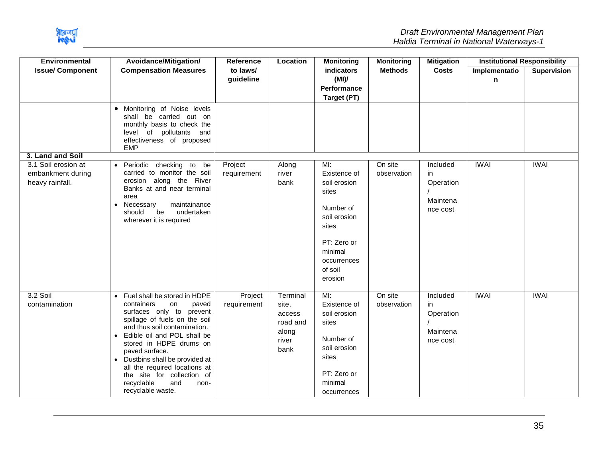

| <b>Environmental</b>                                        | Avoidance/Mitigation/                                                                                                                                                                                                                                                                                                                                                                                                       | <b>Reference</b>       | Location                                                          | <b>Monitoring</b>                                                                                                                                 | <b>Monitoring</b>      | <b>Mitigation</b>                                    | <b>Institutional Responsibility</b> |                    |
|-------------------------------------------------------------|-----------------------------------------------------------------------------------------------------------------------------------------------------------------------------------------------------------------------------------------------------------------------------------------------------------------------------------------------------------------------------------------------------------------------------|------------------------|-------------------------------------------------------------------|---------------------------------------------------------------------------------------------------------------------------------------------------|------------------------|------------------------------------------------------|-------------------------------------|--------------------|
| <b>Issue/ Component</b>                                     | <b>Compensation Measures</b>                                                                                                                                                                                                                                                                                                                                                                                                | to laws/<br>guideline  |                                                                   | <b>indicators</b><br>(MI)<br>Performance<br>Target (PT)                                                                                           | <b>Methods</b>         | <b>Costs</b>                                         | Implementatio<br>$\mathsf{n}$       | <b>Supervision</b> |
|                                                             | • Monitoring of Noise levels<br>shall be carried out on<br>monthly basis to check the<br>level of pollutants and<br>effectiveness of proposed<br><b>EMP</b>                                                                                                                                                                                                                                                                 |                        |                                                                   |                                                                                                                                                   |                        |                                                      |                                     |                    |
| 3. Land and Soil                                            |                                                                                                                                                                                                                                                                                                                                                                                                                             |                        |                                                                   |                                                                                                                                                   |                        |                                                      |                                     |                    |
| 3.1 Soil erosion at<br>embankment during<br>heavy rainfall. | Periodic checking to<br>be<br>$\bullet$<br>carried to monitor the soil<br>erosion along the River<br>Banks at and near terminal<br>area<br>maintainance<br>Necessary<br>$\bullet$<br>be<br>undertaken<br>should<br>wherever it is required                                                                                                                                                                                  | Project<br>requirement | Along<br>river<br>bank                                            | MI:<br>Existence of<br>soil erosion<br>sites<br>Number of<br>soil erosion<br>sites<br>PT: Zero or<br>minimal<br>occurrences<br>of soil<br>erosion | On site<br>observation | Included<br>in.<br>Operation<br>Maintena<br>nce cost | <b>IWAI</b>                         | <b>IWAI</b>        |
| 3.2 Soil<br>contamination                                   | Fuel shall be stored in HDPE<br>$\bullet$<br>containers<br>paved<br>on<br>surfaces only to prevent<br>spillage of fuels on the soil<br>and thus soil contamination.<br>Edible oil and POL shall be<br>$\bullet$<br>stored in HDPE drums on<br>paved surface.<br>Dustbins shall be provided at<br>$\bullet$<br>all the required locations at<br>the site for collection of<br>recyclable<br>and<br>non-<br>recyclable waste. | Project<br>requirement | Terminal<br>site,<br>access<br>road and<br>along<br>river<br>bank | M!<br>Existence of<br>soil erosion<br>sites<br>Number of<br>soil erosion<br>sites<br>PT: Zero or<br>minimal<br>occurrences                        | On site<br>observation | Included<br>in.<br>Operation<br>Maintena<br>nce cost | <b>IWAI</b>                         | <b>IWAI</b>        |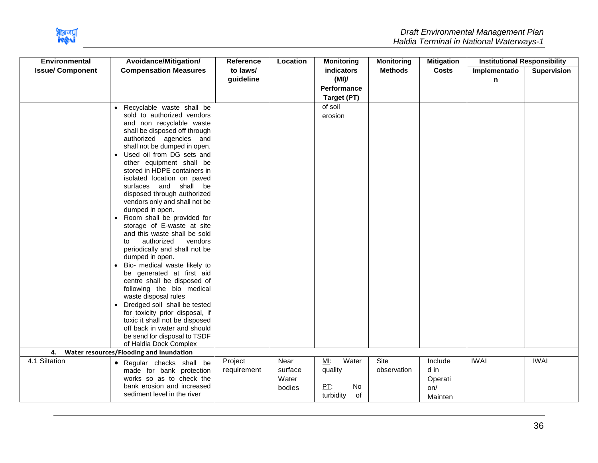

| <b>Environmental</b>    | Avoidance/Mitigation/                                    | Reference   | <b>Location</b> | <b>Monitoring</b>  | <b>Monitoring</b> | <b>Mitigation</b> | <b>Institutional Responsibility</b> |                    |
|-------------------------|----------------------------------------------------------|-------------|-----------------|--------------------|-------------------|-------------------|-------------------------------------|--------------------|
| <b>Issue/ Component</b> | <b>Compensation Measures</b>                             | to laws/    |                 | indicators         | <b>Methods</b>    | <b>Costs</b>      | Implementatio                       | <b>Supervision</b> |
|                         |                                                          | guideline   |                 | (MI)               |                   |                   | n                                   |                    |
|                         |                                                          |             |                 | <b>Performance</b> |                   |                   |                                     |                    |
|                         |                                                          |             |                 | Target (PT)        |                   |                   |                                     |                    |
|                         | • Recyclable waste shall be                              |             |                 | of soil            |                   |                   |                                     |                    |
|                         | sold to authorized vendors                               |             |                 | erosion            |                   |                   |                                     |                    |
|                         | and non recyclable waste                                 |             |                 |                    |                   |                   |                                     |                    |
|                         | shall be disposed off through                            |             |                 |                    |                   |                   |                                     |                    |
|                         | authorized agencies and                                  |             |                 |                    |                   |                   |                                     |                    |
|                         | shall not be dumped in open.                             |             |                 |                    |                   |                   |                                     |                    |
|                         | • Used oil from DG sets and                              |             |                 |                    |                   |                   |                                     |                    |
|                         | other equipment shall be<br>stored in HDPE containers in |             |                 |                    |                   |                   |                                     |                    |
|                         | isolated location on paved                               |             |                 |                    |                   |                   |                                     |                    |
|                         | surfaces and shall be                                    |             |                 |                    |                   |                   |                                     |                    |
|                         | disposed through authorized                              |             |                 |                    |                   |                   |                                     |                    |
|                         | vendors only and shall not be                            |             |                 |                    |                   |                   |                                     |                    |
|                         | dumped in open.                                          |             |                 |                    |                   |                   |                                     |                    |
|                         | • Room shall be provided for                             |             |                 |                    |                   |                   |                                     |                    |
|                         | storage of E-waste at site                               |             |                 |                    |                   |                   |                                     |                    |
|                         | and this waste shall be sold                             |             |                 |                    |                   |                   |                                     |                    |
|                         | authorized<br>vendors<br>to                              |             |                 |                    |                   |                   |                                     |                    |
|                         | periodically and shall not be                            |             |                 |                    |                   |                   |                                     |                    |
|                         | dumped in open.                                          |             |                 |                    |                   |                   |                                     |                    |
|                         | · Bio- medical waste likely to                           |             |                 |                    |                   |                   |                                     |                    |
|                         | be generated at first aid                                |             |                 |                    |                   |                   |                                     |                    |
|                         | centre shall be disposed of                              |             |                 |                    |                   |                   |                                     |                    |
|                         | following the bio medical<br>waste disposal rules        |             |                 |                    |                   |                   |                                     |                    |
|                         | • Dredged soil shall be tested                           |             |                 |                    |                   |                   |                                     |                    |
|                         | for toxicity prior disposal, if                          |             |                 |                    |                   |                   |                                     |                    |
|                         | toxic it shall not be disposed                           |             |                 |                    |                   |                   |                                     |                    |
|                         | off back in water and should                             |             |                 |                    |                   |                   |                                     |                    |
|                         | be send for disposal to TSDF                             |             |                 |                    |                   |                   |                                     |                    |
|                         | of Haldia Dock Complex                                   |             |                 |                    |                   |                   |                                     |                    |
| 4.                      | Water resources/Flooding and Inundation                  |             |                 |                    |                   |                   |                                     |                    |
| 4.1 Siltation           | • Regular checks shall be                                | Project     | Near            | MI:<br>Water       | Site              | Include           | <b>IWAI</b>                         | <b>IWAI</b>        |
|                         | made for bank protection                                 | requirement | surface         | quality            | observation       | d in              |                                     |                    |
|                         | works so as to check the                                 |             | Water           |                    |                   | Operati           |                                     |                    |
|                         | bank erosion and increased                               |             | bodies          | PT:<br>No          |                   | on/               |                                     |                    |
|                         | sediment level in the river                              |             |                 | turbidity<br>of    |                   | Mainten           |                                     |                    |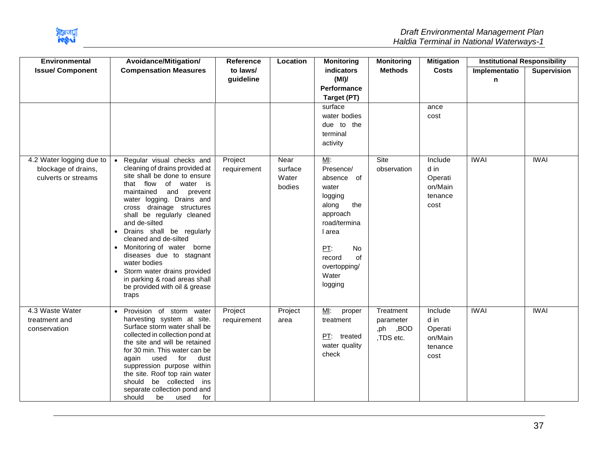

| <b>Environmental</b>                                                   | Avoidance/Mitigation/                                                                                                                                                                                                                                                                                                                                                                                                                                                                                     | <b>Reference</b>       | Location                           | <b>Monitoring</b>                                                                                                                                                               | <b>Monitoring</b>                                  | <b>Mitigation</b>                                        | <b>Institutional Responsibility</b> |                    |
|------------------------------------------------------------------------|-----------------------------------------------------------------------------------------------------------------------------------------------------------------------------------------------------------------------------------------------------------------------------------------------------------------------------------------------------------------------------------------------------------------------------------------------------------------------------------------------------------|------------------------|------------------------------------|---------------------------------------------------------------------------------------------------------------------------------------------------------------------------------|----------------------------------------------------|----------------------------------------------------------|-------------------------------------|--------------------|
| <b>Issue/ Component</b>                                                | <b>Compensation Measures</b>                                                                                                                                                                                                                                                                                                                                                                                                                                                                              | to laws/<br>guideline  |                                    | indicators<br>(MI)<br><b>Performance</b><br>Target (PT)                                                                                                                         | <b>Methods</b>                                     | <b>Costs</b>                                             | Implementatio<br>n                  | <b>Supervision</b> |
|                                                                        |                                                                                                                                                                                                                                                                                                                                                                                                                                                                                                           |                        |                                    | surface<br>water bodies<br>due to the<br>terminal<br>activity                                                                                                                   |                                                    | ance<br>cost                                             |                                     |                    |
| 4.2 Water logging due to<br>blockage of drains,<br>culverts or streams | • Regular visual checks and<br>cleaning of drains provided at<br>site shall be done to ensure<br>that flow of water is<br>maintained<br>and prevent<br>water logging. Drains and<br>cross drainage structures<br>shall be regularly cleaned<br>and de-silted<br>• Drains shall be regularly<br>cleaned and de-silted<br>• Monitoring of water borne<br>diseases due to stagnant<br>water bodies<br>Storm water drains provided<br>in parking & road areas shall<br>be provided with oil & grease<br>traps | Project<br>requirement | Near<br>surface<br>Water<br>bodies | M!<br>Presence/<br>absence of<br>water<br>logging<br>along<br>the<br>approach<br>road/termina<br>I area<br>PT:<br><b>No</b><br>of<br>record<br>overtopping/<br>Water<br>logging | Site<br>observation                                | Include<br>d in<br>Operati<br>on/Main<br>tenance<br>cost | <b>IWAI</b>                         | <b>IWAI</b>        |
| 4.3 Waste Water<br>treatment and<br>conservation                       | · Provision of storm water<br>harvesting system at site.<br>Surface storm water shall be<br>collected in collection pond at<br>the site and will be retained<br>for 30 min. This water can be<br>for<br>dust<br>again<br>used<br>suppression purpose within<br>the site. Roof top rain water<br>should be collected ins<br>separate collection pond and<br>should<br>be<br>for<br>used                                                                                                                    | Project<br>requirement | Project<br>area                    | MI:<br>proper<br>treatment<br>PT: treated<br>water quality<br>check                                                                                                             | Treatment<br>parameter<br>,BOD<br>.ph<br>.TDS etc. | Include<br>d in<br>Operati<br>on/Main<br>tenance<br>cost | <b>IWAI</b>                         | <b>IWAI</b>        |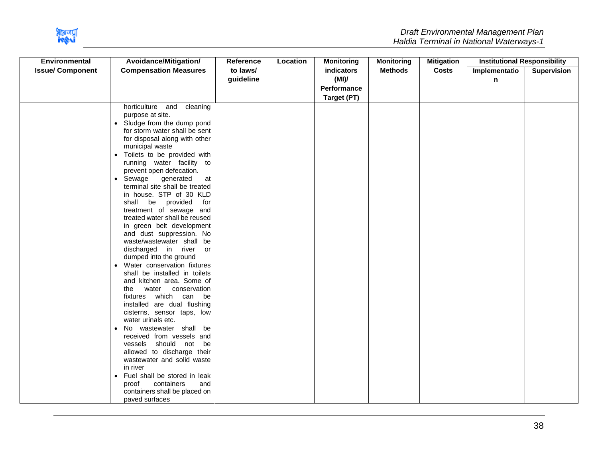

| <b>Environmental</b>    | Avoidance/Mitigation/                                 | Reference | Location | <b>Monitoring</b> | <b>Monitoring</b> | <b>Mitigation</b> | <b>Institutional Responsibility</b> |                    |
|-------------------------|-------------------------------------------------------|-----------|----------|-------------------|-------------------|-------------------|-------------------------------------|--------------------|
| <b>Issue/ Component</b> | <b>Compensation Measures</b>                          | to laws/  |          | indicators        | <b>Methods</b>    | <b>Costs</b>      | Implementatio                       | <b>Supervision</b> |
|                         |                                                       | guideline |          | (MI)              |                   |                   | n                                   |                    |
|                         |                                                       |           |          | Performance       |                   |                   |                                     |                    |
|                         |                                                       |           |          | Target (PT)       |                   |                   |                                     |                    |
|                         | horticulture and cleaning                             |           |          |                   |                   |                   |                                     |                    |
|                         | purpose at site.                                      |           |          |                   |                   |                   |                                     |                    |
|                         | • Sludge from the dump pond                           |           |          |                   |                   |                   |                                     |                    |
|                         | for storm water shall be sent                         |           |          |                   |                   |                   |                                     |                    |
|                         | for disposal along with other                         |           |          |                   |                   |                   |                                     |                    |
|                         | municipal waste                                       |           |          |                   |                   |                   |                                     |                    |
|                         | • Toilets to be provided with                         |           |          |                   |                   |                   |                                     |                    |
|                         | running water facility<br>to                          |           |          |                   |                   |                   |                                     |                    |
|                         | prevent open defecation.                              |           |          |                   |                   |                   |                                     |                    |
|                         | • Sewage generated<br>at                              |           |          |                   |                   |                   |                                     |                    |
|                         | terminal site shall be treated                        |           |          |                   |                   |                   |                                     |                    |
|                         | in house. STP of 30 KLD                               |           |          |                   |                   |                   |                                     |                    |
|                         | be provided<br>shall<br>for                           |           |          |                   |                   |                   |                                     |                    |
|                         | treatment of sewage and                               |           |          |                   |                   |                   |                                     |                    |
|                         | treated water shall be reused                         |           |          |                   |                   |                   |                                     |                    |
|                         | in green belt development                             |           |          |                   |                   |                   |                                     |                    |
|                         | and dust suppression. No                              |           |          |                   |                   |                   |                                     |                    |
|                         | waste/wastewater shall be                             |           |          |                   |                   |                   |                                     |                    |
|                         | discharged in river or                                |           |          |                   |                   |                   |                                     |                    |
|                         | dumped into the ground                                |           |          |                   |                   |                   |                                     |                    |
|                         | Water conservation fixtures                           |           |          |                   |                   |                   |                                     |                    |
|                         | shall be installed in toilets                         |           |          |                   |                   |                   |                                     |                    |
|                         | and kitchen area. Some of                             |           |          |                   |                   |                   |                                     |                    |
|                         | water<br>conservation<br>the<br>fixtures which can be |           |          |                   |                   |                   |                                     |                    |
|                         | installed are dual flushing                           |           |          |                   |                   |                   |                                     |                    |
|                         | cisterns, sensor taps, low                            |           |          |                   |                   |                   |                                     |                    |
|                         | water urinals etc.                                    |           |          |                   |                   |                   |                                     |                    |
|                         | No wastewater shall be<br>$\bullet$                   |           |          |                   |                   |                   |                                     |                    |
|                         | received from vessels and                             |           |          |                   |                   |                   |                                     |                    |
|                         | should not<br>be<br>vessels                           |           |          |                   |                   |                   |                                     |                    |
|                         | allowed to discharge their                            |           |          |                   |                   |                   |                                     |                    |
|                         | wastewater and solid waste                            |           |          |                   |                   |                   |                                     |                    |
|                         | in river                                              |           |          |                   |                   |                   |                                     |                    |
|                         | • Fuel shall be stored in leak                        |           |          |                   |                   |                   |                                     |                    |
|                         | containers<br>and<br>proof                            |           |          |                   |                   |                   |                                     |                    |
|                         | containers shall be placed on                         |           |          |                   |                   |                   |                                     |                    |
|                         | paved surfaces                                        |           |          |                   |                   |                   |                                     |                    |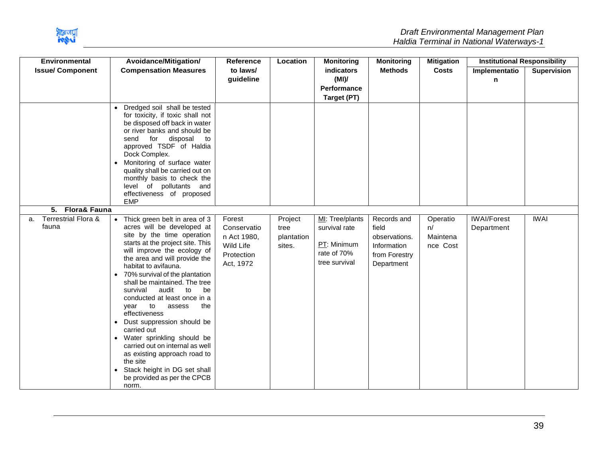

| <b>Environmental</b>                          | Avoidance/Mitigation/                                                                                                                                                                                                                                                                                                                                                                                                                                                                                                                                                                                                                                 | Reference                                                                    | Location                                | <b>Monitoring</b>                                                               | <b>Monitoring</b>                                                                   | <b>Mitigation</b>                      | <b>Institutional Responsibility</b> |                    |
|-----------------------------------------------|-------------------------------------------------------------------------------------------------------------------------------------------------------------------------------------------------------------------------------------------------------------------------------------------------------------------------------------------------------------------------------------------------------------------------------------------------------------------------------------------------------------------------------------------------------------------------------------------------------------------------------------------------------|------------------------------------------------------------------------------|-----------------------------------------|---------------------------------------------------------------------------------|-------------------------------------------------------------------------------------|----------------------------------------|-------------------------------------|--------------------|
| <b>Issue/ Component</b>                       | <b>Compensation Measures</b>                                                                                                                                                                                                                                                                                                                                                                                                                                                                                                                                                                                                                          | to laws/<br>guideline                                                        |                                         | indicators<br>(MI)<br>Performance<br>Target (PT)                                | <b>Methods</b>                                                                      | <b>Costs</b>                           | Implementatio<br>n                  | <b>Supervision</b> |
|                                               | • Dredged soil shall be tested<br>for toxicity, if toxic shall not<br>be disposed off back in water<br>or river banks and should be<br>for disposal<br>send<br>to<br>approved TSDF of Haldia<br>Dock Complex.<br>• Monitoring of surface water<br>quality shall be carried out on<br>monthly basis to check the<br>level of pollutants and<br>effectiveness of proposed<br><b>EMP</b>                                                                                                                                                                                                                                                                 |                                                                              |                                         |                                                                                 |                                                                                     |                                        |                                     |                    |
| 5. Flora& Fauna                               |                                                                                                                                                                                                                                                                                                                                                                                                                                                                                                                                                                                                                                                       |                                                                              |                                         |                                                                                 |                                                                                     |                                        |                                     |                    |
| <b>Terrestrial Flora &amp;</b><br>a.<br>fauna | • Thick green belt in area of 3<br>acres will be developed at<br>site by the time operation<br>starts at the project site. This<br>will improve the ecology of<br>the area and will provide the<br>habitat to avifauna.<br>• 70% survival of the plantation<br>shall be maintained. The tree<br>audit<br>survival<br>to<br>be<br>conducted at least once in a<br>to<br>the<br>year<br>assess<br>effectiveness<br>• Dust suppression should be<br>carried out<br>• Water sprinkling should be<br>carried out on internal as well<br>as existing approach road to<br>the site<br>• Stack height in DG set shall<br>be provided as per the CPCB<br>norm. | Forest<br>Conservatio<br>n Act 1980,<br>Wild Life<br>Protection<br>Act, 1972 | Project<br>tree<br>plantation<br>sites. | MI: Tree/plants<br>survival rate<br>PT: Minimum<br>rate of 70%<br>tree survival | Records and<br>field<br>observations.<br>Information<br>from Forestry<br>Department | Operatio<br>n/<br>Maintena<br>nce Cost | <b>IWAI/Forest</b><br>Department    | <b>IWAI</b>        |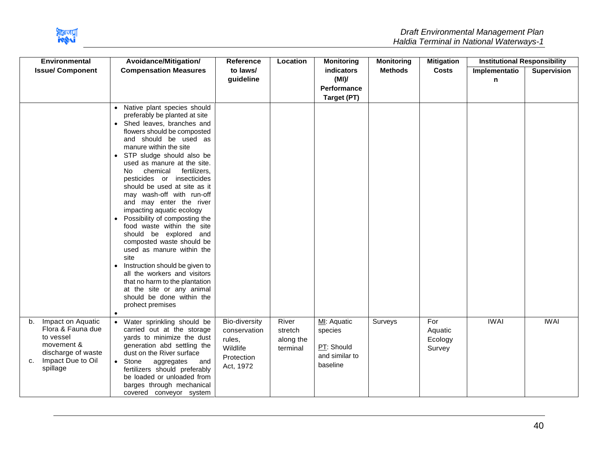

| <b>Environmental</b>                                                                                                                 | Avoidance/Mitigation/                                                                                                                                                                                                                                                                                                                                                                                                                                                                                                                                                                                                                                                                                                                                                         | <b>Reference</b>                                                               | Location                                  | <b>Monitoring</b>                                                  | <b>Monitoring</b> | <b>Mitigation</b>                   | <b>Institutional Responsibility</b> |                    |
|--------------------------------------------------------------------------------------------------------------------------------------|-------------------------------------------------------------------------------------------------------------------------------------------------------------------------------------------------------------------------------------------------------------------------------------------------------------------------------------------------------------------------------------------------------------------------------------------------------------------------------------------------------------------------------------------------------------------------------------------------------------------------------------------------------------------------------------------------------------------------------------------------------------------------------|--------------------------------------------------------------------------------|-------------------------------------------|--------------------------------------------------------------------|-------------------|-------------------------------------|-------------------------------------|--------------------|
| <b>Issue/ Component</b>                                                                                                              | <b>Compensation Measures</b>                                                                                                                                                                                                                                                                                                                                                                                                                                                                                                                                                                                                                                                                                                                                                  | to laws/<br>guideline                                                          |                                           | <b>indicators</b><br>(MI)<br>Performance<br>Target (PT)            | <b>Methods</b>    | <b>Costs</b>                        | Implementatio<br>n                  | <b>Supervision</b> |
|                                                                                                                                      | • Native plant species should<br>preferably be planted at site<br>• Shed leaves, branches and<br>flowers should be composted<br>and should be used as<br>manure within the site<br>• STP sludge should also be<br>used as manure at the site.<br>chemical fertilizers,<br>No.<br>pesticides or insecticides<br>should be used at site as it<br>may wash-off with run-off<br>and may enter the river<br>impacting aquatic ecology<br>Possibility of composting the<br>food waste within the site<br>should be explored and<br>composted waste should be<br>used as manure within the<br>site<br>Instruction should be given to<br>all the workers and visitors<br>that no harm to the plantation<br>at the site or any animal<br>should be done within the<br>prohect premises |                                                                                |                                           |                                                                    |                   |                                     |                                     |                    |
| Impact on Aquatic<br>b.<br>Flora & Fauna due<br>to vessel<br>movement &<br>discharge of waste<br>Impact Due to Oil<br>c.<br>spillage | • Water sprinkling should be<br>carried out at the storage<br>yards to minimize the dust<br>generation abd settling the<br>dust on the River surface<br>• Stone<br>aggregates<br>and<br>fertilizers should preferably<br>be loaded or unloaded from<br>barges through mechanical<br>covered conveyor system                                                                                                                                                                                                                                                                                                                                                                                                                                                                   | Bio-diversity<br>conservation<br>rules,<br>Wildlife<br>Protection<br>Act, 1972 | River<br>stretch<br>along the<br>terminal | MI: Aquatic<br>species<br>PT: Should<br>and similar to<br>baseline | Surveys           | For<br>Aquatic<br>Ecology<br>Survey | <b>IWAI</b>                         | <b>IWAI</b>        |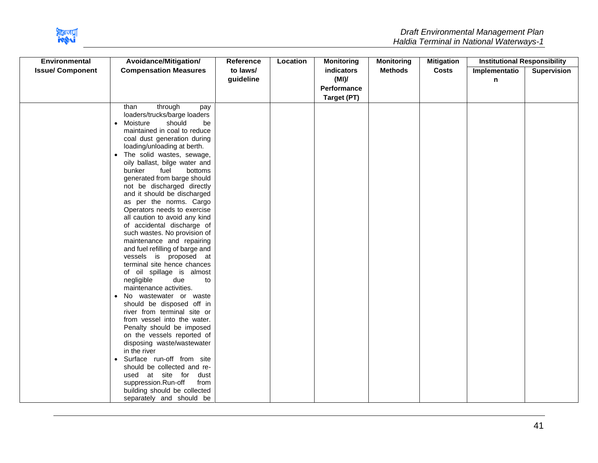

| <b>Environmental</b>    | Avoidance/Mitigation/                                 | Reference | Location | <b>Monitoring</b> | <b>Monitoring</b> | <b>Mitigation</b> | <b>Institutional Responsibility</b> |                    |
|-------------------------|-------------------------------------------------------|-----------|----------|-------------------|-------------------|-------------------|-------------------------------------|--------------------|
| <b>Issue/ Component</b> | <b>Compensation Measures</b>                          | to laws/  |          | <b>indicators</b> | <b>Methods</b>    | <b>Costs</b>      | Implementatio                       | <b>Supervision</b> |
|                         |                                                       | guideline |          | (MI)              |                   |                   | n                                   |                    |
|                         |                                                       |           |          | Performance       |                   |                   |                                     |                    |
|                         |                                                       |           |          | Target (PT)       |                   |                   |                                     |                    |
|                         | through<br>than<br>pay                                |           |          |                   |                   |                   |                                     |                    |
|                         | loaders/trucks/barge loaders                          |           |          |                   |                   |                   |                                     |                    |
|                         | • Moisture<br>should<br>be                            |           |          |                   |                   |                   |                                     |                    |
|                         | maintained in coal to reduce                          |           |          |                   |                   |                   |                                     |                    |
|                         | coal dust generation during                           |           |          |                   |                   |                   |                                     |                    |
|                         | loading/unloading at berth.                           |           |          |                   |                   |                   |                                     |                    |
|                         | • The solid wastes, sewage,                           |           |          |                   |                   |                   |                                     |                    |
|                         | oily ballast, bilge water and                         |           |          |                   |                   |                   |                                     |                    |
|                         | fuel<br>bunker<br>bottoms                             |           |          |                   |                   |                   |                                     |                    |
|                         | generated from barge should                           |           |          |                   |                   |                   |                                     |                    |
|                         | not be discharged directly                            |           |          |                   |                   |                   |                                     |                    |
|                         | and it should be discharged                           |           |          |                   |                   |                   |                                     |                    |
|                         | as per the norms. Cargo                               |           |          |                   |                   |                   |                                     |                    |
|                         | Operators needs to exercise                           |           |          |                   |                   |                   |                                     |                    |
|                         | all caution to avoid any kind                         |           |          |                   |                   |                   |                                     |                    |
|                         | of accidental discharge of                            |           |          |                   |                   |                   |                                     |                    |
|                         | such wastes. No provision of                          |           |          |                   |                   |                   |                                     |                    |
|                         | maintenance and repairing                             |           |          |                   |                   |                   |                                     |                    |
|                         | and fuel refilling of barge and                       |           |          |                   |                   |                   |                                     |                    |
|                         | vessels is proposed at<br>terminal site hence chances |           |          |                   |                   |                   |                                     |                    |
|                         | of oil spillage is almost                             |           |          |                   |                   |                   |                                     |                    |
|                         | negligible<br>due<br>to                               |           |          |                   |                   |                   |                                     |                    |
|                         | maintenance activities.                               |           |          |                   |                   |                   |                                     |                    |
|                         | No wastewater or waste                                |           |          |                   |                   |                   |                                     |                    |
|                         | should be disposed off in                             |           |          |                   |                   |                   |                                     |                    |
|                         | river from terminal site or                           |           |          |                   |                   |                   |                                     |                    |
|                         | from vessel into the water.                           |           |          |                   |                   |                   |                                     |                    |
|                         | Penalty should be imposed                             |           |          |                   |                   |                   |                                     |                    |
|                         | on the vessels reported of                            |           |          |                   |                   |                   |                                     |                    |
|                         | disposing waste/wastewater                            |           |          |                   |                   |                   |                                     |                    |
|                         | in the river                                          |           |          |                   |                   |                   |                                     |                    |
|                         | • Surface run-off from site                           |           |          |                   |                   |                   |                                     |                    |
|                         | should be collected and re-                           |           |          |                   |                   |                   |                                     |                    |
|                         | used at site for dust                                 |           |          |                   |                   |                   |                                     |                    |
|                         | suppression.Run-off<br>from                           |           |          |                   |                   |                   |                                     |                    |
|                         | building should be collected                          |           |          |                   |                   |                   |                                     |                    |
|                         | separately and should be                              |           |          |                   |                   |                   |                                     |                    |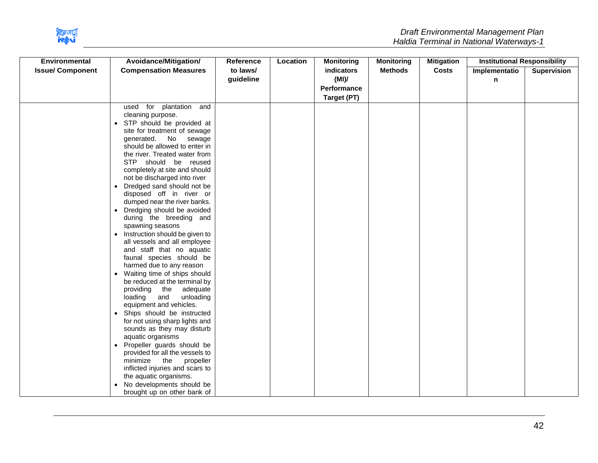

| <b>Environmental</b>    | Avoidance/Mitigation/                                                                                                                                                                                                                                                                                                                                                                                                                                                                                                                                                                                                                                                                                                                                                                                                                                                                                                                                                                                                                                                                                            | <b>Reference</b>      | Location | <b>Monitoring</b>                                       | <b>Monitoring</b> | <b>Mitigation</b> | <b>Institutional Responsibility</b> |                    |
|-------------------------|------------------------------------------------------------------------------------------------------------------------------------------------------------------------------------------------------------------------------------------------------------------------------------------------------------------------------------------------------------------------------------------------------------------------------------------------------------------------------------------------------------------------------------------------------------------------------------------------------------------------------------------------------------------------------------------------------------------------------------------------------------------------------------------------------------------------------------------------------------------------------------------------------------------------------------------------------------------------------------------------------------------------------------------------------------------------------------------------------------------|-----------------------|----------|---------------------------------------------------------|-------------------|-------------------|-------------------------------------|--------------------|
| <b>Issue/ Component</b> | <b>Compensation Measures</b>                                                                                                                                                                                                                                                                                                                                                                                                                                                                                                                                                                                                                                                                                                                                                                                                                                                                                                                                                                                                                                                                                     | to laws/<br>guideline |          | <b>indicators</b><br>(MI)<br>Performance<br>Target (PT) | <b>Methods</b>    | <b>Costs</b>      | Implementatio<br>n                  | <b>Supervision</b> |
|                         | used for plantation and<br>cleaning purpose.<br>STP should be provided at<br>site for treatment of sewage<br>No sewage<br>generated.<br>should be allowed to enter in<br>the river. Treated water from<br>STP should be reused<br>completely at site and should<br>not be discharged into river<br>• Dredged sand should not be<br>disposed off in river or<br>dumped near the river banks.<br>• Dredging should be avoided<br>during the breeding and<br>spawning seasons<br>• Instruction should be given to<br>all vessels and all employee<br>and staff that no aquatic<br>faunal species should be<br>harmed due to any reason<br>• Waiting time of ships should<br>be reduced at the terminal by<br>providing<br>the<br>adequate<br>and<br>unloading<br>loading<br>equipment and vehicles.<br>• Ships should be instructed<br>for not using sharp lights and<br>sounds as they may disturb<br>aquatic organisms<br>Propeller guards should be<br>provided for all the vessels to<br>minimize<br>the<br>propeller<br>inflicted injuries and scars to<br>the aquatic organisms.<br>No developments should be |                       |          |                                                         |                   |                   |                                     |                    |
|                         | brought up on other bank of                                                                                                                                                                                                                                                                                                                                                                                                                                                                                                                                                                                                                                                                                                                                                                                                                                                                                                                                                                                                                                                                                      |                       |          |                                                         |                   |                   |                                     |                    |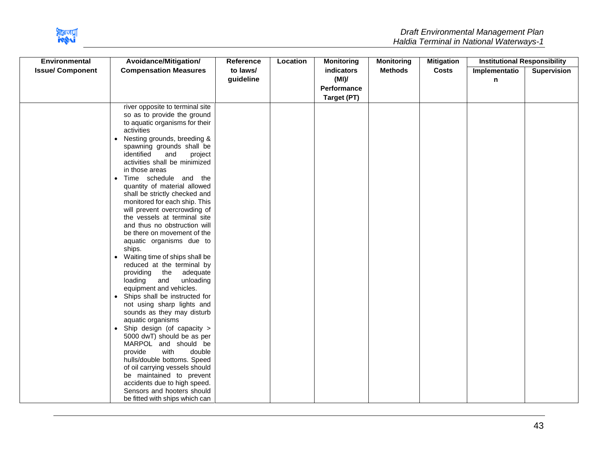

| <b>Environmental</b>    | Avoidance/Mitigation/                                  | Reference | Location | <b>Monitoring</b> | <b>Monitoring</b> | <b>Mitigation</b> | <b>Institutional Responsibility</b> |                    |
|-------------------------|--------------------------------------------------------|-----------|----------|-------------------|-------------------|-------------------|-------------------------------------|--------------------|
| <b>Issue/ Component</b> | <b>Compensation Measures</b>                           | to laws/  |          | <b>indicators</b> | <b>Methods</b>    | <b>Costs</b>      | Implementatio                       | <b>Supervision</b> |
|                         |                                                        | guideline |          | (MI)              |                   |                   | n                                   |                    |
|                         |                                                        |           |          | Performance       |                   |                   |                                     |                    |
|                         |                                                        |           |          | Target (PT)       |                   |                   |                                     |                    |
|                         | river opposite to terminal site                        |           |          |                   |                   |                   |                                     |                    |
|                         | so as to provide the ground                            |           |          |                   |                   |                   |                                     |                    |
|                         | to aquatic organisms for their                         |           |          |                   |                   |                   |                                     |                    |
|                         | activities                                             |           |          |                   |                   |                   |                                     |                    |
|                         | Nesting grounds, breeding &<br>$\bullet$               |           |          |                   |                   |                   |                                     |                    |
|                         | spawning grounds shall be                              |           |          |                   |                   |                   |                                     |                    |
|                         | identified<br>and<br>project                           |           |          |                   |                   |                   |                                     |                    |
|                         | activities shall be minimized                          |           |          |                   |                   |                   |                                     |                    |
|                         | in those areas<br>Time schedule and the                |           |          |                   |                   |                   |                                     |                    |
|                         | quantity of material allowed                           |           |          |                   |                   |                   |                                     |                    |
|                         | shall be strictly checked and                          |           |          |                   |                   |                   |                                     |                    |
|                         | monitored for each ship. This                          |           |          |                   |                   |                   |                                     |                    |
|                         | will prevent overcrowding of                           |           |          |                   |                   |                   |                                     |                    |
|                         | the vessels at terminal site                           |           |          |                   |                   |                   |                                     |                    |
|                         | and thus no obstruction will                           |           |          |                   |                   |                   |                                     |                    |
|                         | be there on movement of the                            |           |          |                   |                   |                   |                                     |                    |
|                         | aquatic organisms due to                               |           |          |                   |                   |                   |                                     |                    |
|                         | ships.                                                 |           |          |                   |                   |                   |                                     |                    |
|                         | • Waiting time of ships shall be                       |           |          |                   |                   |                   |                                     |                    |
|                         | reduced at the terminal by                             |           |          |                   |                   |                   |                                     |                    |
|                         | the adequate<br>providing                              |           |          |                   |                   |                   |                                     |                    |
|                         | and<br>unloading<br>loading<br>equipment and vehicles. |           |          |                   |                   |                   |                                     |                    |
|                         | • Ships shall be instructed for                        |           |          |                   |                   |                   |                                     |                    |
|                         | not using sharp lights and                             |           |          |                   |                   |                   |                                     |                    |
|                         | sounds as they may disturb                             |           |          |                   |                   |                   |                                     |                    |
|                         | aquatic organisms                                      |           |          |                   |                   |                   |                                     |                    |
|                         | • Ship design (of capacity >                           |           |          |                   |                   |                   |                                     |                    |
|                         | 5000 dwT) should be as per                             |           |          |                   |                   |                   |                                     |                    |
|                         | MARPOL and should be                                   |           |          |                   |                   |                   |                                     |                    |
|                         | provide<br>with<br>double                              |           |          |                   |                   |                   |                                     |                    |
|                         | hulls/double bottoms. Speed                            |           |          |                   |                   |                   |                                     |                    |
|                         | of oil carrying vessels should                         |           |          |                   |                   |                   |                                     |                    |
|                         | be maintained to prevent                               |           |          |                   |                   |                   |                                     |                    |
|                         | accidents due to high speed.                           |           |          |                   |                   |                   |                                     |                    |
|                         | Sensors and hooters should                             |           |          |                   |                   |                   |                                     |                    |
|                         | be fitted with ships which can                         |           |          |                   |                   |                   |                                     |                    |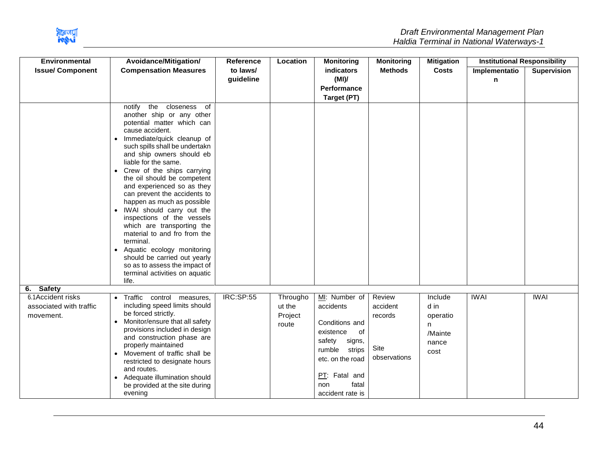

| <b>Environmental</b>                                       | Avoidance/Mitigation/                                                                                                                                                                                                                                                                                                                                                                                                                                                                                                                                                                                                                                                          | Reference             | Location                               | <b>Monitoring</b>                                                                                                                                                                       | <b>Monitoring</b>                                     | <b>Mitigation</b>                                             | <b>Institutional Responsibility</b> |                    |
|------------------------------------------------------------|--------------------------------------------------------------------------------------------------------------------------------------------------------------------------------------------------------------------------------------------------------------------------------------------------------------------------------------------------------------------------------------------------------------------------------------------------------------------------------------------------------------------------------------------------------------------------------------------------------------------------------------------------------------------------------|-----------------------|----------------------------------------|-----------------------------------------------------------------------------------------------------------------------------------------------------------------------------------------|-------------------------------------------------------|---------------------------------------------------------------|-------------------------------------|--------------------|
| <b>Issue/ Component</b>                                    | <b>Compensation Measures</b>                                                                                                                                                                                                                                                                                                                                                                                                                                                                                                                                                                                                                                                   | to laws/<br>guideline |                                        | <b>indicators</b><br>(MI)<br>Performance<br>Target (PT)                                                                                                                                 | <b>Methods</b>                                        | <b>Costs</b>                                                  | Implementatio<br>n                  | <b>Supervision</b> |
| 6. Safety                                                  | the closeness of<br>notify<br>another ship or any other<br>potential matter which can<br>cause accident.<br>· Immediate/quick cleanup of<br>such spills shall be undertakn<br>and ship owners should eb<br>liable for the same.<br>• Crew of the ships carrying<br>the oil should be competent<br>and experienced so as they<br>can prevent the accidents to<br>happen as much as possible<br>• IWAI should carry out the<br>inspections of the vessels<br>which are transporting the<br>material to and fro from the<br>terminal.<br>• Aquatic ecology monitoring<br>should be carried out yearly<br>so as to assess the impact of<br>terminal activities on aquatic<br>life. |                       |                                        |                                                                                                                                                                                         |                                                       |                                                               |                                     |                    |
| 6.1 Accident risks<br>associated with traffic<br>movement. | · Traffic control measures,<br>including speed limits should<br>be forced strictly.<br>Monitor/ensure that all safety<br>provisions included in design<br>and construction phase are<br>properly maintained<br>Movement of traffic shall be<br>restricted to designate hours<br>and routes.<br>• Adequate illumination should<br>be provided at the site during<br>evening                                                                                                                                                                                                                                                                                                     | <b>IRC:SP:55</b>      | Througho<br>ut the<br>Project<br>route | MI: Number of<br>accidents<br>Conditions and<br><b>of</b><br>existence<br>safety<br>signs,<br>rumble<br>strips<br>etc. on the road<br>PT: Fatal and<br>fatal<br>non<br>accident rate is | Review<br>accident<br>records<br>Site<br>observations | Include<br>d in<br>operatio<br>n.<br>/Mainte<br>nance<br>cost | <b>IWAI</b>                         | <b>IWAI</b>        |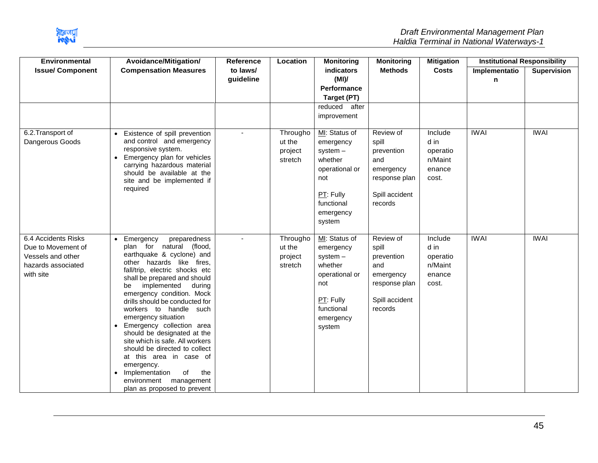

| <b>Environmental</b>                                                                              | Avoidance/Mitigation/                                                                                                                                                                                                                                                                                                                                                                                                                                                                                                                                                                                  | <b>Reference</b>      | Location                                 | <b>Monitoring</b>                                                                                                              | <b>Monitoring</b>                                                                                  | <b>Mitigation</b>                                         | <b>Institutional Responsibility</b> |                    |
|---------------------------------------------------------------------------------------------------|--------------------------------------------------------------------------------------------------------------------------------------------------------------------------------------------------------------------------------------------------------------------------------------------------------------------------------------------------------------------------------------------------------------------------------------------------------------------------------------------------------------------------------------------------------------------------------------------------------|-----------------------|------------------------------------------|--------------------------------------------------------------------------------------------------------------------------------|----------------------------------------------------------------------------------------------------|-----------------------------------------------------------|-------------------------------------|--------------------|
| <b>Issue/ Component</b>                                                                           | <b>Compensation Measures</b>                                                                                                                                                                                                                                                                                                                                                                                                                                                                                                                                                                           | to laws/<br>guideline |                                          | indicators<br>(MI)<br>Performance<br><b>Target (PT)</b>                                                                        | <b>Methods</b>                                                                                     | <b>Costs</b>                                              | Implementatio<br>n                  | <b>Supervision</b> |
|                                                                                                   |                                                                                                                                                                                                                                                                                                                                                                                                                                                                                                                                                                                                        |                       |                                          | reduced after<br>improvement                                                                                                   |                                                                                                    |                                                           |                                     |                    |
| 6.2. Transport of<br>Dangerous Goods                                                              | • Existence of spill prevention<br>and control and emergency<br>responsive system.<br>• Emergency plan for vehicles<br>carrying hazardous material<br>should be available at the<br>site and be implemented if<br>required                                                                                                                                                                                                                                                                                                                                                                             | $\blacksquare$        | Througho<br>ut the<br>project<br>stretch | MI: Status of<br>emergency<br>$system -$<br>whether<br>operational or<br>not<br>PT: Fully<br>functional<br>emergency<br>system | Review of<br>spill<br>prevention<br>and<br>emergency<br>response plan<br>Spill accident<br>records | Include<br>d in<br>operatio<br>n/Maint<br>enance<br>cost. | <b>IWAI</b>                         | <b>IWAI</b>        |
| 6.4 Accidents Risks<br>Due to Movement of<br>Vessels and other<br>hazards associated<br>with site | • Emergency<br>preparedness<br>plan for natural<br>(flood,<br>earthquake & cyclone) and<br>other hazards like fires,<br>fall/trip, electric shocks etc<br>shall be prepared and should<br>implemented<br>during<br>be<br>emergency condition. Mock<br>drills should be conducted for<br>workers to handle such<br>emergency situation<br>Emergency collection area<br>should be designated at the<br>site which is safe. All workers<br>should be directed to collect<br>at this area in case of<br>emergency.<br>Implementation<br>of<br>the<br>environment management<br>plan as proposed to prevent |                       | Througho<br>ut the<br>project<br>stretch | MI: Status of<br>emergency<br>$system -$<br>whether<br>operational or<br>not<br>PT: Fully<br>functional<br>emergency<br>system | Review of<br>spill<br>prevention<br>and<br>emergency<br>response plan<br>Spill accident<br>records | Include<br>d in<br>operatio<br>n/Maint<br>enance<br>cost. | <b>IWAI</b>                         | <b>IWAI</b>        |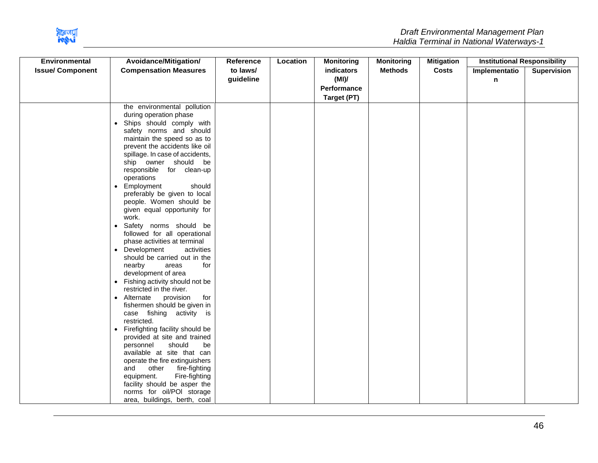

| <b>Environmental</b>    | Avoidance/Mitigation/                                                                                                                                                                                                                                                                                                                                                                                                                                                                                                                                                                                                                                                                                                                                                                                                                                                                                                                                                                                                                                                                                 | <b>Reference</b>      | Location | <b>Monitoring</b>                                | <b>Monitoring</b> | <b>Mitigation</b> | <b>Institutional Responsibility</b> |                    |
|-------------------------|-------------------------------------------------------------------------------------------------------------------------------------------------------------------------------------------------------------------------------------------------------------------------------------------------------------------------------------------------------------------------------------------------------------------------------------------------------------------------------------------------------------------------------------------------------------------------------------------------------------------------------------------------------------------------------------------------------------------------------------------------------------------------------------------------------------------------------------------------------------------------------------------------------------------------------------------------------------------------------------------------------------------------------------------------------------------------------------------------------|-----------------------|----------|--------------------------------------------------|-------------------|-------------------|-------------------------------------|--------------------|
| <b>Issue/ Component</b> | <b>Compensation Measures</b>                                                                                                                                                                                                                                                                                                                                                                                                                                                                                                                                                                                                                                                                                                                                                                                                                                                                                                                                                                                                                                                                          | to laws/<br>guideline |          | indicators<br>(MI)<br>Performance<br>Target (PT) | <b>Methods</b>    | <b>Costs</b>      | Implementatio<br>n                  | <b>Supervision</b> |
|                         | the environmental pollution<br>during operation phase<br>Ships should comply with<br>safety norms and should<br>maintain the speed so as to<br>prevent the accidents like oil<br>spillage. In case of accidents,<br>ship owner should be<br>responsible for clean-up<br>operations<br>Employment<br>should<br>preferably be given to local<br>people. Women should be<br>given equal opportunity for<br>work.<br>• Safety norms should be<br>followed for all operational<br>phase activities at terminal<br>• Development<br>activities<br>should be carried out in the<br>nearby<br>for<br>areas<br>development of area<br>• Fishing activity should not be<br>restricted in the river.<br>Alternate<br>provision<br>for<br>fishermen should be given in<br>case fishing activity<br>is<br>restricted.<br>Firefighting facility should be<br>provided at site and trained<br>should<br>personnel<br>be<br>available at site that can<br>operate the fire extinguishers<br>other<br>fire-fighting<br>and<br>equipment.<br>Fire-fighting<br>facility should be asper the<br>norms for oil/POI storage |                       |          |                                                  |                   |                   |                                     |                    |
|                         | area, buildings, berth, coal                                                                                                                                                                                                                                                                                                                                                                                                                                                                                                                                                                                                                                                                                                                                                                                                                                                                                                                                                                                                                                                                          |                       |          |                                                  |                   |                   |                                     |                    |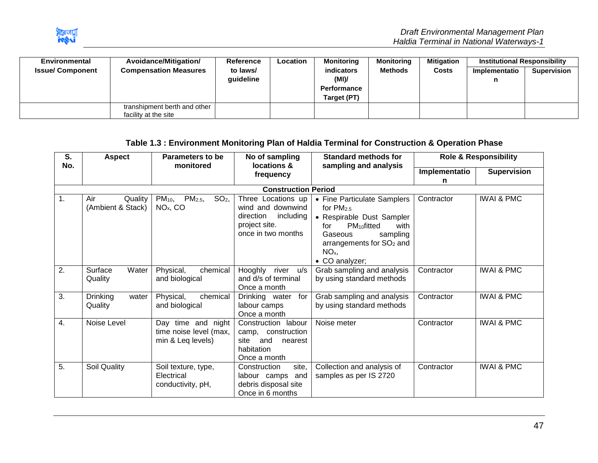

| Environmental<br><b>Issue/ Component</b> | Avoidance/Mitigation/<br><b>Compensation Measures</b> | <b>Reference</b><br>to laws/<br>guideline | Location | <b>Monitoring</b><br>indicators<br>(MI)<br>Performance<br>Target (PT) | <b>Monitoring</b><br><b>Methods</b> | <b>Mitigation</b><br><b>Costs</b> | <b>Institutional Responsibility</b><br>Implementatio<br>n | <b>Supervision</b> |
|------------------------------------------|-------------------------------------------------------|-------------------------------------------|----------|-----------------------------------------------------------------------|-------------------------------------|-----------------------------------|-----------------------------------------------------------|--------------------|
|                                          | transhipment berth and other<br>facility at the site  |                                           |          |                                                                       |                                     |                                   |                                                           |                    |

## **Table 1.3 : Environment Monitoring Plan of Haldia Terminal for Construction & Operation Phase**

<span id="page-47-0"></span>

| S.<br>No. | <b>Aspect</b>                       | Parameters to be<br>monitored                                             | No of sampling<br>locations &                                                                            | <b>Standard methods for</b><br>sampling and analysis                                                                                                                                                                     |                    | <b>Role &amp; Responsibility</b> |
|-----------|-------------------------------------|---------------------------------------------------------------------------|----------------------------------------------------------------------------------------------------------|--------------------------------------------------------------------------------------------------------------------------------------------------------------------------------------------------------------------------|--------------------|----------------------------------|
|           |                                     |                                                                           | frequency                                                                                                |                                                                                                                                                                                                                          | Implementatio<br>n | <b>Supervision</b>               |
|           |                                     |                                                                           | <b>Construction Period</b>                                                                               |                                                                                                                                                                                                                          |                    |                                  |
| 1.        | Air<br>Quality<br>(Ambient & Stack) | SO <sub>2</sub><br>PM <sub>2.5</sub><br>$PM_{10}$<br>NO <sub>x</sub> , CO | Three Locations up<br>wind and downwind<br>direction<br>including<br>project site.<br>once in two months | • Fine Particulate Samplers<br>for $PM_{2.5}$<br>• Respirable Dust Sampler<br>PM <sub>10</sub> fitted<br>with<br>for<br>Gaseous<br>sampling<br>arrangements for SO <sub>2</sub> and<br>NO <sub>x</sub><br>• CO analyzer; | Contractor         | <b>IWAI &amp; PMC</b>            |
| 2.        | Surface<br>Water<br>Quality         | chemical<br>Physical,<br>and biological                                   | Hooghly<br>river<br>u/s<br>and d/s of terminal<br>Once a month                                           | Grab sampling and analysis<br>by using standard methods                                                                                                                                                                  | Contractor         | <b>IWAI &amp; PMC</b>            |
| 3.        | <b>Drinking</b><br>water<br>Quality | chemical<br>Physical,<br>and biological                                   | Drinking water for<br>labour camps<br>Once a month                                                       | Grab sampling and analysis<br>by using standard methods                                                                                                                                                                  | Contractor         | <b>IWAI &amp; PMC</b>            |
| 4.        | Noise Level                         | Day time and night<br>time noise level (max,<br>min & Leq levels)         | Construction labour<br>camp, construction<br>and<br>site<br>nearest<br>habitation<br>Once a month        | Noise meter                                                                                                                                                                                                              | Contractor         | <b>IWAI &amp; PMC</b>            |
| 5.        | Soil Quality                        | Soil texture, type,<br>Electrical<br>conductivity, pH,                    | site,<br>Construction<br>labour camps<br>and<br>debris disposal site<br>Once in 6 months                 | Collection and analysis of<br>samples as per IS 2720                                                                                                                                                                     | Contractor         | <b>IWAI &amp; PMC</b>            |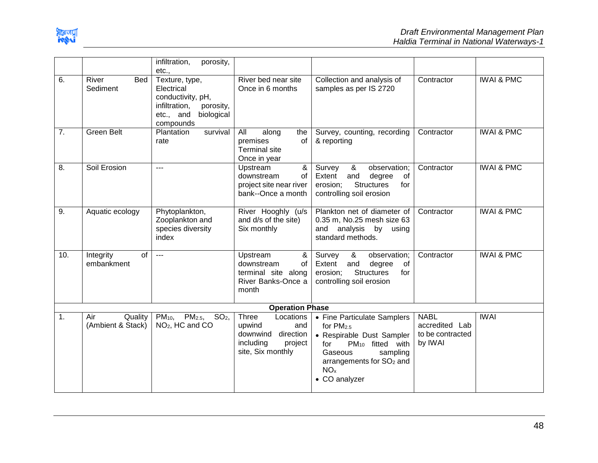

|                  |                                     | infiltration,<br>porosity,<br>etc.,                                                                                     |                                                                                                           |                                                                                                                                                                                                            |                                                              |                       |
|------------------|-------------------------------------|-------------------------------------------------------------------------------------------------------------------------|-----------------------------------------------------------------------------------------------------------|------------------------------------------------------------------------------------------------------------------------------------------------------------------------------------------------------------|--------------------------------------------------------------|-----------------------|
| 6.               | River<br>Bed<br>Sediment            | Texture, type,<br>Electrical<br>conductivity, pH,<br>infiltration,<br>porosity,<br>biological<br>etc., and<br>compounds | River bed near site<br>Once in 6 months                                                                   | Collection and analysis of<br>samples as per IS 2720                                                                                                                                                       | Contractor                                                   | <b>IWAI &amp; PMC</b> |
| 7.               | Green Belt                          | Plantation<br>survival<br>rate                                                                                          | All<br>along<br>the<br>premises<br>of<br><b>Terminal site</b><br>Once in year                             | Survey, counting, recording<br>& reporting                                                                                                                                                                 | Contractor                                                   | <b>IWAI &amp; PMC</b> |
| $\overline{8}$ . | Soil Erosion                        | ---                                                                                                                     | &<br>Upstream<br>downstream<br>of<br>project site near river<br>bank--Once a month                        | &<br>observation;<br>Survey<br>Extent<br>and<br>degree<br>of<br><b>Structures</b><br>erosion;<br>for<br>controlling soil erosion                                                                           | Contractor                                                   | <b>IWAI &amp; PMC</b> |
| 9.               | Aquatic ecology                     | Phytoplankton,<br>Zooplankton and<br>species diversity<br>index                                                         | River Hooghly (u/s<br>and d/s of the site)<br>Six monthly                                                 | Plankton net of diameter of<br>0.35 m, No.25 mesh size 63<br>analysis by using<br>and<br>standard methods.                                                                                                 | Contractor                                                   | <b>IWAI &amp; PMC</b> |
| 10.              | of<br>Integrity<br>embankment       | $\frac{1}{2}$                                                                                                           | Upstream<br>&<br>downstream<br>of<br>terminal site along<br>River Banks-Once a<br>month                   | Survey<br>&<br>observation;<br>Extent<br>and<br>degree<br>0f<br><b>Structures</b><br>erosion;<br>for<br>controlling soil erosion                                                                           | Contractor                                                   | <b>IWAI &amp; PMC</b> |
|                  |                                     |                                                                                                                         | <b>Operation Phase</b>                                                                                    |                                                                                                                                                                                                            |                                                              |                       |
| $\mathbf{1}$ .   | Air<br>Quality<br>(Ambient & Stack) | $PM_{10}$<br>PM <sub>2.5</sub><br>SO <sub>2</sub><br>NO <sub>2</sub> , HC and CO                                        | Three<br>Locations<br>upwind<br>and<br>downwind<br>direction<br>including<br>project<br>site, Six monthly | • Fine Particulate Samplers<br>for $PM2.5$<br>• Respirable Dust Sampler<br>$PM_{10}$ fitted with<br>for<br>Gaseous<br>sampling<br>arrangements for SO <sub>2</sub> and<br>NO <sub>x</sub><br>• CO analyzer | <b>NABL</b><br>accredited Lab<br>to be contracted<br>by IWAI | <b>IWAI</b>           |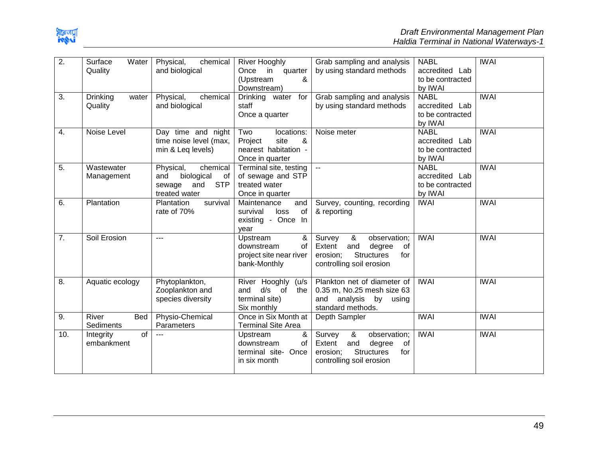

| $\overline{2}$ . | Surface<br>Water         | chemical<br>Physical,       | <b>River Hooghly</b>      | Grab sampling and analysis           | <b>NABL</b>      | <b>IWAI</b> |
|------------------|--------------------------|-----------------------------|---------------------------|--------------------------------------|------------------|-------------|
|                  | Quality                  | and biological              | Once in quarter           | by using standard methods            | accredited Lab   |             |
|                  |                          |                             | (Upstream<br>&            |                                      | to be contracted |             |
|                  |                          |                             | Downstream)               |                                      | by IWAI          |             |
| 3.               | <b>Drinking</b><br>water | Physical,<br>chemical       | Drinking water<br>for     | Grab sampling and analysis           | <b>NABL</b>      | <b>IWAI</b> |
|                  | Quality                  | and biological              | staff                     | by using standard methods            | accredited Lab   |             |
|                  |                          |                             | Once a quarter            |                                      | to be contracted |             |
|                  |                          |                             |                           |                                      | by IWAI          |             |
| 4.               | Noise Level              | Day time and night          | Two<br>locations:         | Noise meter                          | <b>NABL</b>      | <b>IWAI</b> |
|                  |                          | time noise level (max,      | site<br>&<br>Project      |                                      | accredited Lab   |             |
|                  |                          | min & Leq levels)           | nearest habitation -      |                                      | to be contracted |             |
|                  |                          |                             | Once in quarter           |                                      | by IWAI          |             |
| 5.               | Wastewater               | Physical,<br>chemical       | Terminal site, testing    | $\overline{\phantom{a}}$             | <b>NABL</b>      | <b>IWAI</b> |
|                  | Management               | biological<br>and<br>0f     | of sewage and STP         |                                      | accredited Lab   |             |
|                  |                          | <b>STP</b><br>and<br>sewage | treated water             |                                      | to be contracted |             |
|                  |                          | treated water               | Once in quarter           |                                      | by IWAI          |             |
| 6.               | Plantation               | survival<br>Plantation      | Maintenance<br>and        | Survey, counting, recording          | <b>IWAI</b>      | <b>IWAI</b> |
|                  |                          | rate of 70%                 | survival<br>of<br>loss    | & reporting                          |                  |             |
|                  |                          |                             | existing - Once In        |                                      |                  |             |
|                  |                          |                             | vear                      |                                      |                  |             |
| $\overline{7}$ . | Soil Erosion             | ---                         | Upstream<br>&             | &<br>Survey<br>observation;          | <b>IWAI</b>      | <b>IWAI</b> |
|                  |                          |                             | of<br>downstream          | of<br>Extent<br>and<br>degree        |                  |             |
|                  |                          |                             | project site near river   | <b>Structures</b><br>for<br>erosion; |                  |             |
|                  |                          |                             | bank-Monthly              | controlling soil erosion             |                  |             |
|                  |                          |                             |                           |                                      |                  |             |
| 8.               | Aquatic ecology          | Phytoplankton,              | River Hooghly<br>(u/s     | Plankton net of diameter of          | <b>IWAI</b>      | <b>IWAI</b> |
|                  |                          | Zooplankton and             | d/s<br>and<br>of<br>the   | 0.35 m, No.25 mesh size 63           |                  |             |
|                  |                          | species diversity           | terminal site)            | analysis by using<br>and             |                  |             |
|                  |                          |                             | Six monthly               | standard methods.                    |                  |             |
| 9.               | River<br>Bed             | Physio-Chemical             | Once in Six Month at      | Depth Sampler                        | <b>IWAI</b>      | <b>IWAI</b> |
|                  | Sediments                | Parameters                  | <b>Terminal Site Area</b> |                                      |                  |             |
| 10.              | of<br>Integrity          | $---$                       | &<br>Upstream             | &<br>Survey<br>observation;          | <b>IWAI</b>      | <b>IWAI</b> |
|                  | embankment               |                             | of<br>downstream          | Extent<br>and<br>degree<br>of        |                  |             |
|                  |                          |                             | terminal site- Once       | <b>Structures</b><br>for<br>erosion; |                  |             |
|                  |                          |                             | in six month              | controlling soil erosion             |                  |             |
|                  |                          |                             |                           |                                      |                  |             |
|                  |                          |                             |                           |                                      |                  |             |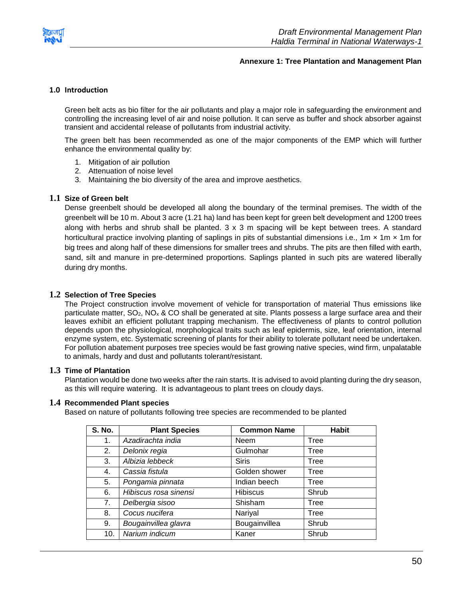

#### **Annexure 1: Tree Plantation and Management Plan**

#### <span id="page-50-0"></span>**1.0 Introduction**

Green belt acts as bio filter for the air pollutants and play a major role in safeguarding the environment and controlling the increasing level of air and noise pollution. It can serve as buffer and shock absorber against transient and accidental release of pollutants from industrial activity.

The green belt has been recommended as one of the major components of the EMP which will further enhance the environmental quality by:

- 1. Mitigation of air pollution
- 2. Attenuation of noise level
- 3. Maintaining the bio diversity of the area and improve aesthetics.

#### **1.1 Size of Green belt**

Dense greenbelt should be developed all along the boundary of the terminal premises. The width of the greenbelt will be 10 m. About 3 acre (1.21 ha) land has been kept for green belt development and 1200 trees along with herbs and shrub shall be planted. 3 x 3 m spacing will be kept between trees. A standard horticultural practice involving planting of saplings in pits of substantial dimensions i.e.,  $1m \times 1m \times 1m$  for big trees and along half of these dimensions for smaller trees and shrubs. The pits are then filled with earth, sand, silt and manure in pre-determined proportions. Saplings planted in such pits are watered liberally during dry months.

#### **1.2 Selection of Tree Species**

The Project construction involve movement of vehicle for transportation of material Thus emissions like particulate matter,  $SO_2$ ,  $NO_x$  & CO shall be generated at site. Plants possess a large surface area and their leaves exhibit an efficient pollutant trapping mechanism. The effectiveness of plants to control pollution depends upon the physiological, morphological traits such as leaf epidermis, size, leaf orientation, internal enzyme system, etc. Systematic screening of plants for their ability to tolerate pollutant need be undertaken. For pollution abatement purposes tree species would be fast growing native species, wind firm, unpalatable to animals, hardy and dust and pollutants tolerant/resistant.

#### **1.3 Time of Plantation**

Plantation would be done two weeks after the rain starts. It is advised to avoid planting during the dry season, as this will require watering. It is advantageous to plant trees on cloudy days.

#### **1.4 Recommended Plant species**

Based on nature of pollutants following tree species are recommended to be planted

| <b>S. No.</b> | <b>Plant Species</b>  | <b>Common Name</b> | <b>Habit</b> |
|---------------|-----------------------|--------------------|--------------|
| 1.            | Azadirachta india     | Neem               | Tree         |
| 2.            | Delonix regia         | Gulmohar           | Tree         |
| 3.            | Albizia lebbeck       | <b>Siris</b>       | Tree         |
| 4.            | Cassia fistula        | Golden shower      | Tree         |
| 5.            | Pongamia pinnata      | Indian beech       | Tree         |
| 6.            | Hibiscus rosa sinensi | <b>Hibiscus</b>    | Shrub        |
| 7.            | Delbergia sisoo       | Shisham            | Tree         |
| 8.            | Cocus nucifera        | Nariyal            | Tree         |
| 9.            | Bougainvillea glavra  | Bougainvillea      | Shrub        |
| 10.           | Narium indicum        | Kaner              | Shrub        |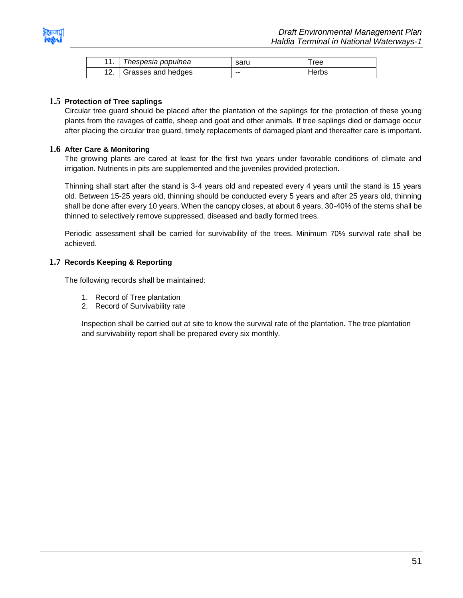

| Thespesia populnea | saru  | Tree  |
|--------------------|-------|-------|
| Grasses and hedges | $- -$ | Herbs |

#### **1.5 Protection of Tree saplings**

Circular tree guard should be placed after the plantation of the saplings for the protection of these young plants from the ravages of cattle, sheep and goat and other animals. If tree saplings died or damage occur after placing the circular tree guard, timely replacements of damaged plant and thereafter care is important.

#### **1.6 After Care & Monitoring**

The growing plants are cared at least for the first two years under favorable conditions of climate and irrigation. Nutrients in pits are supplemented and the juveniles provided protection.

Thinning shall start after the stand is 3-4 years old and repeated every 4 years until the stand is 15 years old. Between 15-25 years old, thinning should be conducted every 5 years and after 25 years old, thinning shall be done after every 10 years. When the canopy closes, at about 6 years, 30-40% of the stems shall be thinned to selectively remove suppressed, diseased and badly formed trees.

Periodic assessment shall be carried for survivability of the trees. Minimum 70% survival rate shall be achieved.

#### **1.7 Records Keeping & Reporting**

The following records shall be maintained:

- 1. Record of Tree plantation
- 2. Record of Survivability rate

Inspection shall be carried out at site to know the survival rate of the plantation. The tree plantation and survivability report shall be prepared every six monthly.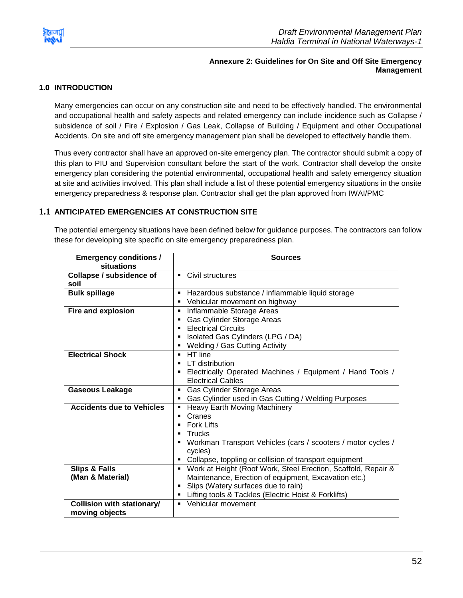

#### **Annexure 2: Guidelines for On Site and Off Site Emergency Management**

#### <span id="page-52-0"></span>**1.0 INTRODUCTION**

Many emergencies can occur on any construction site and need to be effectively handled. The environmental and occupational health and safety aspects and related emergency can include incidence such as Collapse / subsidence of soil / Fire / Explosion / Gas Leak, Collapse of Building / Equipment and other Occupational Accidents. On site and off site emergency management plan shall be developed to effectively handle them.

Thus every contractor shall have an approved on-site emergency plan. The contractor should submit a copy of this plan to PIU and Supervision consultant before the start of the work. Contractor shall develop the onsite emergency plan considering the potential environmental, occupational health and safety emergency situation at site and activities involved. This plan shall include a list of these potential emergency situations in the onsite emergency preparedness & response plan. Contractor shall get the plan approved from IWAI/PMC

#### **1.1 ANTICIPATED EMERGENCIES AT CONSTRUCTION SITE**

The potential emergency situations have been defined below for guidance purposes. The contractors can follow these for developing site specific on site emergency preparedness plan.

| <b>Emergency conditions /</b><br>situations         | <b>Sources</b>                                                                                                                                                                                                                         |
|-----------------------------------------------------|----------------------------------------------------------------------------------------------------------------------------------------------------------------------------------------------------------------------------------------|
| <b>Collapse / subsidence of</b><br>soil             | • Civil structures                                                                                                                                                                                                                     |
| <b>Bulk spillage</b>                                | • Hazardous substance / inflammable liquid storage<br>Vehicular movement on highway                                                                                                                                                    |
| Fire and explosion                                  | Inflammable Storage Areas<br>$\blacksquare$<br>Gas Cylinder Storage Areas<br><b>Electrical Circuits</b><br>Isolated Gas Cylinders (LPG / DA)<br>• Welding / Gas Cutting Activity                                                       |
| <b>Electrical Shock</b>                             | $-HT$ line<br>LT distribution<br>$\blacksquare$<br>Electrically Operated Machines / Equipment / Hand Tools /<br><b>Electrical Cables</b>                                                                                               |
| <b>Gaseous Leakage</b>                              | Gas Cylinder Storage Areas<br>$\blacksquare$<br>Gas Cylinder used in Gas Cutting / Welding Purposes                                                                                                                                    |
| <b>Accidents due to Vehicles</b>                    | Heavy Earth Moving Machinery<br>٠<br>Cranes<br>п<br><b>Fork Lifts</b><br>Trucks<br>Workman Transport Vehicles (cars / scooters / motor cycles /<br>. .<br>cycles)<br>Collapse, toppling or collision of transport equipment            |
| <b>Slips &amp; Falls</b><br>(Man & Material)        | Work at Height (Roof Work, Steel Erection, Scaffold, Repair &<br>$\blacksquare$<br>Maintenance, Erection of equipment, Excavation etc.)<br>Slips (Watery surfaces due to rain)<br>Lifting tools & Tackles (Electric Hoist & Forklifts) |
| <b>Collision with stationary/</b><br>moving objects | • Vehicular movement                                                                                                                                                                                                                   |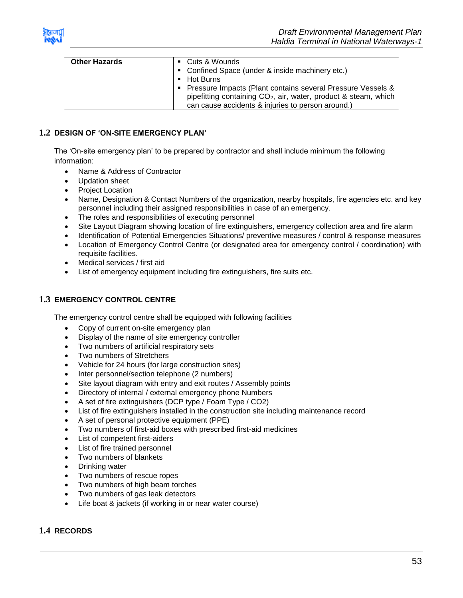

| <b>Other Hazards</b> | ■ Cuts & Wounds<br>• Confined Space (under & inside machinery etc.)                                                                                         |
|----------------------|-------------------------------------------------------------------------------------------------------------------------------------------------------------|
|                      | • Hot Burns<br>• Pressure Impacts (Plant contains several Pressure Vessels &<br>pipefitting containing CO <sub>2</sub> , air, water, product & steam, which |
|                      | can cause accidents & injuries to person around.)                                                                                                           |

#### **1.2 DESIGN OF 'ON-SITE EMERGENCY PLAN'**

The 'On-site emergency plan' to be prepared by contractor and shall include minimum the following information:

- Name & Address of Contractor
- Updation sheet
- Project Location
- Name, Designation & Contact Numbers of the organization, nearby hospitals, fire agencies etc. and key personnel including their assigned responsibilities in case of an emergency.
- The roles and responsibilities of executing personnel
- Site Layout Diagram showing location of fire extinguishers, emergency collection area and fire alarm
- Identification of Potential Emergencies Situations/ preventive measures / control & response measures
- Location of Emergency Control Centre (or designated area for emergency control / coordination) with requisite facilities.
- Medical services / first aid
- List of emergency equipment including fire extinguishers, fire suits etc.

#### **1.3 EMERGENCY CONTROL CENTRE**

The emergency control centre shall be equipped with following facilities

- Copy of current on-site emergency plan
- Display of the name of site emergency controller
- Two numbers of artificial respiratory sets
- Two numbers of Stretchers
- Vehicle for 24 hours (for large construction sites)
- Inter personnel/section telephone (2 numbers)
- Site layout diagram with entry and exit routes / Assembly points
- Directory of internal / external emergency phone Numbers
- A set of fire extinguishers (DCP type / Foam Type / CO2)
- List of fire extinguishers installed in the construction site including maintenance record
- A set of personal protective equipment (PPE)
- Two numbers of first-aid boxes with prescribed first-aid medicines
- List of competent first-aiders
- List of fire trained personnel
- Two numbers of blankets
- Drinking water
- Two numbers of rescue ropes
- Two numbers of high beam torches
- Two numbers of gas leak detectors
- Life boat & jackets (if working in or near water course)

#### **1.4 RECORDS**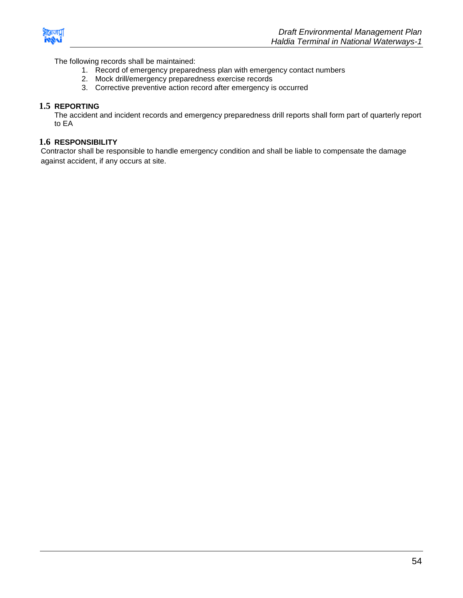

The following records shall be maintained:

- 1. Record of emergency preparedness plan with emergency contact numbers
- 2. Mock drill/emergency preparedness exercise records
- 3. Corrective preventive action record after emergency is occurred

#### **1.5 REPORTING**

The accident and incident records and emergency preparedness drill reports shall form part of quarterly report to EA

#### **1.6 RESPONSIBILITY**

Contractor shall be responsible to handle emergency condition and shall be liable to compensate the damage against accident, if any occurs at site.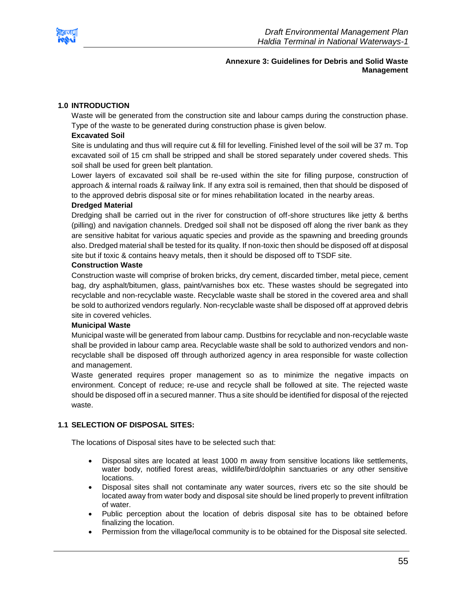<span id="page-55-0"></span>

#### **Annexure 3: Guidelines for Debris and Solid Waste Management**

#### **1.0 INTRODUCTION**

Waste will be generated from the construction site and labour camps during the construction phase. Type of the waste to be generated during construction phase is given below.

#### **Excavated Soil**

Site is undulating and thus will require cut & fill for levelling. Finished level of the soil will be 37 m. Top excavated soil of 15 cm shall be stripped and shall be stored separately under covered sheds. This soil shall be used for green belt plantation.

Lower layers of excavated soil shall be re-used within the site for filling purpose, construction of approach & internal roads & railway link. If any extra soil is remained, then that should be disposed of to the approved debris disposal site or for mines rehabilitation located in the nearby areas.

#### **Dredged Material**

Dredging shall be carried out in the river for construction of off-shore structures like jetty & berths (pilling) and navigation channels. Dredged soil shall not be disposed off along the river bank as they are sensitive habitat for various aquatic species and provide as the spawning and breeding grounds also. Dredged material shall be tested for its quality. If non-toxic then should be disposed off at disposal site but if toxic & contains heavy metals, then it should be disposed off to TSDF site.

#### **Construction Waste**

Construction waste will comprise of broken bricks, dry cement, discarded timber, metal piece, cement bag, dry asphalt/bitumen, glass, paint/varnishes box etc. These wastes should be segregated into recyclable and non-recyclable waste. Recyclable waste shall be stored in the covered area and shall be sold to authorized vendors regularly. Non-recyclable waste shall be disposed off at approved debris site in covered vehicles.

#### **Municipal Waste**

Municipal waste will be generated from labour camp. Dustbins for recyclable and non-recyclable waste shall be provided in labour camp area. Recyclable waste shall be sold to authorized vendors and nonrecyclable shall be disposed off through authorized agency in area responsible for waste collection and management.

Waste generated requires proper management so as to minimize the negative impacts on environment. Concept of reduce; re-use and recycle shall be followed at site. The rejected waste should be disposed off in a secured manner. Thus a site should be identified for disposal of the rejected waste.

#### **1.1 SELECTION OF DISPOSAL SITES:**

The locations of Disposal sites have to be selected such that:

- Disposal sites are located at least 1000 m away from sensitive locations like settlements, water body, notified forest areas, wildlife/bird/dolphin sanctuaries or any other sensitive locations.
- Disposal sites shall not contaminate any water sources, rivers etc so the site should be located away from water body and disposal site should be lined properly to prevent infiltration of water.
- Public perception about the location of debris disposal site has to be obtained before finalizing the location.
- Permission from the village/local community is to be obtained for the Disposal site selected.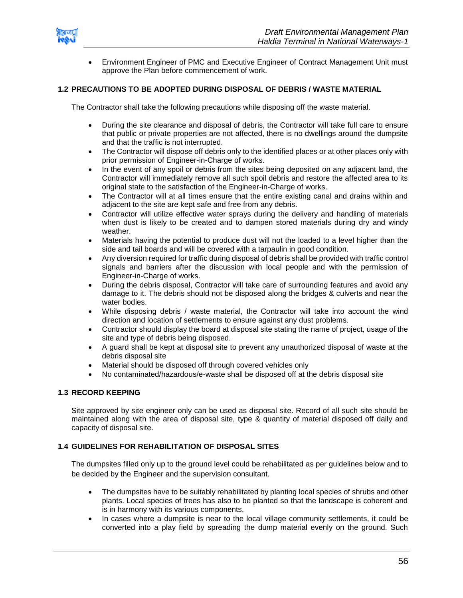

 Environment Engineer of PMC and Executive Engineer of Contract Management Unit must approve the Plan before commencement of work.

#### **1.2 PRECAUTIONS TO BE ADOPTED DURING DISPOSAL OF DEBRIS / WASTE MATERIAL**

The Contractor shall take the following precautions while disposing off the waste material.

- During the site clearance and disposal of debris, the Contractor will take full care to ensure that public or private properties are not affected, there is no dwellings around the dumpsite and that the traffic is not interrupted.
- The Contractor will dispose off debris only to the identified places or at other places only with prior permission of Engineer-in-Charge of works.
- In the event of any spoil or debris from the sites being deposited on any adjacent land, the Contractor will immediately remove all such spoil debris and restore the affected area to its original state to the satisfaction of the Engineer-in-Charge of works.
- The Contractor will at all times ensure that the entire existing canal and drains within and adjacent to the site are kept safe and free from any debris.
- Contractor will utilize effective water sprays during the delivery and handling of materials when dust is likely to be created and to dampen stored materials during dry and windy weather.
- Materials having the potential to produce dust will not the loaded to a level higher than the side and tail boards and will be covered with a tarpaulin in good condition.
- Any diversion required for traffic during disposal of debris shall be provided with traffic control signals and barriers after the discussion with local people and with the permission of Engineer-in-Charge of works.
- During the debris disposal, Contractor will take care of surrounding features and avoid any damage to it. The debris should not be disposed along the bridges & culverts and near the water bodies.
- While disposing debris / waste material, the Contractor will take into account the wind direction and location of settlements to ensure against any dust problems.
- Contractor should display the board at disposal site stating the name of project, usage of the site and type of debris being disposed.
- A guard shall be kept at disposal site to prevent any unauthorized disposal of waste at the debris disposal site
- Material should be disposed off through covered vehicles only
- No contaminated/hazardous/e-waste shall be disposed off at the debris disposal site

#### **1.3 RECORD KEEPING**

Site approved by site engineer only can be used as disposal site. Record of all such site should be maintained along with the area of disposal site, type & quantity of material disposed off daily and capacity of disposal site.

#### **1.4 GUIDELINES FOR REHABILITATION OF DISPOSAL SITES**

The dumpsites filled only up to the ground level could be rehabilitated as per guidelines below and to be decided by the Engineer and the supervision consultant.

- The dumpsites have to be suitably rehabilitated by planting local species of shrubs and other plants. Local species of trees has also to be planted so that the landscape is coherent and is in harmony with its various components.
- In cases where a dumpsite is near to the local village community settlements, it could be converted into a play field by spreading the dump material evenly on the ground. Such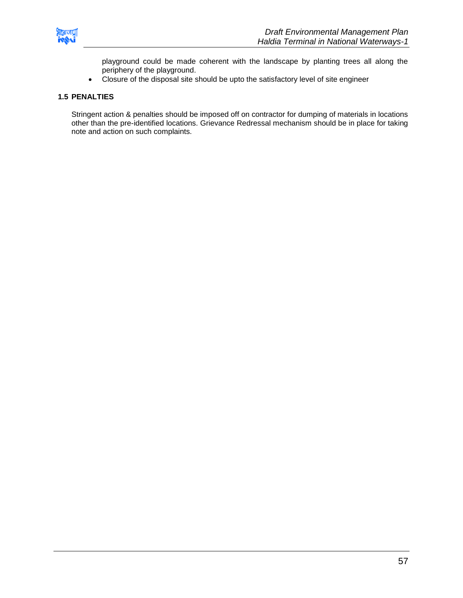

playground could be made coherent with the landscape by planting trees all along the periphery of the playground.

Closure of the disposal site should be upto the satisfactory level of site engineer

#### **1.5 PENALTIES**

Stringent action & penalties should be imposed off on contractor for dumping of materials in locations other than the pre-identified locations. Grievance Redressal mechanism should be in place for taking note and action on such complaints.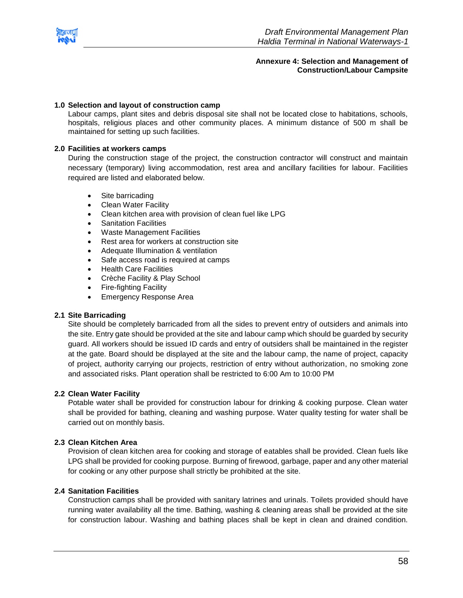<span id="page-58-0"></span>

#### **Annexure 4: Selection and Management of Construction/Labour Campsite**

#### **1.0 Selection and layout of construction camp**

Labour camps, plant sites and debris disposal site shall not be located close to habitations, schools, hospitals, religious places and other community places. A minimum distance of 500 m shall be maintained for setting up such facilities.

#### **2.0 Facilities at workers camps**

During the construction stage of the project, the construction contractor will construct and maintain necessary (temporary) living accommodation, rest area and ancillary facilities for labour. Facilities required are listed and elaborated below.

- Site barricading
- Clean Water Facility
- Clean kitchen area with provision of clean fuel like LPG
- Sanitation Facilities
- Waste Management Facilities
- Rest area for workers at construction site
- Adequate Illumination & ventilation
- Safe access road is required at camps
- Health Care Facilities
- Crèche Facility & Play School
- Fire-fighting Facility
- Emergency Response Area

#### **2.1 Site Barricading**

Site should be completely barricaded from all the sides to prevent entry of outsiders and animals into the site. Entry gate should be provided at the site and labour camp which should be guarded by security guard. All workers should be issued ID cards and entry of outsiders shall be maintained in the register at the gate. Board should be displayed at the site and the labour camp, the name of project, capacity of project, authority carrying our projects, restriction of entry without authorization, no smoking zone and associated risks. Plant operation shall be restricted to 6:00 Am to 10:00 PM

#### **2.2 Clean Water Facility**

Potable water shall be provided for construction labour for drinking & cooking purpose. Clean water shall be provided for bathing, cleaning and washing purpose. Water quality testing for water shall be carried out on monthly basis.

#### **2.3 Clean Kitchen Area**

Provision of clean kitchen area for cooking and storage of eatables shall be provided. Clean fuels like LPG shall be provided for cooking purpose. Burning of firewood, garbage, paper and any other material for cooking or any other purpose shall strictly be prohibited at the site.

#### **2.4 Sanitation Facilities**

Construction camps shall be provided with sanitary latrines and urinals. Toilets provided should have running water availability all the time. Bathing, washing & cleaning areas shall be provided at the site for construction labour. Washing and bathing places shall be kept in clean and drained condition.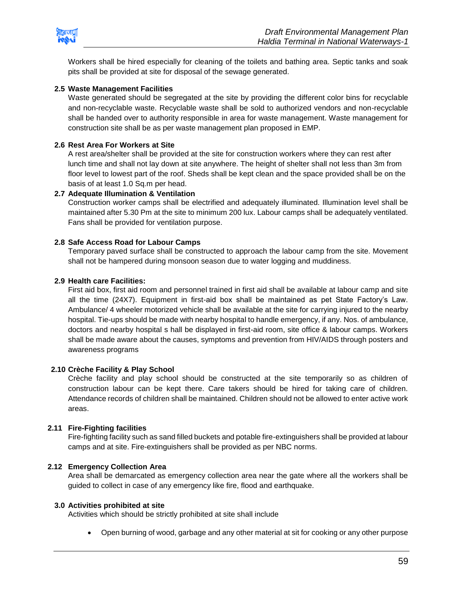

Workers shall be hired especially for cleaning of the toilets and bathing area. Septic tanks and soak pits shall be provided at site for disposal of the sewage generated.

#### **2.5 Waste Management Facilities**

Waste generated should be segregated at the site by providing the different color bins for recyclable and non-recyclable waste. Recyclable waste shall be sold to authorized vendors and non-recyclable shall be handed over to authority responsible in area for waste management. Waste management for construction site shall be as per waste management plan proposed in EMP.

#### **2.6 Rest Area For Workers at Site**

A rest area/shelter shall be provided at the site for construction workers where they can rest after lunch time and shall not lay down at site anywhere. The height of shelter shall not less than 3m from floor level to lowest part of the roof. Sheds shall be kept clean and the space provided shall be on the basis of at least 1.0 Sq.m per head.

#### **2.7 Adequate Illumination & Ventilation**

Construction worker camps shall be electrified and adequately illuminated. Illumination level shall be maintained after 5.30 Pm at the site to minimum 200 lux. Labour camps shall be adequately ventilated. Fans shall be provided for ventilation purpose.

#### **2.8 Safe Access Road for Labour Camps**

Temporary paved surface shall be constructed to approach the labour camp from the site. Movement shall not be hampered during monsoon season due to water logging and muddiness.

#### **2.9 Health care Facilities:**

First aid box, first aid room and personnel trained in first aid shall be available at labour camp and site all the time (24X7). Equipment in first-aid box shall be maintained as pet State Factory's Law. Ambulance/ 4 wheeler motorized vehicle shall be available at the site for carrying injured to the nearby hospital. Tie-ups should be made with nearby hospital to handle emergency, if any. Nos. of ambulance, doctors and nearby hospital s hall be displayed in first-aid room, site office & labour camps. Workers shall be made aware about the causes, symptoms and prevention from HIV/AIDS through posters and awareness programs

#### **2.10 Crèche Facility & Play School**

Crèche facility and play school should be constructed at the site temporarily so as children of construction labour can be kept there. Care takers should be hired for taking care of children. Attendance records of children shall be maintained. Children should not be allowed to enter active work areas.

#### **2.11 Fire-Fighting facilities**

Fire-fighting facility such as sand filled buckets and potable fire-extinguishers shall be provided at labour camps and at site. Fire-extinguishers shall be provided as per NBC norms.

#### **2.12 Emergency Collection Area**

Area shall be demarcated as emergency collection area near the gate where all the workers shall be guided to collect in case of any emergency like fire, flood and earthquake.

#### **3.0 Activities prohibited at site**

Activities which should be strictly prohibited at site shall include

Open burning of wood, garbage and any other material at sit for cooking or any other purpose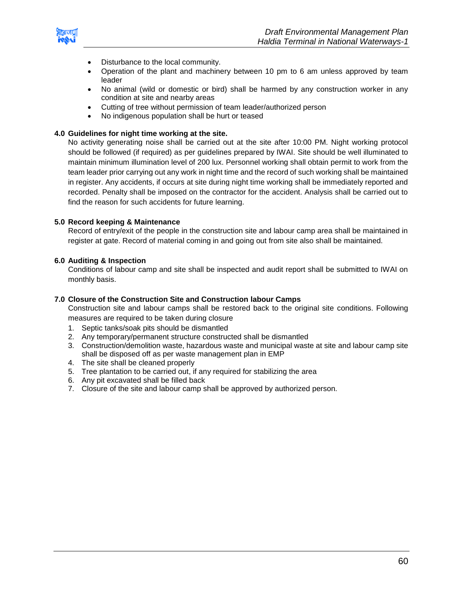

- Disturbance to the local community.
- Operation of the plant and machinery between 10 pm to 6 am unless approved by team leader
- No animal (wild or domestic or bird) shall be harmed by any construction worker in any condition at site and nearby areas
- Cutting of tree without permission of team leader/authorized person
- No indigenous population shall be hurt or teased

#### **4.0 Guidelines for night time working at the site.**

No activity generating noise shall be carried out at the site after 10:00 PM. Night working protocol should be followed (if required) as per guidelines prepared by IWAI. Site should be well illuminated to maintain minimum illumination level of 200 lux. Personnel working shall obtain permit to work from the team leader prior carrying out any work in night time and the record of such working shall be maintained in register. Any accidents, if occurs at site during night time working shall be immediately reported and recorded. Penalty shall be imposed on the contractor for the accident. Analysis shall be carried out to find the reason for such accidents for future learning.

#### **5.0 Record keeping & Maintenance**

Record of entry/exit of the people in the construction site and labour camp area shall be maintained in register at gate. Record of material coming in and going out from site also shall be maintained.

#### **6.0 Auditing & Inspection**

Conditions of labour camp and site shall be inspected and audit report shall be submitted to IWAI on monthly basis.

#### **7.0 Closure of the Construction Site and Construction labour Camps**

Construction site and labour camps shall be restored back to the original site conditions. Following measures are required to be taken during closure

- 1. Septic tanks/soak pits should be dismantled
- 2. Any temporary/permanent structure constructed shall be dismantled
- 3. Construction/demolition waste, hazardous waste and municipal waste at site and labour camp site shall be disposed off as per waste management plan in EMP
- 4. The site shall be cleaned properly
- 5. Tree plantation to be carried out, if any required for stabilizing the area
- 6. Any pit excavated shall be filled back
- 7. Closure of the site and labour camp shall be approved by authorized person.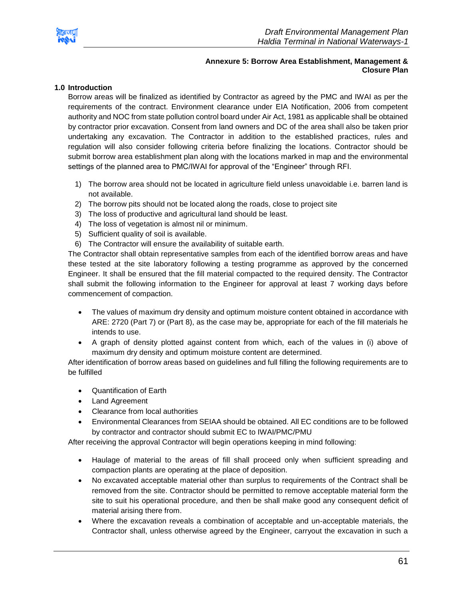

#### **Annexure 5: Borrow Area Establishment, Management & Closure Plan**

#### <span id="page-61-0"></span>**1.0 Introduction**

Borrow areas will be finalized as identified by Contractor as agreed by the PMC and IWAI as per the requirements of the contract. Environment clearance under EIA Notification, 2006 from competent authority and NOC from state pollution control board under Air Act, 1981 as applicable shall be obtained by contractor prior excavation. Consent from land owners and DC of the area shall also be taken prior undertaking any excavation. The Contractor in addition to the established practices, rules and regulation will also consider following criteria before finalizing the locations. Contractor should be submit borrow area establishment plan along with the locations marked in map and the environmental settings of the planned area to PMC/IWAI for approval of the "Engineer" through RFI.

- 1) The borrow area should not be located in agriculture field unless unavoidable i.e. barren land is not available.
- 2) The borrow pits should not be located along the roads, close to project site
- 3) The loss of productive and agricultural land should be least.
- 4) The loss of vegetation is almost nil or minimum.
- 5) Sufficient quality of soil is available.
- 6) The Contractor will ensure the availability of suitable earth.

The Contractor shall obtain representative samples from each of the identified borrow areas and have these tested at the site laboratory following a testing programme as approved by the concerned Engineer. It shall be ensured that the fill material compacted to the required density. The Contractor shall submit the following information to the Engineer for approval at least 7 working days before commencement of compaction.

- The values of maximum dry density and optimum moisture content obtained in accordance with ARE: 2720 (Part 7) or (Part 8), as the case may be, appropriate for each of the fill materials he intends to use.
- A graph of density plotted against content from which, each of the values in (i) above of maximum dry density and optimum moisture content are determined.

After identification of borrow areas based on guidelines and full filling the following requirements are to be fulfilled

- Quantification of Earth
- Land Agreement
- Clearance from local authorities
- Environmental Clearances from SEIAA should be obtained. All EC conditions are to be followed by contractor and contractor should submit EC to IWAI/PMC/PMU

After receiving the approval Contractor will begin operations keeping in mind following:

- Haulage of material to the areas of fill shall proceed only when sufficient spreading and compaction plants are operating at the place of deposition.
- No excavated acceptable material other than surplus to requirements of the Contract shall be removed from the site. Contractor should be permitted to remove acceptable material form the site to suit his operational procedure, and then be shall make good any consequent deficit of material arising there from.
- Where the excavation reveals a combination of acceptable and un-acceptable materials, the Contractor shall, unless otherwise agreed by the Engineer, carryout the excavation in such a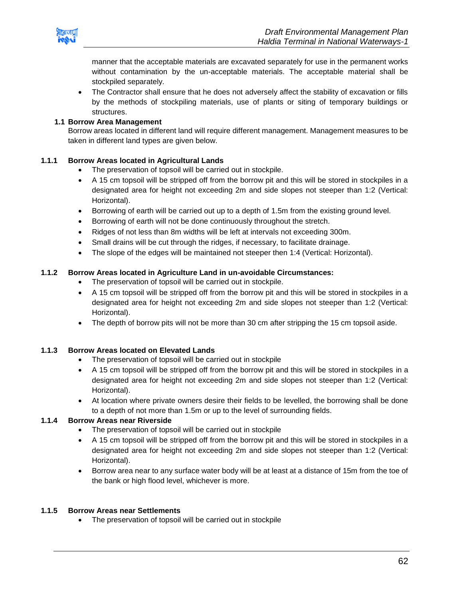

manner that the acceptable materials are excavated separately for use in the permanent works without contamination by the un-acceptable materials. The acceptable material shall be stockpiled separately.

• The Contractor shall ensure that he does not adversely affect the stability of excavation or fills by the methods of stockpiling materials, use of plants or siting of temporary buildings or structures.

#### **1.1 Borrow Area Management**

Borrow areas located in different land will require different management. Management measures to be taken in different land types are given below.

#### **1.1.1 Borrow Areas located in Agricultural Lands**

- The preservation of topsoil will be carried out in stockpile.
- A 15 cm topsoil will be stripped off from the borrow pit and this will be stored in stockpiles in a designated area for height not exceeding 2m and side slopes not steeper than 1:2 (Vertical: Horizontal).
- Borrowing of earth will be carried out up to a depth of 1.5m from the existing ground level.
- Borrowing of earth will not be done continuously throughout the stretch.
- Ridges of not less than 8m widths will be left at intervals not exceeding 300m.
- Small drains will be cut through the ridges, if necessary, to facilitate drainage.
- The slope of the edges will be maintained not steeper then 1:4 (Vertical: Horizontal).

#### **1.1.2 Borrow Areas located in Agriculture Land in un-avoidable Circumstances:**

- The preservation of topsoil will be carried out in stockpile.
- A 15 cm topsoil will be stripped off from the borrow pit and this will be stored in stockpiles in a designated area for height not exceeding 2m and side slopes not steeper than 1:2 (Vertical: Horizontal).
- The depth of borrow pits will not be more than 30 cm after stripping the 15 cm topsoil aside.

#### **1.1.3 Borrow Areas located on Elevated Lands**

- The preservation of topsoil will be carried out in stockpile
- A 15 cm topsoil will be stripped off from the borrow pit and this will be stored in stockpiles in a designated area for height not exceeding 2m and side slopes not steeper than 1:2 (Vertical: Horizontal).
- At location where private owners desire their fields to be levelled, the borrowing shall be done to a depth of not more than 1.5m or up to the level of surrounding fields.

#### **1.1.4 Borrow Areas near Riverside**

- The preservation of topsoil will be carried out in stockpile
- A 15 cm topsoil will be stripped off from the borrow pit and this will be stored in stockpiles in a designated area for height not exceeding 2m and side slopes not steeper than 1:2 (Vertical: Horizontal).
- Borrow area near to any surface water body will be at least at a distance of 15m from the toe of the bank or high flood level, whichever is more.

#### **1.1.5 Borrow Areas near Settlements**

• The preservation of topsoil will be carried out in stockpile